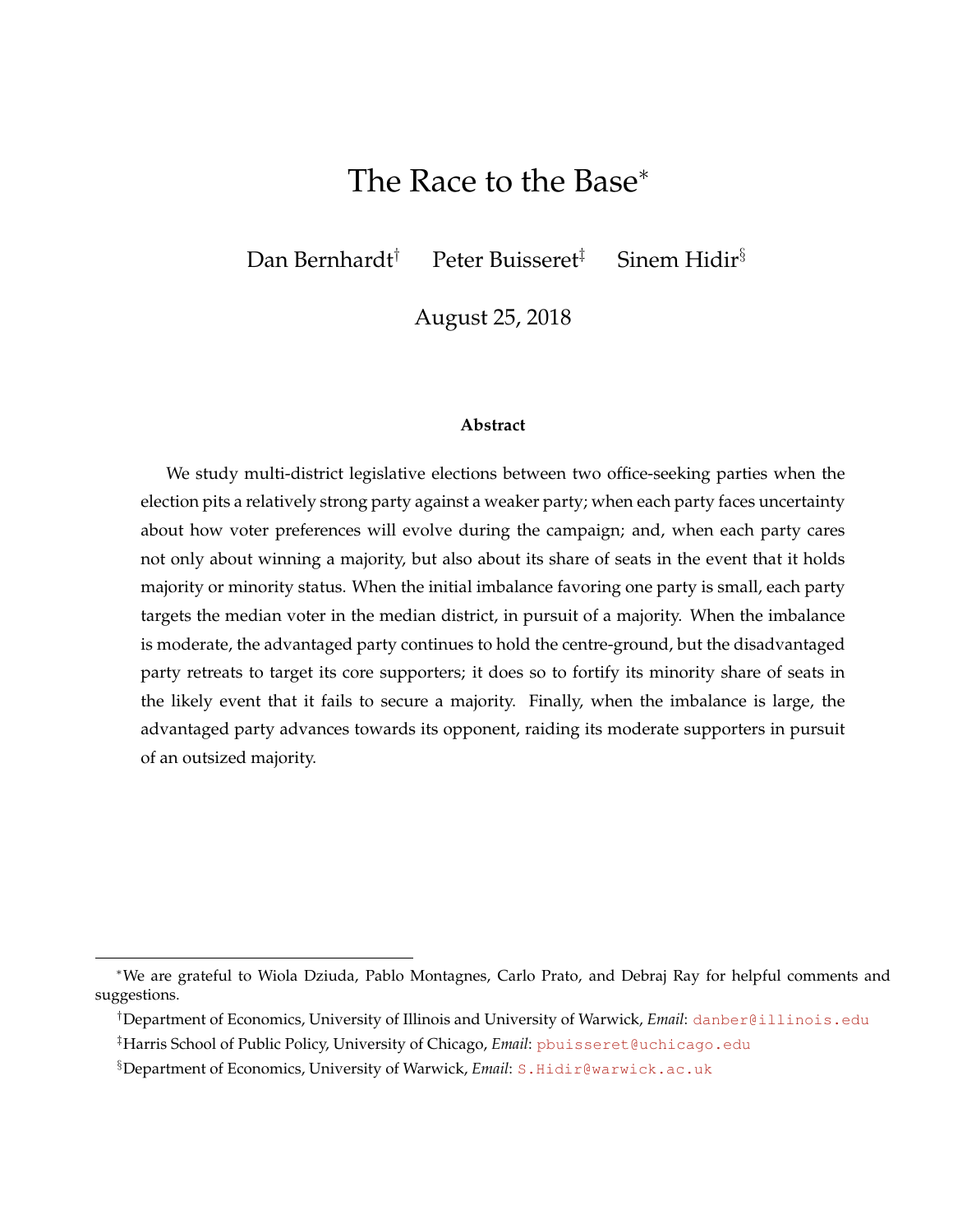# The Race to the Base<sup>∗</sup>

Dan Bernhardt<sup>†</sup> Peter Buisseret<sup>‡</sup> Sinem Hidir<sup>§</sup>

August 25, 2018

#### **Abstract**

We study multi-district legislative elections between two office-seeking parties when the election pits a relatively strong party against a weaker party; when each party faces uncertainty about how voter preferences will evolve during the campaign; and, when each party cares not only about winning a majority, but also about its share of seats in the event that it holds majority or minority status. When the initial imbalance favoring one party is small, each party targets the median voter in the median district, in pursuit of a majority. When the imbalance is moderate, the advantaged party continues to hold the centre-ground, but the disadvantaged party retreats to target its core supporters; it does so to fortify its minority share of seats in the likely event that it fails to secure a majority. Finally, when the imbalance is large, the advantaged party advances towards its opponent, raiding its moderate supporters in pursuit of an outsized majority.

<sup>∗</sup>We are grateful to Wiola Dziuda, Pablo Montagnes, Carlo Prato, and Debraj Ray for helpful comments and suggestions.

<sup>†</sup>Department of Economics, University of Illinois and University of Warwick, *Email*: <danber@illinois.edu>

<sup>‡</sup>Harris School of Public Policy, University of Chicago, *Email*: [pbuisseret@uchicago.edu]( pbuisseret@uchicago.edu)

<sup>§</sup>Department of Economics, University of Warwick, *Email*: <S.Hidir@warwick.ac.uk>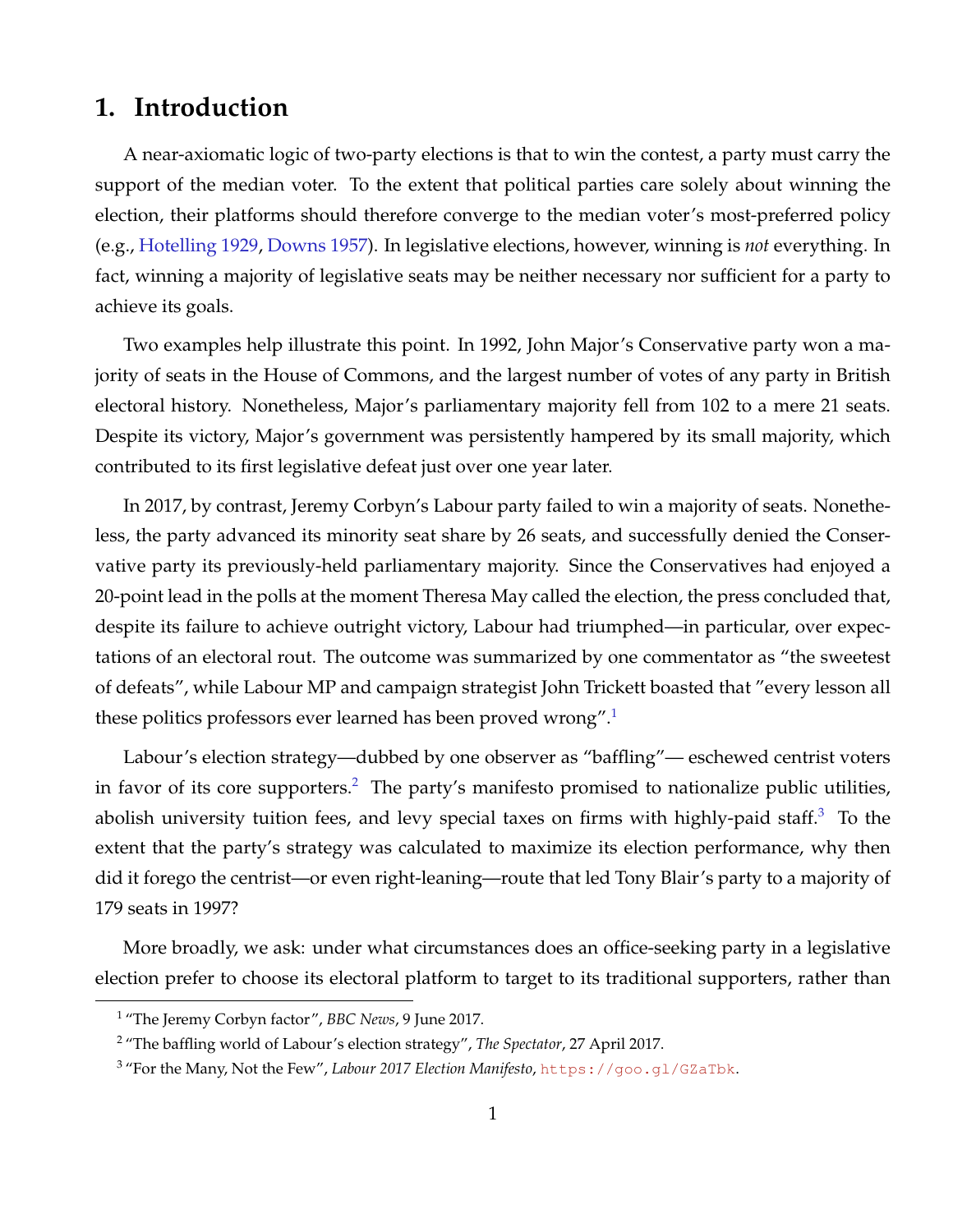## **1. Introduction**

A near-axiomatic logic of two-party elections is that to win the contest, a party must carry the support of the median voter. To the extent that political parties care solely about winning the election, their platforms should therefore converge to the median voter's most-preferred policy (e.g., [Hotelling](#page-24-0) [1929,](#page-24-0) [Downs](#page-24-1) [1957\)](#page-24-1). In legislative elections, however, winning is *not* everything. In fact, winning a majority of legislative seats may be neither necessary nor sufficient for a party to achieve its goals.

Two examples help illustrate this point. In 1992, John Major's Conservative party won a majority of seats in the House of Commons, and the largest number of votes of any party in British electoral history. Nonetheless, Major's parliamentary majority fell from 102 to a mere 21 seats. Despite its victory, Major's government was persistently hampered by its small majority, which contributed to its first legislative defeat just over one year later.

In 2017, by contrast, Jeremy Corbyn's Labour party failed to win a majority of seats. Nonetheless, the party advanced its minority seat share by 26 seats, and successfully denied the Conservative party its previously-held parliamentary majority. Since the Conservatives had enjoyed a 20-point lead in the polls at the moment Theresa May called the election, the press concluded that, despite its failure to achieve outright victory, Labour had triumphed—in particular, over expectations of an electoral rout. The outcome was summarized by one commentator as "the sweetest of defeats", while Labour MP and campaign strategist John Trickett boasted that "every lesson all these politics professors ever learned has been proved wrong".[1](#page-1-0)

Labour's election strategy—dubbed by one observer as "baffling"— eschewed centrist voters in favor of its core supporters.<sup>[2](#page-1-1)</sup> The party's manifesto promised to nationalize public utilities, abolish university tuition fees, and levy special taxes on firms with highly-paid staff.<sup>[3](#page-1-2)</sup> To the extent that the party's strategy was calculated to maximize its election performance, why then did it forego the centrist—or even right-leaning—route that led Tony Blair's party to a majority of 179 seats in 1997?

More broadly, we ask: under what circumstances does an office-seeking party in a legislative election prefer to choose its electoral platform to target to its traditional supporters, rather than

<span id="page-1-0"></span><sup>1</sup> "The Jeremy Corbyn factor", *BBC News*, 9 June 2017.

<span id="page-1-1"></span><sup>2</sup> "The baffling world of Labour's election strategy", *The Spectator*, 27 April 2017.

<span id="page-1-2"></span><sup>3</sup> "For the Many, Not the Few", *Labour 2017 Election Manifesto*, <https://goo.gl/GZaTbk>.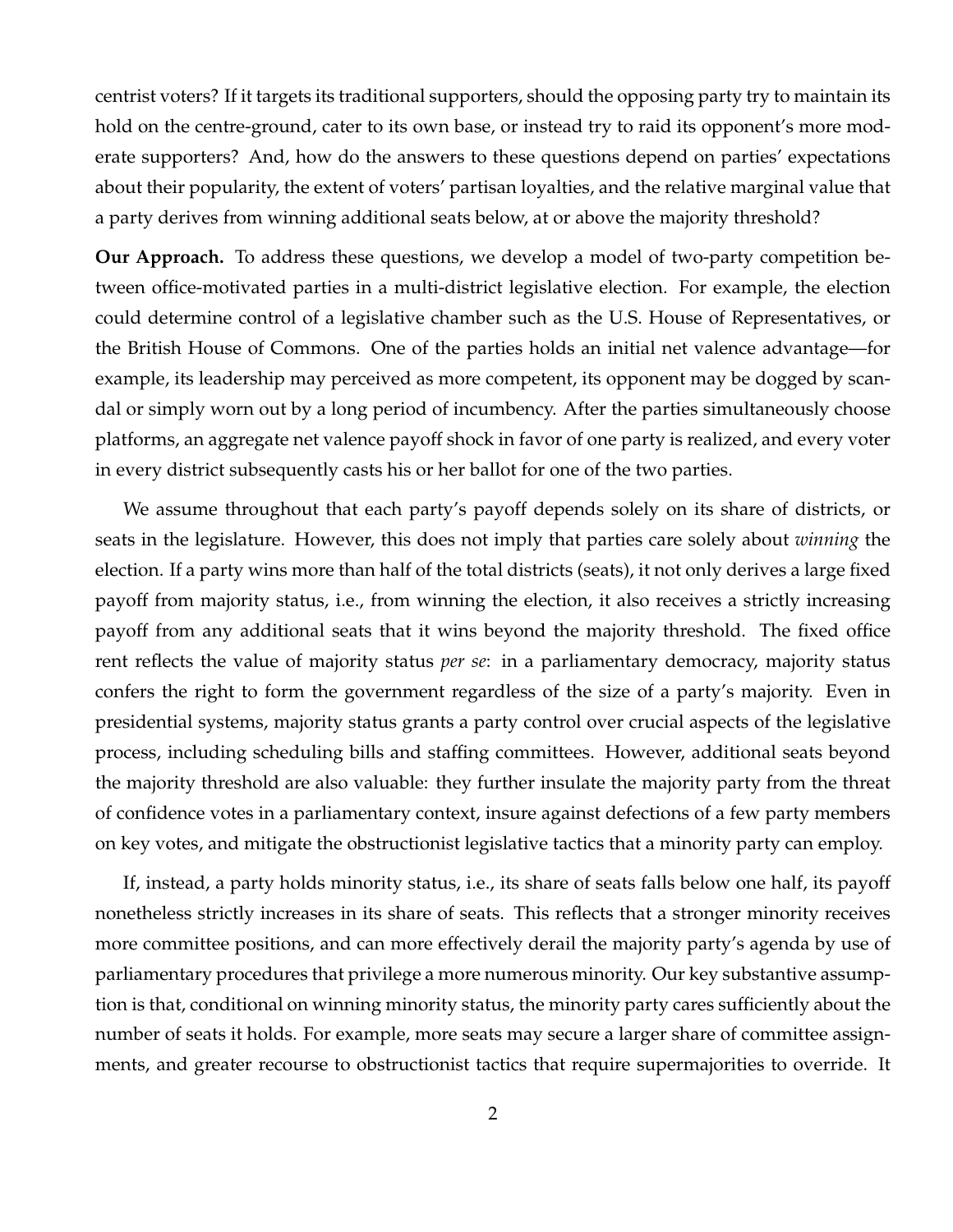centrist voters? If it targets its traditional supporters, should the opposing party try to maintain its hold on the centre-ground, cater to its own base, or instead try to raid its opponent's more moderate supporters? And, how do the answers to these questions depend on parties' expectations about their popularity, the extent of voters' partisan loyalties, and the relative marginal value that a party derives from winning additional seats below, at or above the majority threshold?

**Our Approach.** To address these questions, we develop a model of two-party competition between office-motivated parties in a multi-district legislative election. For example, the election could determine control of a legislative chamber such as the U.S. House of Representatives, or the British House of Commons. One of the parties holds an initial net valence advantage—for example, its leadership may perceived as more competent, its opponent may be dogged by scandal or simply worn out by a long period of incumbency. After the parties simultaneously choose platforms, an aggregate net valence payoff shock in favor of one party is realized, and every voter in every district subsequently casts his or her ballot for one of the two parties.

We assume throughout that each party's payoff depends solely on its share of districts, or seats in the legislature. However, this does not imply that parties care solely about *winning* the election. If a party wins more than half of the total districts (seats), it not only derives a large fixed payoff from majority status, i.e., from winning the election, it also receives a strictly increasing payoff from any additional seats that it wins beyond the majority threshold. The fixed office rent reflects the value of majority status *per se*: in a parliamentary democracy, majority status confers the right to form the government regardless of the size of a party's majority. Even in presidential systems, majority status grants a party control over crucial aspects of the legislative process, including scheduling bills and staffing committees. However, additional seats beyond the majority threshold are also valuable: they further insulate the majority party from the threat of confidence votes in a parliamentary context, insure against defections of a few party members on key votes, and mitigate the obstructionist legislative tactics that a minority party can employ.

If, instead, a party holds minority status, i.e., its share of seats falls below one half, its payoff nonetheless strictly increases in its share of seats. This reflects that a stronger minority receives more committee positions, and can more effectively derail the majority party's agenda by use of parliamentary procedures that privilege a more numerous minority. Our key substantive assumption is that, conditional on winning minority status, the minority party cares sufficiently about the number of seats it holds. For example, more seats may secure a larger share of committee assignments, and greater recourse to obstructionist tactics that require supermajorities to override. It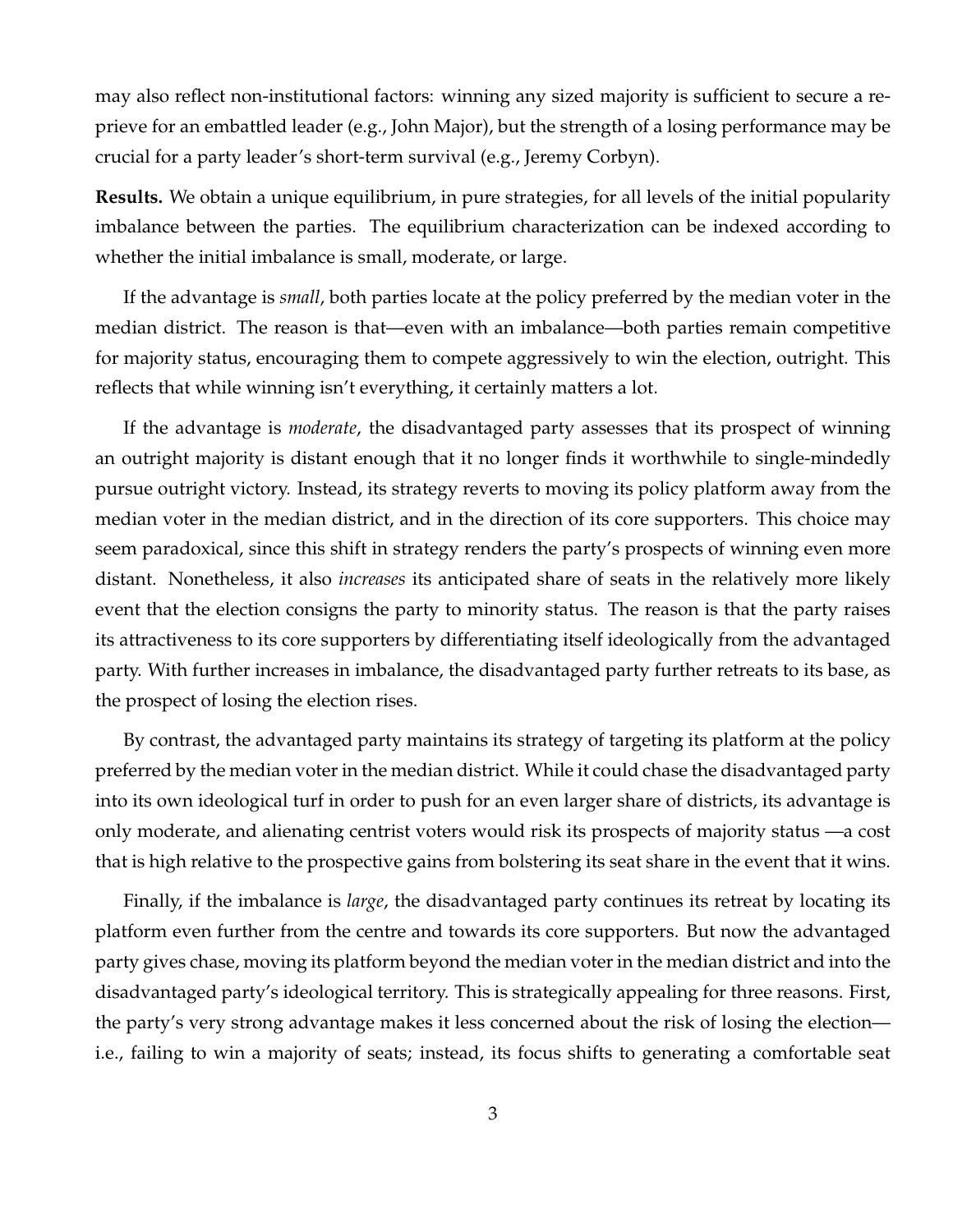may also reflect non-institutional factors: winning any sized majority is sufficient to secure a reprieve for an embattled leader (e.g., John Major), but the strength of a losing performance may be crucial for a party leader's short-term survival (e.g., Jeremy Corbyn).

**Results.** We obtain a unique equilibrium, in pure strategies, for all levels of the initial popularity imbalance between the parties. The equilibrium characterization can be indexed according to whether the initial imbalance is small, moderate, or large.

If the advantage is *small*, both parties locate at the policy preferred by the median voter in the median district. The reason is that—even with an imbalance—both parties remain competitive for majority status, encouraging them to compete aggressively to win the election, outright. This reflects that while winning isn't everything, it certainly matters a lot.

If the advantage is *moderate*, the disadvantaged party assesses that its prospect of winning an outright majority is distant enough that it no longer finds it worthwhile to single-mindedly pursue outright victory. Instead, its strategy reverts to moving its policy platform away from the median voter in the median district, and in the direction of its core supporters. This choice may seem paradoxical, since this shift in strategy renders the party's prospects of winning even more distant. Nonetheless, it also *increases* its anticipated share of seats in the relatively more likely event that the election consigns the party to minority status. The reason is that the party raises its attractiveness to its core supporters by differentiating itself ideologically from the advantaged party. With further increases in imbalance, the disadvantaged party further retreats to its base, as the prospect of losing the election rises.

By contrast, the advantaged party maintains its strategy of targeting its platform at the policy preferred by the median voter in the median district. While it could chase the disadvantaged party into its own ideological turf in order to push for an even larger share of districts, its advantage is only moderate, and alienating centrist voters would risk its prospects of majority status —a cost that is high relative to the prospective gains from bolstering its seat share in the event that it wins.

Finally, if the imbalance is *large*, the disadvantaged party continues its retreat by locating its platform even further from the centre and towards its core supporters. But now the advantaged party gives chase, moving its platform beyond the median voter in the median district and into the disadvantaged party's ideological territory. This is strategically appealing for three reasons. First, the party's very strong advantage makes it less concerned about the risk of losing the election i.e., failing to win a majority of seats; instead, its focus shifts to generating a comfortable seat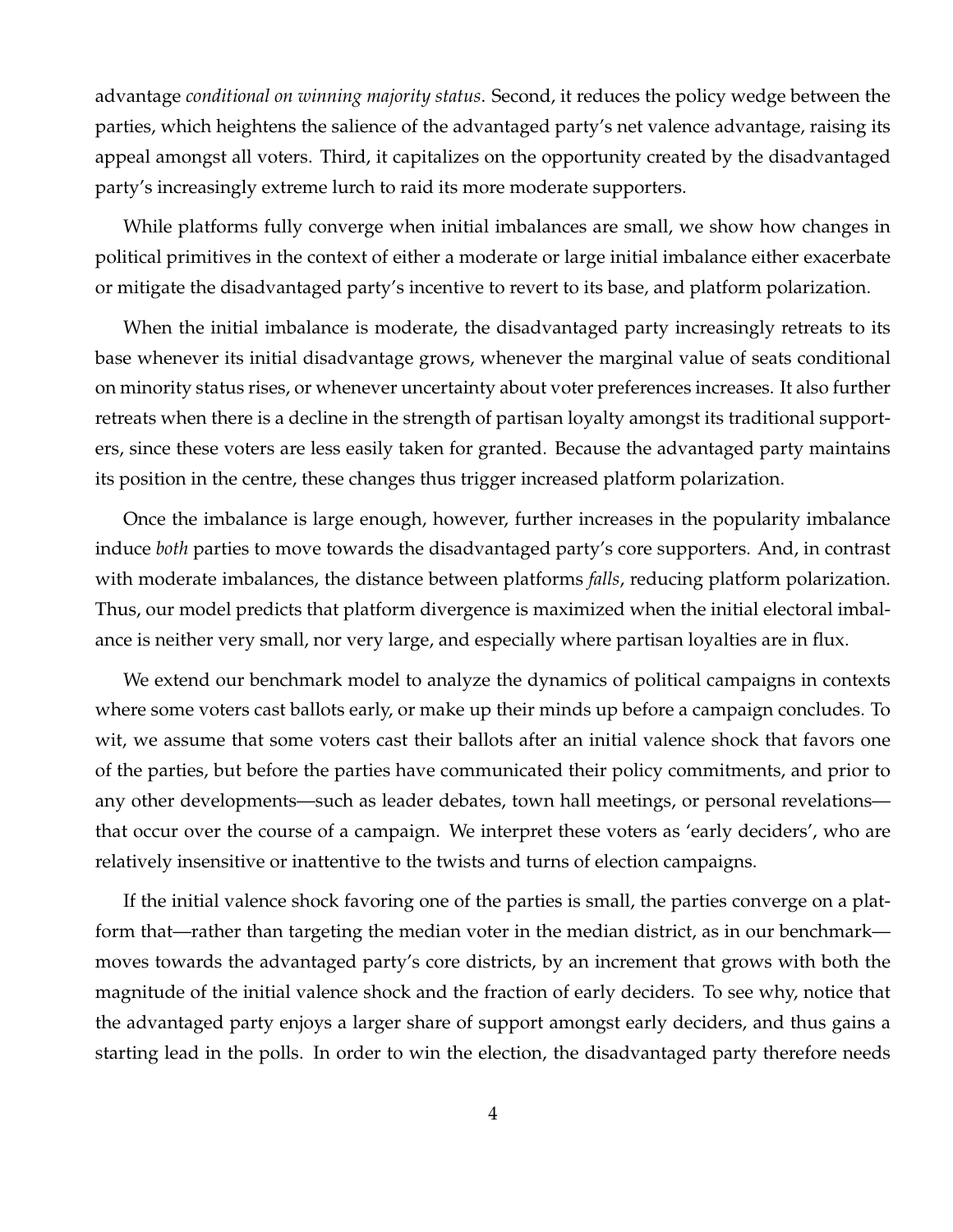advantage *conditional on winning majority status*. Second, it reduces the policy wedge between the parties, which heightens the salience of the advantaged party's net valence advantage, raising its appeal amongst all voters. Third, it capitalizes on the opportunity created by the disadvantaged party's increasingly extreme lurch to raid its more moderate supporters.

While platforms fully converge when initial imbalances are small, we show how changes in political primitives in the context of either a moderate or large initial imbalance either exacerbate or mitigate the disadvantaged party's incentive to revert to its base, and platform polarization.

When the initial imbalance is moderate, the disadvantaged party increasingly retreats to its base whenever its initial disadvantage grows, whenever the marginal value of seats conditional on minority status rises, or whenever uncertainty about voter preferences increases. It also further retreats when there is a decline in the strength of partisan loyalty amongst its traditional supporters, since these voters are less easily taken for granted. Because the advantaged party maintains its position in the centre, these changes thus trigger increased platform polarization.

Once the imbalance is large enough, however, further increases in the popularity imbalance induce *both* parties to move towards the disadvantaged party's core supporters. And, in contrast with moderate imbalances, the distance between platforms *falls*, reducing platform polarization. Thus, our model predicts that platform divergence is maximized when the initial electoral imbalance is neither very small, nor very large, and especially where partisan loyalties are in flux.

We extend our benchmark model to analyze the dynamics of political campaigns in contexts where some voters cast ballots early, or make up their minds up before a campaign concludes. To wit, we assume that some voters cast their ballots after an initial valence shock that favors one of the parties, but before the parties have communicated their policy commitments, and prior to any other developments—such as leader debates, town hall meetings, or personal revelations that occur over the course of a campaign. We interpret these voters as 'early deciders', who are relatively insensitive or inattentive to the twists and turns of election campaigns.

If the initial valence shock favoring one of the parties is small, the parties converge on a platform that—rather than targeting the median voter in the median district, as in our benchmark moves towards the advantaged party's core districts, by an increment that grows with both the magnitude of the initial valence shock and the fraction of early deciders. To see why, notice that the advantaged party enjoys a larger share of support amongst early deciders, and thus gains a starting lead in the polls. In order to win the election, the disadvantaged party therefore needs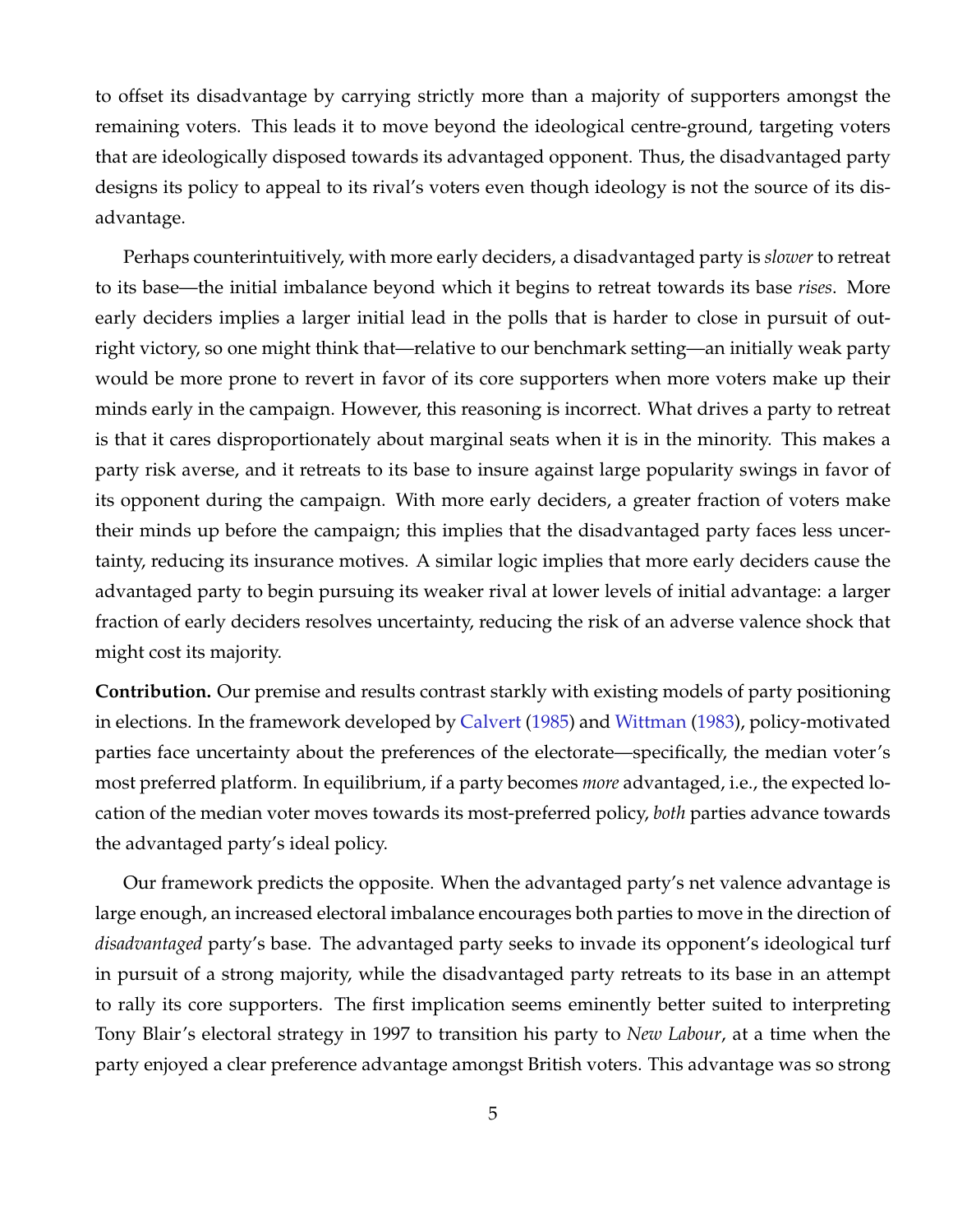to offset its disadvantage by carrying strictly more than a majority of supporters amongst the remaining voters. This leads it to move beyond the ideological centre-ground, targeting voters that are ideologically disposed towards its advantaged opponent. Thus, the disadvantaged party designs its policy to appeal to its rival's voters even though ideology is not the source of its disadvantage.

Perhaps counterintuitively, with more early deciders, a disadvantaged party is *slower* to retreat to its base—the initial imbalance beyond which it begins to retreat towards its base *rises*. More early deciders implies a larger initial lead in the polls that is harder to close in pursuit of outright victory, so one might think that—relative to our benchmark setting—an initially weak party would be more prone to revert in favor of its core supporters when more voters make up their minds early in the campaign. However, this reasoning is incorrect. What drives a party to retreat is that it cares disproportionately about marginal seats when it is in the minority. This makes a party risk averse, and it retreats to its base to insure against large popularity swings in favor of its opponent during the campaign. With more early deciders, a greater fraction of voters make their minds up before the campaign; this implies that the disadvantaged party faces less uncertainty, reducing its insurance motives. A similar logic implies that more early deciders cause the advantaged party to begin pursuing its weaker rival at lower levels of initial advantage: a larger fraction of early deciders resolves uncertainty, reducing the risk of an adverse valence shock that might cost its majority.

**Contribution.** Our premise and results contrast starkly with existing models of party positioning in elections. In the framework developed by [Calvert](#page-24-2) [\(1985\)](#page-24-2) and [Wittman](#page-24-3) [\(1983\)](#page-24-3), policy-motivated parties face uncertainty about the preferences of the electorate—specifically, the median voter's most preferred platform. In equilibrium, if a party becomes *more* advantaged, i.e., the expected location of the median voter moves towards its most-preferred policy, *both* parties advance towards the advantaged party's ideal policy.

Our framework predicts the opposite. When the advantaged party's net valence advantage is large enough, an increased electoral imbalance encourages both parties to move in the direction of *disadvantaged* party's base. The advantaged party seeks to invade its opponent's ideological turf in pursuit of a strong majority, while the disadvantaged party retreats to its base in an attempt to rally its core supporters. The first implication seems eminently better suited to interpreting Tony Blair's electoral strategy in 1997 to transition his party to *New Labour*, at a time when the party enjoyed a clear preference advantage amongst British voters. This advantage was so strong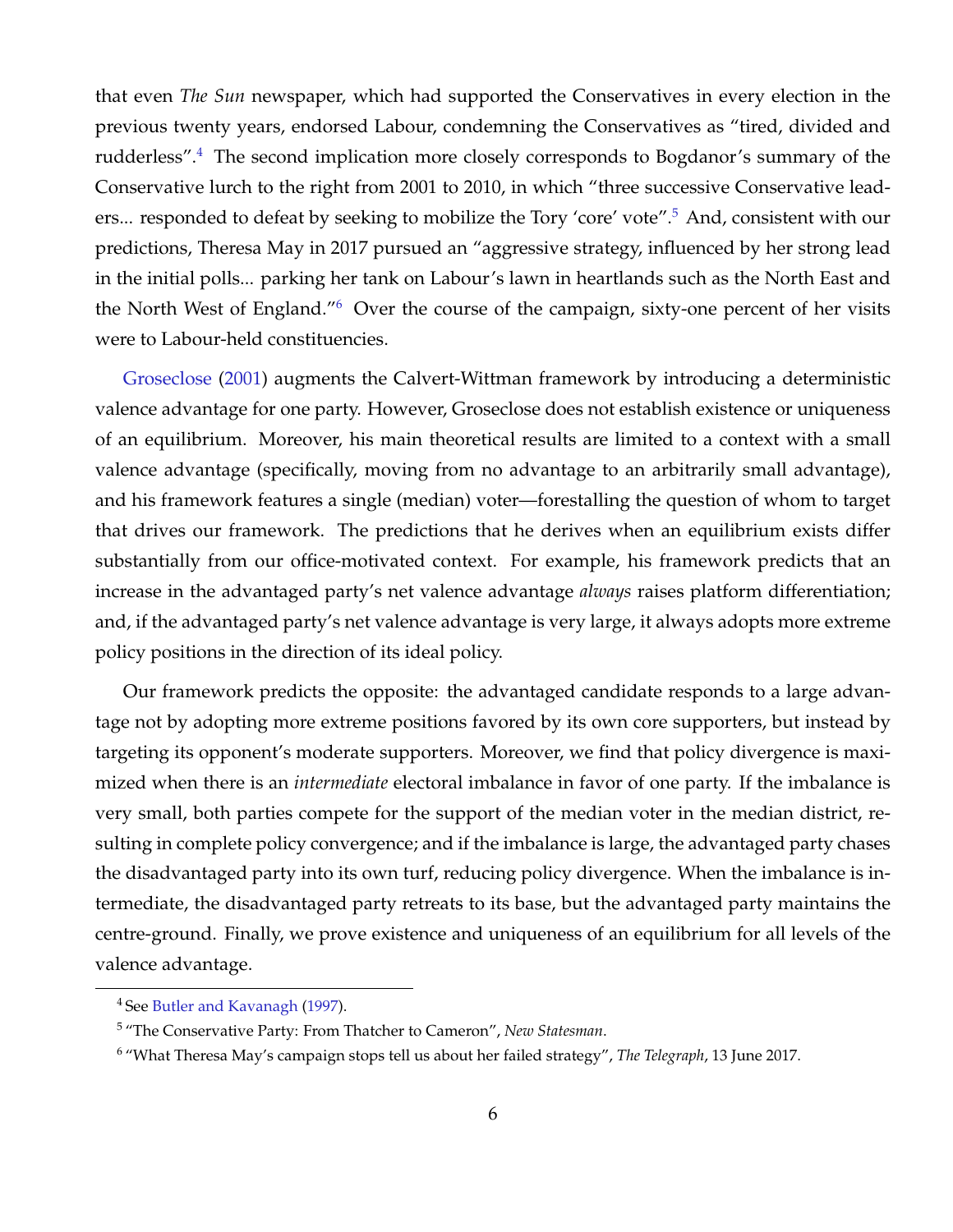that even *The Sun* newspaper, which had supported the Conservatives in every election in the previous twenty years, endorsed Labour, condemning the Conservatives as "tired, divided and rudderless".<sup>[4](#page-6-0)</sup> The second implication more closely corresponds to Bogdanor's summary of the Conservative lurch to the right from 2001 to 2010, in which "three successive Conservative lead-ers... responded to defeat by seeking to mobilize the Tory 'core' vote".<sup>[5](#page-6-1)</sup> And, consistent with our predictions, Theresa May in 2017 pursued an "aggressive strategy, influenced by her strong lead in the initial polls... parking her tank on Labour's lawn in heartlands such as the North East and the North West of England."[6](#page-6-2) Over the course of the campaign, sixty-one percent of her visits were to Labour-held constituencies.

[Groseclose](#page-24-4) [\(2001\)](#page-24-4) augments the Calvert-Wittman framework by introducing a deterministic valence advantage for one party. However, Groseclose does not establish existence or uniqueness of an equilibrium. Moreover, his main theoretical results are limited to a context with a small valence advantage (specifically, moving from no advantage to an arbitrarily small advantage), and his framework features a single (median) voter—forestalling the question of whom to target that drives our framework. The predictions that he derives when an equilibrium exists differ substantially from our office-motivated context. For example, his framework predicts that an increase in the advantaged party's net valence advantage *always* raises platform differentiation; and, if the advantaged party's net valence advantage is very large, it always adopts more extreme policy positions in the direction of its ideal policy.

Our framework predicts the opposite: the advantaged candidate responds to a large advantage not by adopting more extreme positions favored by its own core supporters, but instead by targeting its opponent's moderate supporters. Moreover, we find that policy divergence is maximized when there is an *intermediate* electoral imbalance in favor of one party. If the imbalance is very small, both parties compete for the support of the median voter in the median district, resulting in complete policy convergence; and if the imbalance is large, the advantaged party chases the disadvantaged party into its own turf, reducing policy divergence. When the imbalance is intermediate, the disadvantaged party retreats to its base, but the advantaged party maintains the centre-ground. Finally, we prove existence and uniqueness of an equilibrium for all levels of the valence advantage.

<span id="page-6-0"></span><sup>4</sup> See [Butler and Kavanagh](#page-24-5) [\(1997\)](#page-24-5).

<span id="page-6-1"></span><sup>5</sup> "The Conservative Party: From Thatcher to Cameron", *New Statesman*.

<span id="page-6-2"></span><sup>6</sup> "What Theresa May's campaign stops tell us about her failed strategy", *The Telegraph*, 13 June 2017.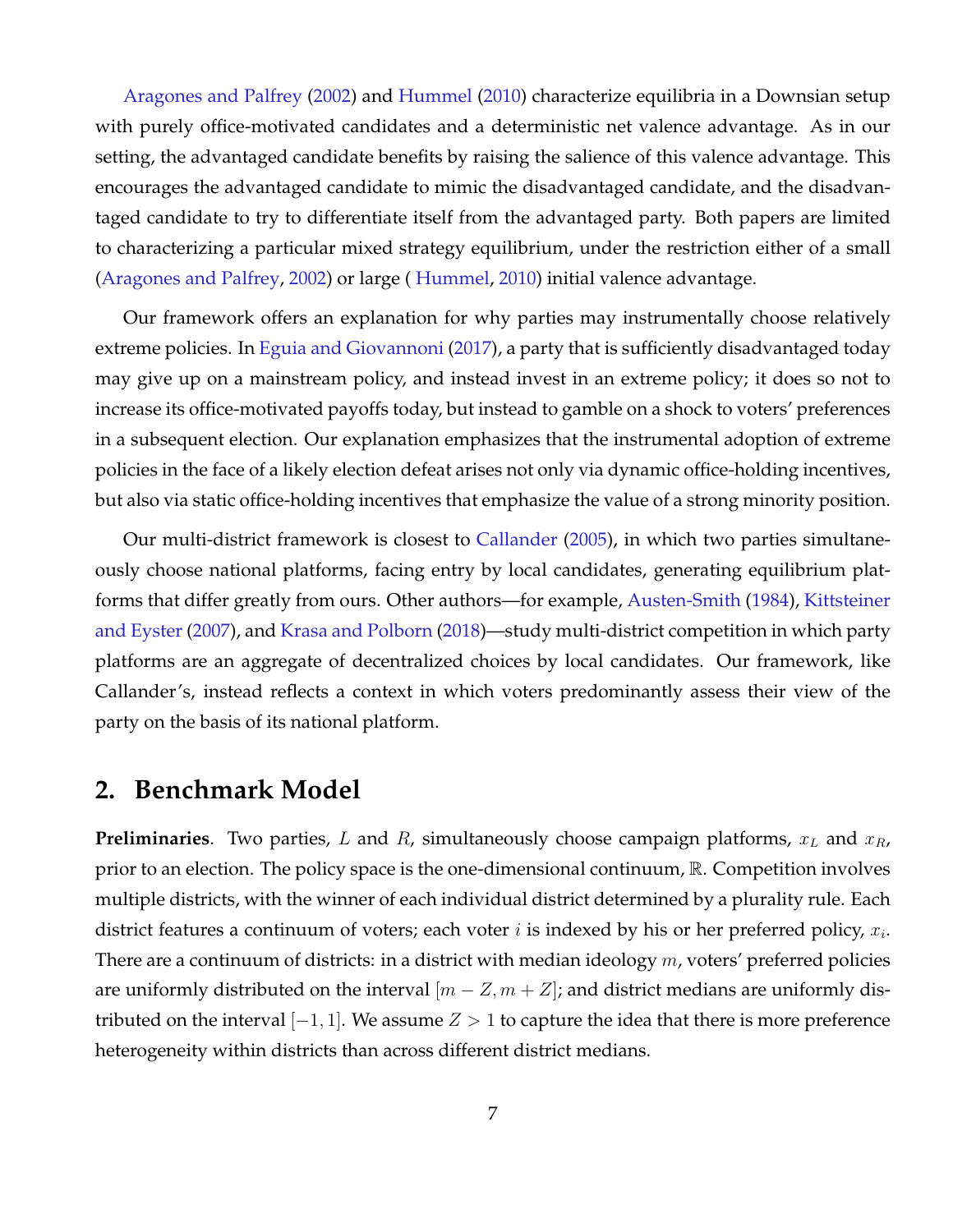[Aragones and Palfrey](#page-23-0) [\(2002\)](#page-23-0) and [Hummel](#page-24-6) [\(2010\)](#page-24-6) characterize equilibria in a Downsian setup with purely office-motivated candidates and a deterministic net valence advantage. As in our setting, the advantaged candidate benefits by raising the salience of this valence advantage. This encourages the advantaged candidate to mimic the disadvantaged candidate, and the disadvantaged candidate to try to differentiate itself from the advantaged party. Both papers are limited to characterizing a particular mixed strategy equilibrium, under the restriction either of a small [\(Aragones and Palfrey,](#page-23-0) [2002\)](#page-23-0) or large ( [Hummel,](#page-24-6) [2010\)](#page-24-6) initial valence advantage.

Our framework offers an explanation for why parties may instrumentally choose relatively extreme policies. In [Eguia and Giovannoni](#page-24-7) [\(2017\)](#page-24-7), a party that is sufficiently disadvantaged today may give up on a mainstream policy, and instead invest in an extreme policy; it does so not to increase its office-motivated payoffs today, but instead to gamble on a shock to voters' preferences in a subsequent election. Our explanation emphasizes that the instrumental adoption of extreme policies in the face of a likely election defeat arises not only via dynamic office-holding incentives, but also via static office-holding incentives that emphasize the value of a strong minority position.

Our multi-district framework is closest to [Callander](#page-24-8) [\(2005\)](#page-24-8), in which two parties simultaneously choose national platforms, facing entry by local candidates, generating equilibrium platforms that differ greatly from ours. Other authors—for example, [Austen-Smith](#page-23-1) [\(1984\)](#page-23-1), [Kittsteiner](#page-24-9) [and Eyster](#page-24-9) [\(2007\)](#page-24-9), and [Krasa and Polborn](#page-24-10) [\(2018\)](#page-24-10)—study multi-district competition in which party platforms are an aggregate of decentralized choices by local candidates. Our framework, like Callander's, instead reflects a context in which voters predominantly assess their view of the party on the basis of its national platform.

#### **2. Benchmark Model**

**Preliminaries**. Two parties, L and R, simultaneously choose campaign platforms,  $x_L$  and  $x_R$ , prior to an election. The policy space is the one-dimensional continuum, R. Competition involves multiple districts, with the winner of each individual district determined by a plurality rule. Each district features a continuum of voters; each voter  $i$  is indexed by his or her preferred policy,  $x_i$ . There are a continuum of districts: in a district with median ideology  $m$ , voters' preferred policies are uniformly distributed on the interval  $[m - Z, m + Z]$ ; and district medians are uniformly distributed on the interval  $[-1, 1]$ . We assume  $Z > 1$  to capture the idea that there is more preference heterogeneity within districts than across different district medians.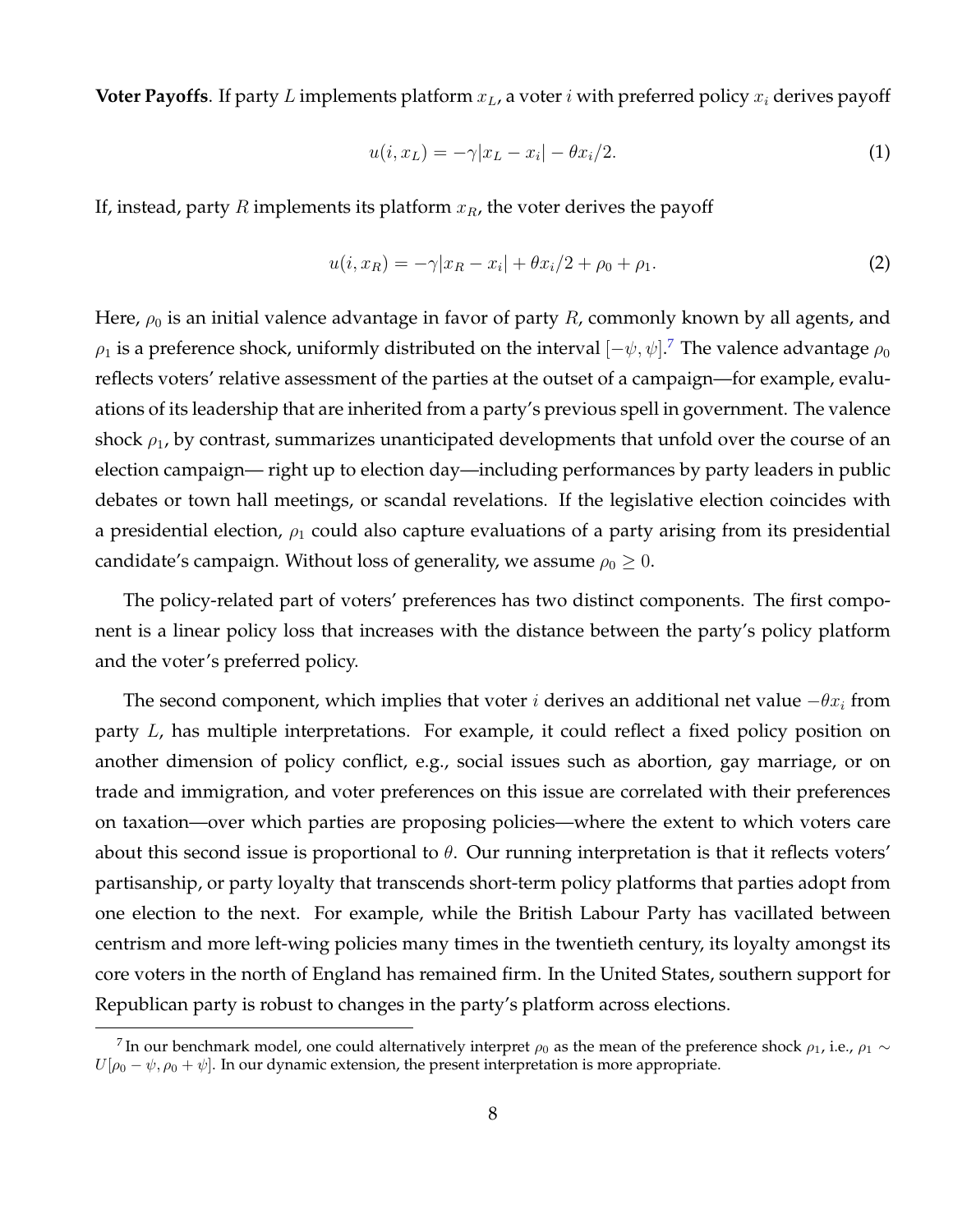**Voter Payoffs**. If party L implements platform  $x_L$ , a voter i with preferred policy  $x_i$  derives payoff

$$
u(i, x_L) = -\gamma |x_L - x_i| - \theta x_i/2. \tag{1}
$$

If, instead, party R implements its platform  $x_R$ , the voter derives the payoff

$$
u(i, x_R) = -\gamma |x_R - x_i| + \theta x_i/2 + \rho_0 + \rho_1.
$$
 (2)

Here,  $\rho_0$  is an initial valence advantage in favor of party R, commonly known by all agents, and  $\rho_1$  is a preference shock, uniformly distributed on the interval  $[-\psi,\psi].^7$  $[-\psi,\psi].^7$  The valence advantage  $\rho_0$ reflects voters' relative assessment of the parties at the outset of a campaign—for example, evaluations of its leadership that are inherited from a party's previous spell in government. The valence shock  $\rho_1$ , by contrast, summarizes unanticipated developments that unfold over the course of an election campaign— right up to election day—including performances by party leaders in public debates or town hall meetings, or scandal revelations. If the legislative election coincides with a presidential election,  $\rho_1$  could also capture evaluations of a party arising from its presidential candidate's campaign. Without loss of generality, we assume  $\rho_0 \geq 0$ .

The policy-related part of voters' preferences has two distinct components. The first component is a linear policy loss that increases with the distance between the party's policy platform and the voter's preferred policy.

The second component, which implies that voter *i* derives an additional net value  $-\theta x_i$  from party L, has multiple interpretations. For example, it could reflect a fixed policy position on another dimension of policy conflict, e.g., social issues such as abortion, gay marriage, or on trade and immigration, and voter preferences on this issue are correlated with their preferences on taxation—over which parties are proposing policies—where the extent to which voters care about this second issue is proportional to  $\theta$ . Our running interpretation is that it reflects voters' partisanship, or party loyalty that transcends short-term policy platforms that parties adopt from one election to the next. For example, while the British Labour Party has vacillated between centrism and more left-wing policies many times in the twentieth century, its loyalty amongst its core voters in the north of England has remained firm. In the United States, southern support for Republican party is robust to changes in the party's platform across elections.

<span id="page-8-0"></span> $^7$ In our benchmark model, one could alternatively interpret  $\rho_0$  as the mean of the preference shock  $\rho_1$ , i.e.,  $\rho_1\sim$  $U[\rho_0 - \psi, \rho_0 + \psi]$ . In our dynamic extension, the present interpretation is more appropriate.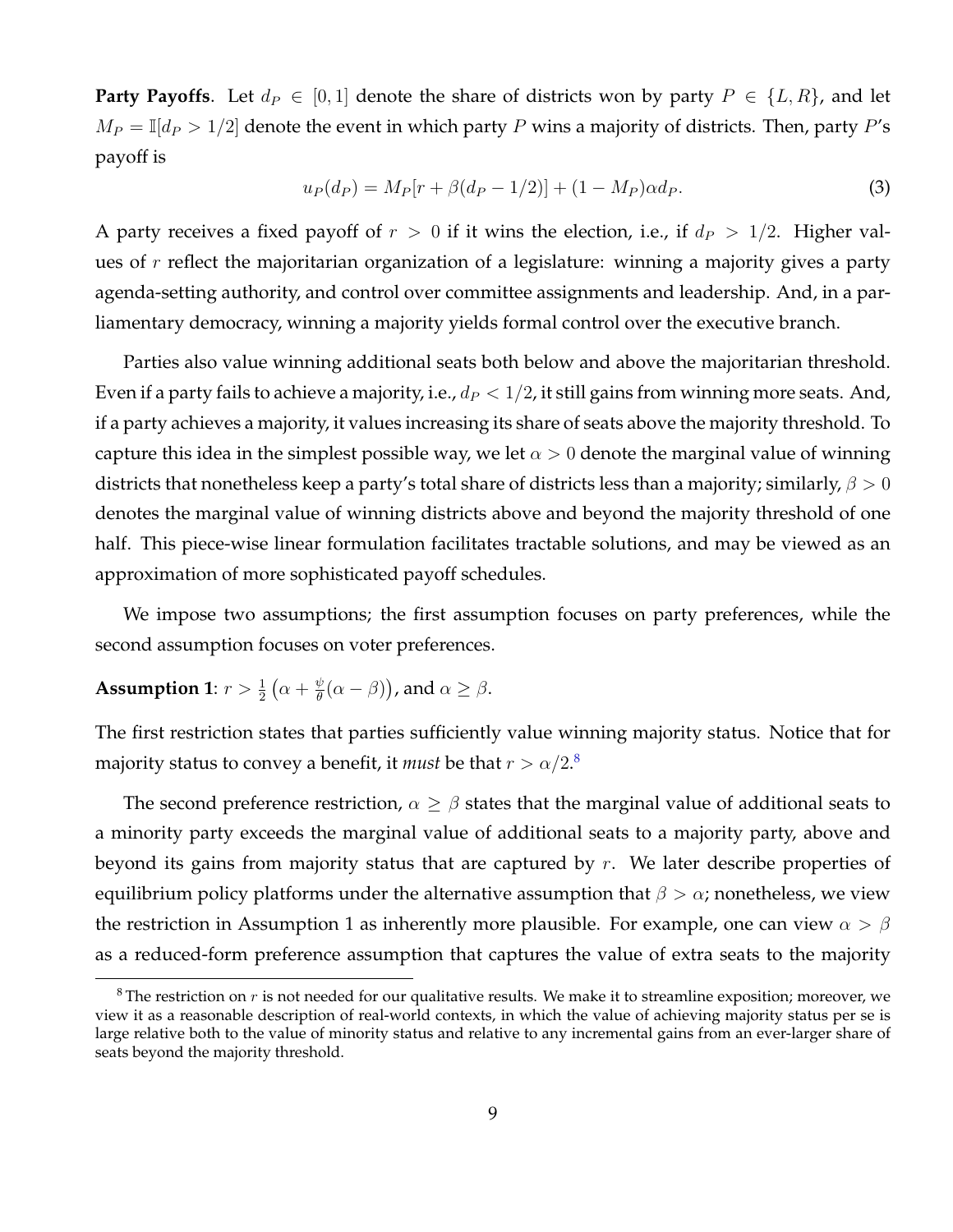**Party Payoffs**. Let  $d_P \in [0, 1]$  denote the share of districts won by party  $P \in \{L, R\}$ , and let  $M_P = \mathbb{I}[d_P > 1/2]$  denote the event in which party P wins a majority of districts. Then, party P's payoff is

<span id="page-9-1"></span>
$$
u_P(d_P) = M_P[r + \beta(d_P - 1/2)] + (1 - M_P)\alpha d_P.
$$
\n(3)

A party receives a fixed payoff of  $r > 0$  if it wins the election, i.e., if  $d_P > 1/2$ . Higher values of  $r$  reflect the majoritarian organization of a legislature: winning a majority gives a party agenda-setting authority, and control over committee assignments and leadership. And, in a parliamentary democracy, winning a majority yields formal control over the executive branch.

Parties also value winning additional seats both below and above the majoritarian threshold. Even if a party fails to achieve a majority, i.e.,  $d_P < 1/2$ , it still gains from winning more seats. And, if a party achieves a majority, it values increasing its share of seats above the majority threshold. To capture this idea in the simplest possible way, we let  $\alpha > 0$  denote the marginal value of winning districts that nonetheless keep a party's total share of districts less than a majority; similarly,  $\beta > 0$ denotes the marginal value of winning districts above and beyond the majority threshold of one half. This piece-wise linear formulation facilitates tractable solutions, and may be viewed as an approximation of more sophisticated payoff schedules.

We impose two assumptions; the first assumption focuses on party preferences, while the second assumption focuses on voter preferences.

#### Assumption 1:  $r > \frac{1}{2} \left( \alpha + \frac{\psi}{\theta} \right)$  $\frac{\psi}{\theta}(\alpha - \beta)$ ), and  $\alpha \geq \beta$ .

The first restriction states that parties sufficiently value winning majority status. Notice that for majority status to convey a benefit*,* it  $must$  be that  $r > \alpha/2.^8$  $r > \alpha/2.^8$ 

The second preference restriction,  $\alpha \geq \beta$  states that the marginal value of additional seats to a minority party exceeds the marginal value of additional seats to a majority party, above and beyond its gains from majority status that are captured by  $r$ . We later describe properties of equilibrium policy platforms under the alternative assumption that  $\beta > \alpha$ ; nonetheless, we view the restriction in Assumption 1 as inherently more plausible. For example, one can view  $\alpha > \beta$ as a reduced-form preference assumption that captures the value of extra seats to the majority

<span id="page-9-0"></span> $8$ The restriction on r is not needed for our qualitative results. We make it to streamline exposition; moreover, we view it as a reasonable description of real-world contexts, in which the value of achieving majority status per se is large relative both to the value of minority status and relative to any incremental gains from an ever-larger share of seats beyond the majority threshold.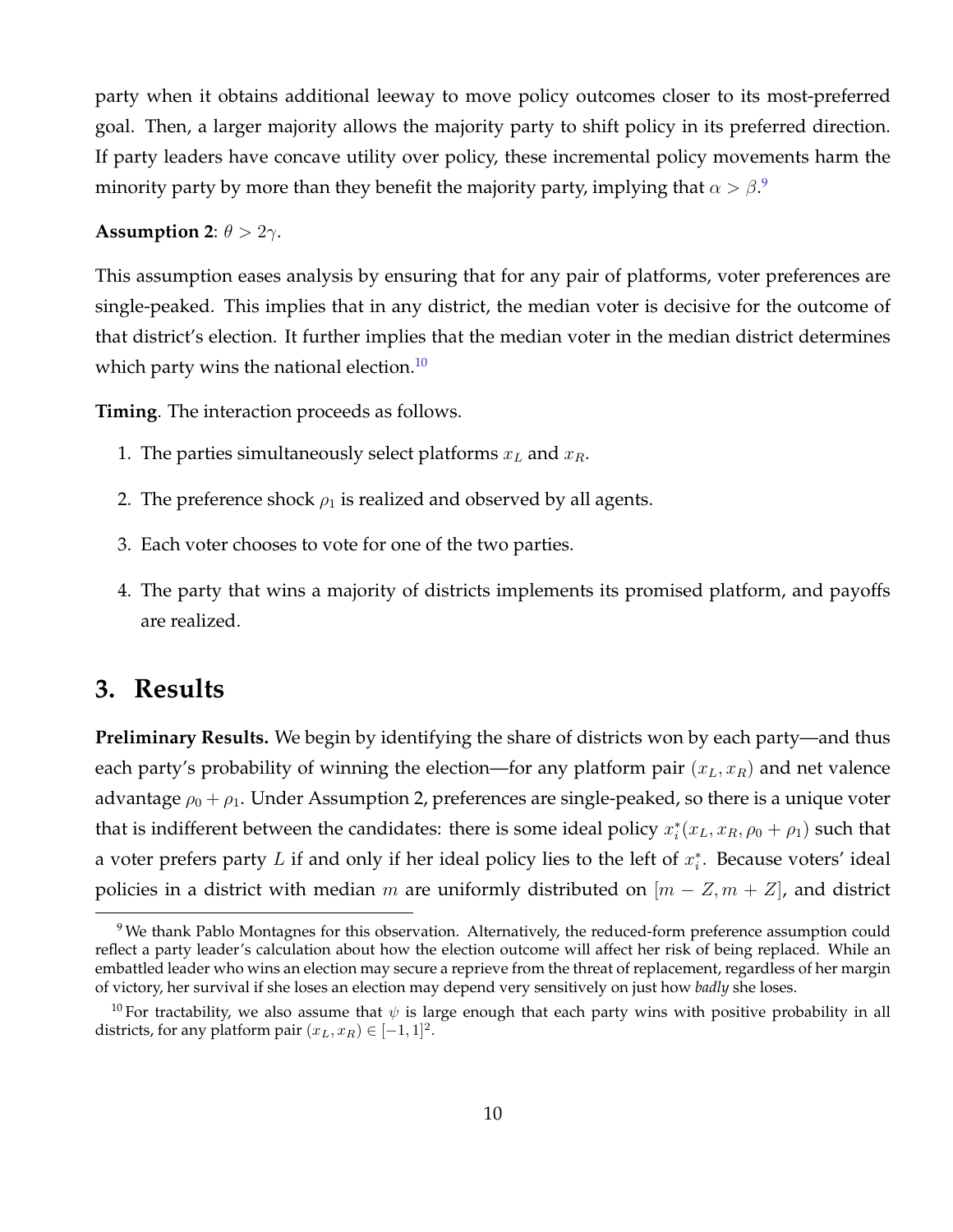party when it obtains additional leeway to move policy outcomes closer to its most-preferred goal. Then, a larger majority allows the majority party to shift policy in its preferred direction. If party leaders have concave utility over policy, these incremental policy movements harm the minority party by more than they benefit the majority party, implying that  $\alpha>\beta.$   $^\circ$ 

#### **Assumption 2:**  $\theta > 2\gamma$ .

This assumption eases analysis by ensuring that for any pair of platforms, voter preferences are single-peaked. This implies that in any district, the median voter is decisive for the outcome of that district's election. It further implies that the median voter in the median district determines which party wins the national election.<sup>[10](#page-10-1)</sup>

**Timing**. The interaction proceeds as follows.

- 1. The parties simultaneously select platforms  $x_L$  and  $x_R$ .
- 2. The preference shock  $\rho_1$  is realized and observed by all agents.
- 3. Each voter chooses to vote for one of the two parties.
- 4. The party that wins a majority of districts implements its promised platform, and payoffs are realized.

### **3. Results**

**Preliminary Results.** We begin by identifying the share of districts won by each party—and thus each party's probability of winning the election—for any platform pair  $(x_L, x_R)$  and net valence advantage  $\rho_0 + \rho_1$ . Under Assumption 2, preferences are single-peaked, so there is a unique voter that is indifferent between the candidates: there is some ideal policy  $x_i^*(x_L, x_R, \rho_0 + \rho_1)$  such that a voter prefers party L if and only if her ideal policy lies to the left of  $x_i^*$ . Because voters' ideal policies in a district with median m are uniformly distributed on  $[m - Z, m + Z]$ , and district

<span id="page-10-0"></span><sup>&</sup>lt;sup>9</sup> We thank Pablo Montagnes for this observation. Alternatively, the reduced-form preference assumption could reflect a party leader's calculation about how the election outcome will affect her risk of being replaced. While an embattled leader who wins an election may secure a reprieve from the threat of replacement, regardless of her margin of victory, her survival if she loses an election may depend very sensitively on just how *badly* she loses.

<span id="page-10-1"></span><sup>&</sup>lt;sup>10</sup> For tractability, we also assume that  $\psi$  is large enough that each party wins with positive probability in all districts, for any platform pair  $(x_L, x_R) \in [-1, 1]^2$ .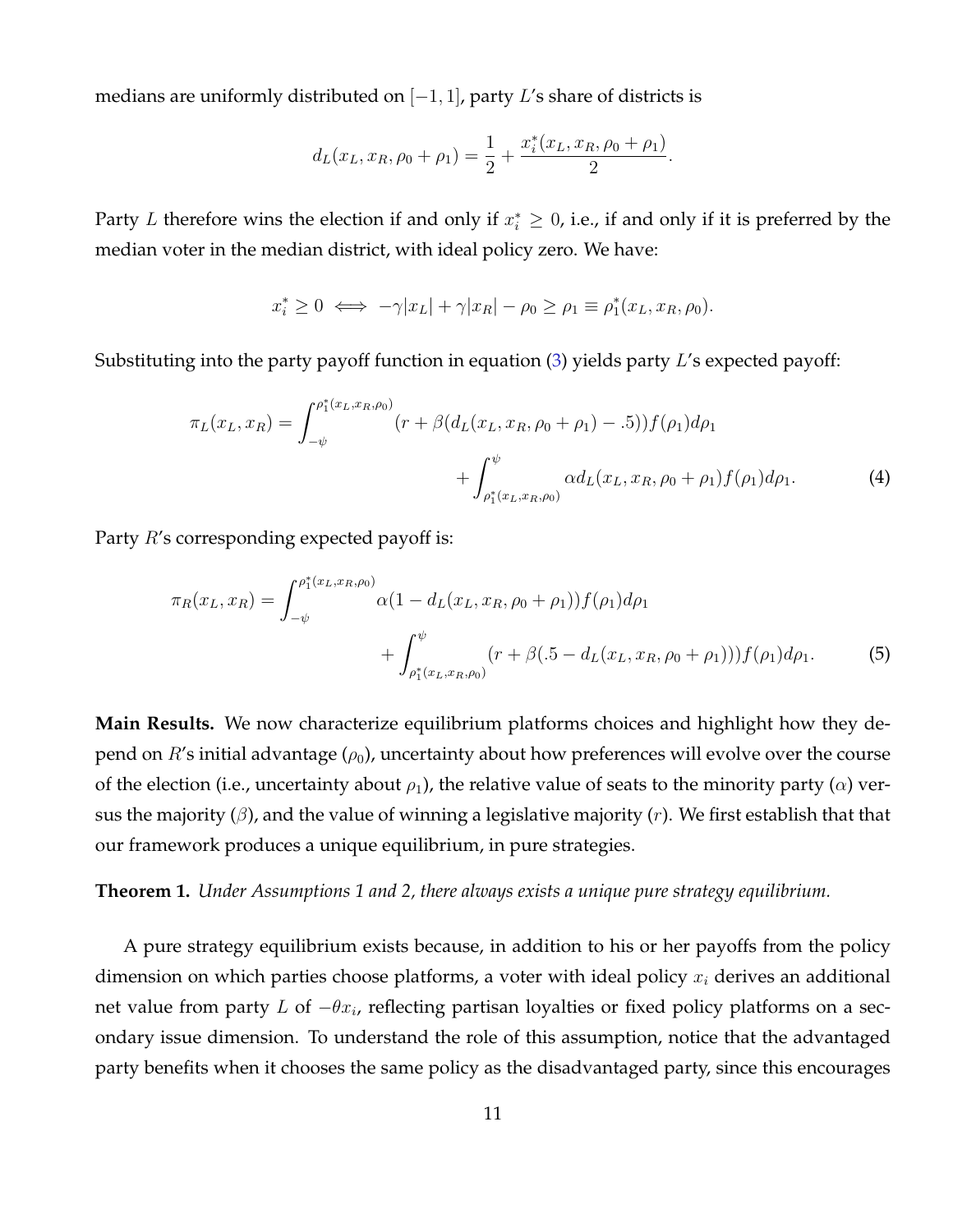medians are uniformly distributed on  $[-1, 1]$ , party L's share of districts is

$$
d_L(x_L, x_R, \rho_0 + \rho_1) = \frac{1}{2} + \frac{x_i^*(x_L, x_R, \rho_0 + \rho_1)}{2}.
$$

Party L therefore wins the election if and only if  $x_i^* \geq 0$ , i.e., if and only if it is preferred by the median voter in the median district, with ideal policy zero. We have:

$$
x_i^* \ge 0 \iff -\gamma |x_L| + \gamma |x_R| - \rho_0 \ge \rho_1 \equiv \rho_1^*(x_L, x_R, \rho_0).
$$

Substituting into the party payoff function in equation  $(3)$  yields party L's expected payoff:

$$
\pi_L(x_L, x_R) = \int_{-\psi}^{\rho_1^*(x_L, x_R, \rho_0)} (r + \beta(d_L(x_L, x_R, \rho_0 + \rho_1) - .5)) f(\rho_1) d\rho_1 \n+ \int_{\rho_1^*(x_L, x_R, \rho_0)}^{\psi} \alpha d_L(x_L, x_R, \rho_0 + \rho_1) f(\rho_1) d\rho_1.
$$
\n(4)

Party  $R$ 's corresponding expected payoff is:

$$
\pi_R(x_L, x_R) = \int_{-\psi}^{\rho_1^*(x_L, x_R, \rho_0)} \alpha (1 - d_L(x_L, x_R, \rho_0 + \rho_1)) f(\rho_1) d\rho_1 + \int_{\rho_1^*(x_L, x_R, \rho_0)}^{\psi} (r + \beta (0.5 - d_L(x_L, x_R, \rho_0 + \rho_1))) f(\rho_1) d\rho_1.
$$
 (5)

**Main Results.** We now characterize equilibrium platforms choices and highlight how they depend on  $R$ 's initial advantage  $(\rho_0)$ , uncertainty about how preferences will evolve over the course of the election (i.e., uncertainty about  $\rho_1$ ), the relative value of seats to the minority party ( $\alpha$ ) versus the majority ( $\beta$ ), and the value of winning a legislative majority (r). We first establish that that our framework produces a unique equilibrium, in pure strategies.

**Theorem 1.** *Under Assumptions 1 and 2, there always exists a unique pure strategy equilibrium.*

A pure strategy equilibrium exists because, in addition to his or her payoffs from the policy dimension on which parties choose platforms, a voter with ideal policy  $x_i$  derives an additional net value from party L of  $-\theta x_i$ , reflecting partisan loyalties or fixed policy platforms on a secondary issue dimension. To understand the role of this assumption, notice that the advantaged party benefits when it chooses the same policy as the disadvantaged party, since this encourages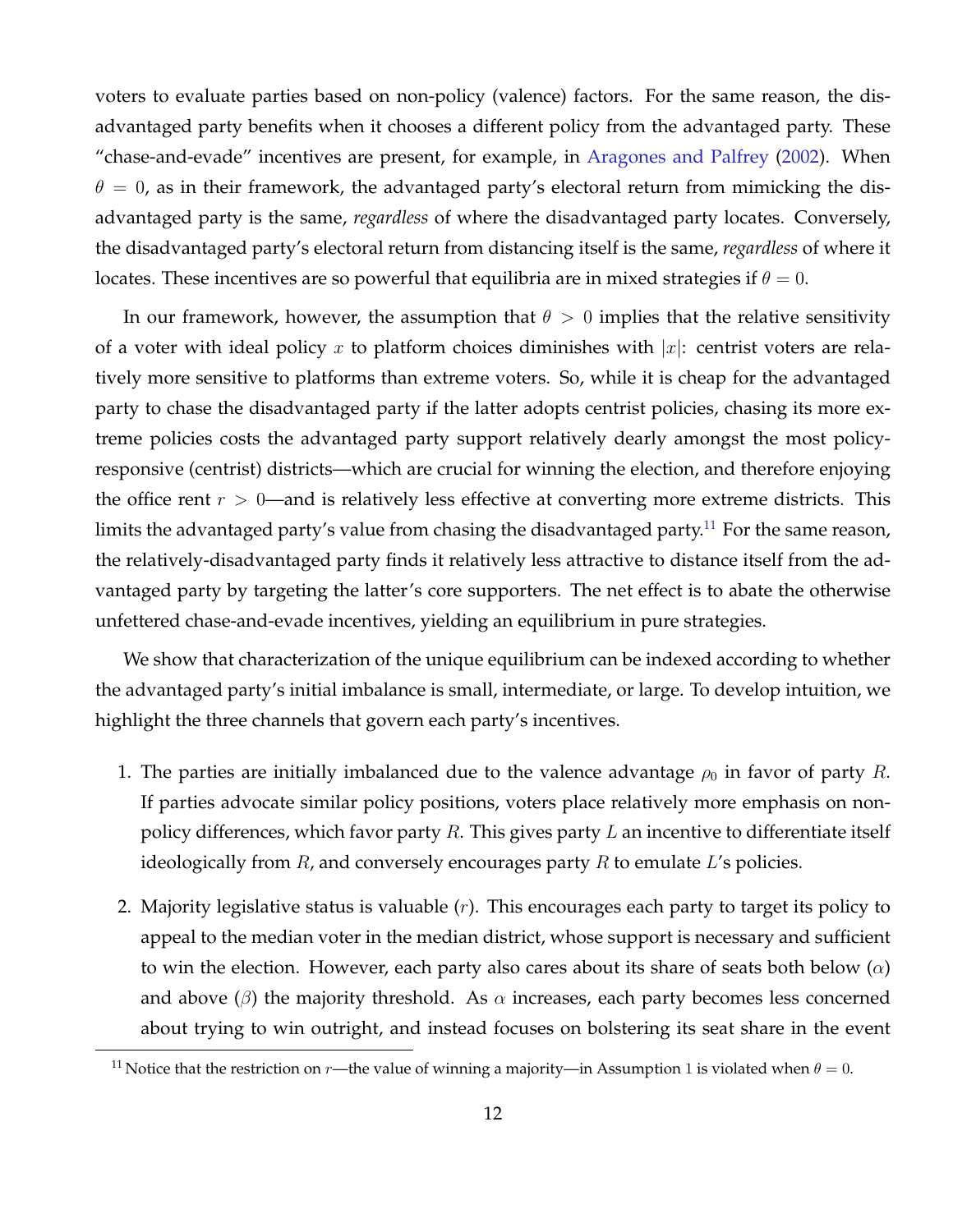voters to evaluate parties based on non-policy (valence) factors. For the same reason, the disadvantaged party benefits when it chooses a different policy from the advantaged party. These "chase-and-evade" incentives are present, for example, in [Aragones and Palfrey](#page-23-0) [\(2002\)](#page-23-0). When  $\theta = 0$ , as in their framework, the advantaged party's electoral return from mimicking the disadvantaged party is the same, *regardless* of where the disadvantaged party locates. Conversely, the disadvantaged party's electoral return from distancing itself is the same, *regardless* of where it locates. These incentives are so powerful that equilibria are in mixed strategies if  $\theta = 0$ .

In our framework, however, the assumption that  $\theta > 0$  implies that the relative sensitivity of a voter with ideal policy x to platform choices diminishes with  $|x|$ : centrist voters are relatively more sensitive to platforms than extreme voters. So, while it is cheap for the advantaged party to chase the disadvantaged party if the latter adopts centrist policies, chasing its more extreme policies costs the advantaged party support relatively dearly amongst the most policyresponsive (centrist) districts—which are crucial for winning the election, and therefore enjoying the office rent  $r > 0$ —and is relatively less effective at converting more extreme districts. This limits the advantaged party's value from chasing the disadvantaged party.<sup>[11](#page-12-0)</sup> For the same reason, the relatively-disadvantaged party finds it relatively less attractive to distance itself from the advantaged party by targeting the latter's core supporters. The net effect is to abate the otherwise unfettered chase-and-evade incentives, yielding an equilibrium in pure strategies.

We show that characterization of the unique equilibrium can be indexed according to whether the advantaged party's initial imbalance is small, intermediate, or large. To develop intuition, we highlight the three channels that govern each party's incentives.

- 1. The parties are initially imbalanced due to the valence advantage  $\rho_0$  in favor of party R. If parties advocate similar policy positions, voters place relatively more emphasis on nonpolicy differences, which favor party R. This gives party L an incentive to differentiate itself ideologically from  $R$ , and conversely encourages party  $R$  to emulate  $L$ 's policies.
- 2. Majority legislative status is valuable  $(r)$ . This encourages each party to target its policy to appeal to the median voter in the median district, whose support is necessary and sufficient to win the election. However, each party also cares about its share of seats both below  $(\alpha)$ and above ( $\beta$ ) the majority threshold. As  $\alpha$  increases, each party becomes less concerned about trying to win outright, and instead focuses on bolstering its seat share in the event

<span id="page-12-0"></span><sup>&</sup>lt;sup>11</sup> Notice that the restriction on *r*—the value of winning a majority—in Assumption 1 is violated when  $\theta = 0$ .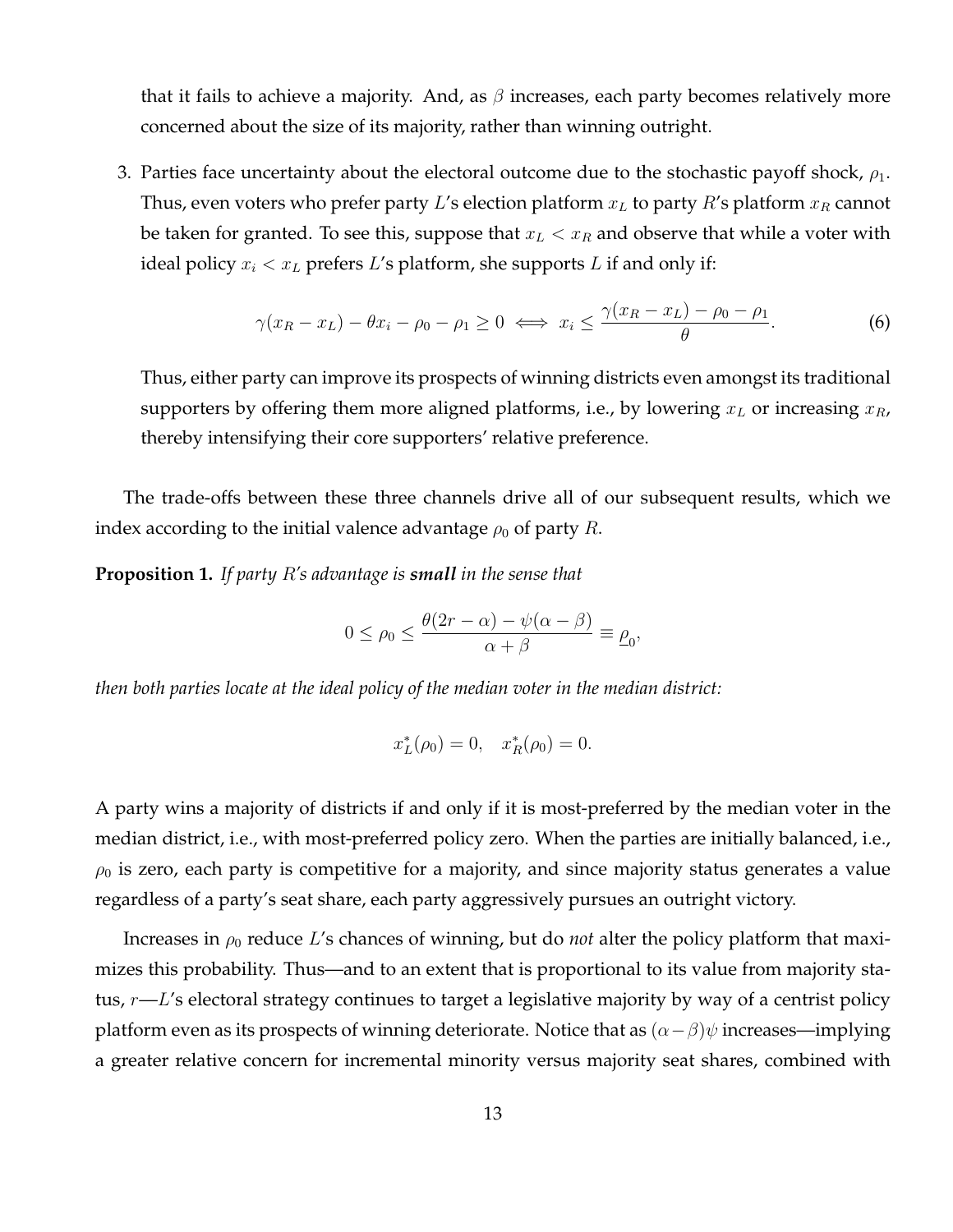that it fails to achieve a majority. And, as  $\beta$  increases, each party becomes relatively more concerned about the size of its majority, rather than winning outright.

3. Parties face uncertainty about the electoral outcome due to the stochastic payoff shock,  $\rho_1$ . Thus, even voters who prefer party L's election platform  $x_L$  to party R's platform  $x_R$  cannot be taken for granted. To see this, suppose that  $x_L < x_R$  and observe that while a voter with ideal policy  $x_i < x_L$  prefers L's platform, she supports L if and only if:

$$
\gamma(x_R - x_L) - \theta x_i - \rho_0 - \rho_1 \ge 0 \iff x_i \le \frac{\gamma(x_R - x_L) - \rho_0 - \rho_1}{\theta}.\tag{6}
$$

Thus, either party can improve its prospects of winning districts even amongst its traditional supporters by offering them more aligned platforms, i.e., by lowering  $x_L$  or increasing  $x_R$ , thereby intensifying their core supporters' relative preference.

The trade-offs between these three channels drive all of our subsequent results, which we index according to the initial valence advantage  $\rho_0$  of party R.

<span id="page-13-0"></span>**Proposition 1.** *If party* R*'s advantage is small in the sense that*

$$
0 \le \rho_0 \le \frac{\theta(2r - \alpha) - \psi(\alpha - \beta)}{\alpha + \beta} \equiv \rho_0,
$$

*then both parties locate at the ideal policy of the median voter in the median district:*

$$
x_L^*(\rho_0) = 0, \quad x_R^*(\rho_0) = 0.
$$

A party wins a majority of districts if and only if it is most-preferred by the median voter in the median district, i.e., with most-preferred policy zero. When the parties are initially balanced, i.e.,  $\rho_0$  is zero, each party is competitive for a majority, and since majority status generates a value regardless of a party's seat share, each party aggressively pursues an outright victory.

Increases in  $\rho_0$  reduce L's chances of winning, but do *not* alter the policy platform that maximizes this probability. Thus—and to an extent that is proportional to its value from majority status,  $r$ — $L$ 's electoral strategy continues to target a legislative majority by way of a centrist policy platform even as its prospects of winning deteriorate. Notice that as  $(\alpha-\beta)\psi$  increases—implying a greater relative concern for incremental minority versus majority seat shares, combined with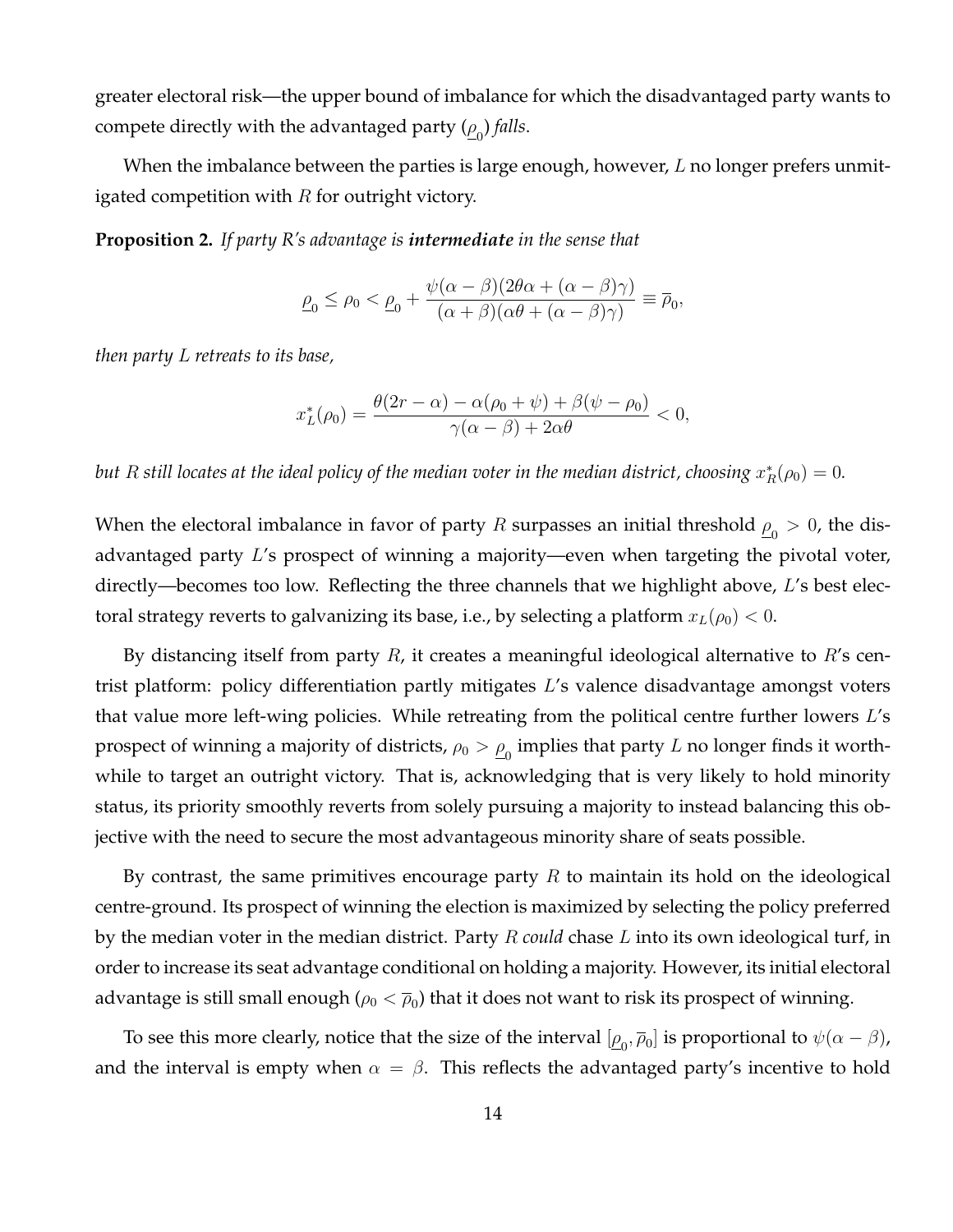greater electoral risk—the upper bound of imbalance for which the disadvantaged party wants to compete directly with the advantaged party  $(\underline{\rho}_0)$  *falls*.

When the imbalance between the parties is large enough, however,  $L$  no longer prefers unmitigated competition with  $R$  for outright victory.

<span id="page-14-0"></span>**Proposition 2.** *If party R's advantage is intermediate in the sense that*

$$
\underline{\rho}_0 \le \rho_0 < \underline{\rho}_0 + \frac{\psi(\alpha - \beta)(2\theta\alpha + (\alpha - \beta)\gamma)}{(\alpha + \beta)(\alpha\theta + (\alpha - \beta)\gamma)} \equiv \overline{\rho}_0,
$$

*then party* L *retreats to its base,*

$$
x_L^*(\rho_0) = \frac{\theta(2r - \alpha) - \alpha(\rho_0 + \psi) + \beta(\psi - \rho_0)}{\gamma(\alpha - \beta) + 2\alpha\theta} < 0,
$$

 $b$ ut  $R$  still locates at the ideal policy of the median voter in the median district, choosing  $x_R^*(\rho_0)=0.$ 

When the electoral imbalance in favor of party  $R$  surpasses an initial threshold  $\underline{\rho}_0>0$ , the disadvantaged party L's prospect of winning a majority—even when targeting the pivotal voter, directly—becomes too low. Reflecting the three channels that we highlight above, L's best electoral strategy reverts to galvanizing its base, i.e., by selecting a platform  $x_L(\rho_0) < 0$ .

By distancing itself from party  $R$ , it creates a meaningful ideological alternative to  $R$ 's centrist platform: policy differentiation partly mitigates L's valence disadvantage amongst voters that value more left-wing policies. While retreating from the political centre further lowers L's prospect of winning a majority of districts,  $\rho_0 > \underline{\rho}_0$  implies that party  $L$  no longer finds it worthwhile to target an outright victory. That is, acknowledging that is very likely to hold minority status, its priority smoothly reverts from solely pursuing a majority to instead balancing this objective with the need to secure the most advantageous minority share of seats possible.

By contrast, the same primitives encourage party  $R$  to maintain its hold on the ideological centre-ground. Its prospect of winning the election is maximized by selecting the policy preferred by the median voter in the median district. Party R *could* chase L into its own ideological turf, in order to increase its seat advantage conditional on holding a majority. However, its initial electoral advantage is still small enough ( $\rho_0<\overline{\rho}_0)$  that it does not want to risk its prospect of winning.

To see this more clearly, notice that the size of the interval  $[\underline{\rho}_0,\overline{\rho}_0]$  is proportional to  $\psi(\alpha-\beta)$ , and the interval is empty when  $\alpha = \beta$ . This reflects the advantaged party's incentive to hold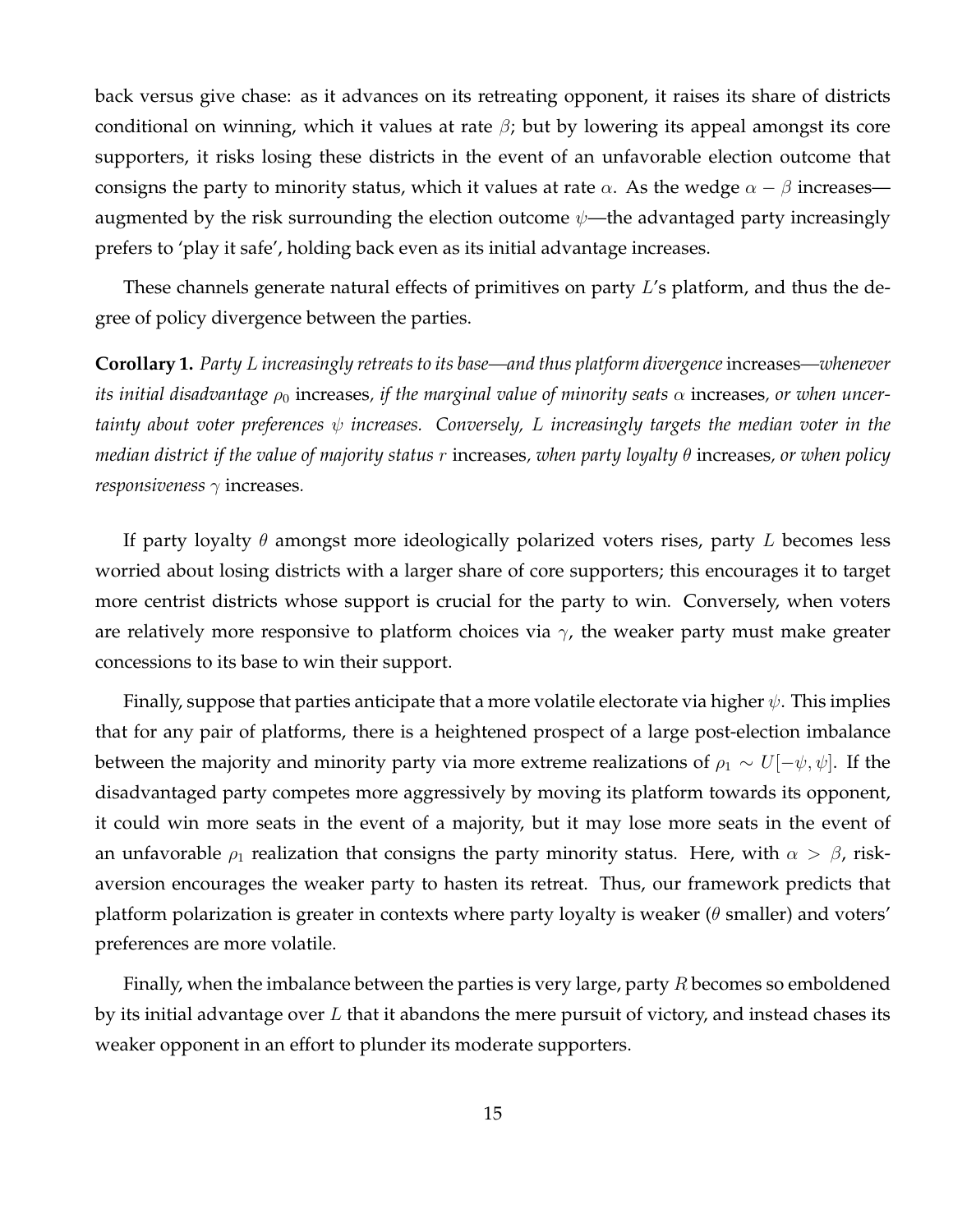back versus give chase: as it advances on its retreating opponent, it raises its share of districts conditional on winning, which it values at rate  $\beta$ ; but by lowering its appeal amongst its core supporters, it risks losing these districts in the event of an unfavorable election outcome that consigns the party to minority status, which it values at rate  $\alpha$ . As the wedge  $\alpha - \beta$  increases augmented by the risk surrounding the election outcome  $\psi$ —the advantaged party increasingly prefers to 'play it safe', holding back even as its initial advantage increases.

These channels generate natural effects of primitives on party L's platform, and thus the degree of policy divergence between the parties.

<span id="page-15-0"></span>**Corollary 1.** *Party* L *increasingly retreats to its base—and thus platform divergence*increases*—whenever its initial disadvantage*  $\rho_0$  increases, *if the marginal value of minority seats*  $\alpha$  increases, *or when uncertainty about voter preferences* ψ *increases. Conversely,* L *increasingly targets the median voter in the median district if the value of majority status* r increases*, when party loyalty* θ increases*, or when policy responsiveness*  $\gamma$  increases.

If party loyalty  $\theta$  amongst more ideologically polarized voters rises, party L becomes less worried about losing districts with a larger share of core supporters; this encourages it to target more centrist districts whose support is crucial for the party to win. Conversely, when voters are relatively more responsive to platform choices via  $\gamma$ , the weaker party must make greater concessions to its base to win their support.

Finally, suppose that parties anticipate that a more volatile electorate via higher  $\psi$ . This implies that for any pair of platforms, there is a heightened prospect of a large post-election imbalance between the majority and minority party via more extreme realizations of  $\rho_1 \sim U[-\psi, \psi]$ . If the disadvantaged party competes more aggressively by moving its platform towards its opponent, it could win more seats in the event of a majority, but it may lose more seats in the event of an unfavorable  $\rho_1$  realization that consigns the party minority status. Here, with  $\alpha > \beta$ , riskaversion encourages the weaker party to hasten its retreat. Thus, our framework predicts that platform polarization is greater in contexts where party loyalty is weaker ( $\theta$  smaller) and voters' preferences are more volatile.

Finally, when the imbalance between the parties is very large, party  $R$  becomes so emboldened by its initial advantage over  $L$  that it abandons the mere pursuit of victory, and instead chases its weaker opponent in an effort to plunder its moderate supporters.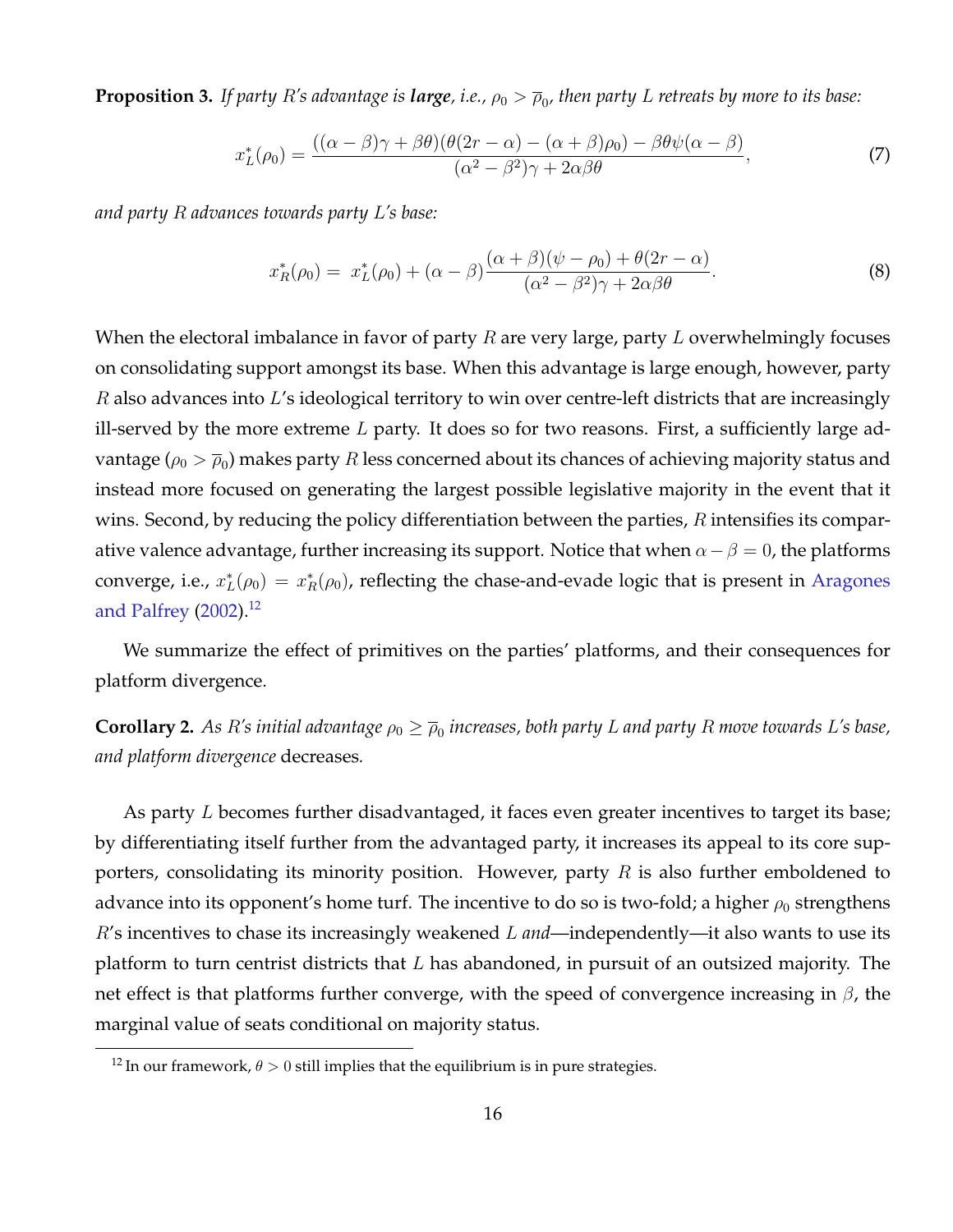<span id="page-16-1"></span> ${\bf Proposition 3.}$  *If party*  $R'$ *s advantage is*  ${\bm l}$ *arge, i.e.,*  $\rho_0 > \overline\rho_0$ *, then party*  $L$  *retreats by more to its base:* 

$$
x_L^*(\rho_0) = \frac{((\alpha - \beta)\gamma + \beta\theta)(\theta(2r - \alpha) - (\alpha + \beta)\rho_0) - \beta\theta\psi(\alpha - \beta)}{(\alpha^2 - \beta^2)\gamma + 2\alpha\beta\theta},\tag{7}
$$

*and party* R *advances towards party* L*'s base:*

$$
x_R^*(\rho_0) = x_L^*(\rho_0) + (\alpha - \beta) \frac{(\alpha + \beta)(\psi - \rho_0) + \theta(2r - \alpha)}{(\alpha^2 - \beta^2)\gamma + 2\alpha\beta\theta}.
$$
 (8)

When the electoral imbalance in favor of party  $R$  are very large, party  $L$  overwhelmingly focuses on consolidating support amongst its base. When this advantage is large enough, however, party  $R$  also advances into  $L$ 's ideological territory to win over centre-left districts that are increasingly ill-served by the more extreme  $L$  party. It does so for two reasons. First, a sufficiently large advantage ( $\rho_0 > \overline{\rho}_0$ ) makes party  $R$  less concerned about its chances of achieving majority status and instead more focused on generating the largest possible legislative majority in the event that it wins. Second, by reducing the policy differentiation between the parties,  $R$  intensifies its comparative valence advantage, further increasing its support. Notice that when  $\alpha-\beta=0$ , the platforms converge, i.e.,  $x_L^*(\rho_0) = x_R^*(\rho_0)$ , reflecting the chase-and-evade logic that is present in [Aragones](#page-23-0) [and Palfrey](#page-23-0) [\(2002\)](#page-23-0).<sup>[12](#page-16-0)</sup>

We summarize the effect of primitives on the parties' platforms, and their consequences for platform divergence.

<span id="page-16-2"></span> $\bf{Corollary 2.}$  As  $R'$ s initial advantage  $\rho_0 \geq \overline{\rho}_0$  increases, both party  $L$  and party  $R$  move towards  $L'$ s base, *and platform divergence* decreases*.*

As party L becomes further disadvantaged, it faces even greater incentives to target its base; by differentiating itself further from the advantaged party, it increases its appeal to its core supporters, consolidating its minority position. However, party  $R$  is also further emboldened to advance into its opponent's home turf. The incentive to do so is two-fold; a higher  $\rho_0$  strengthens R's incentives to chase its increasingly weakened L *and*—independently—it also wants to use its platform to turn centrist districts that  $L$  has abandoned, in pursuit of an outsized majority. The net effect is that platforms further converge, with the speed of convergence increasing in  $\beta$ , the marginal value of seats conditional on majority status.

<span id="page-16-0"></span><sup>&</sup>lt;sup>12</sup> In our framework,  $\theta > 0$  still implies that the equilibrium is in pure strategies.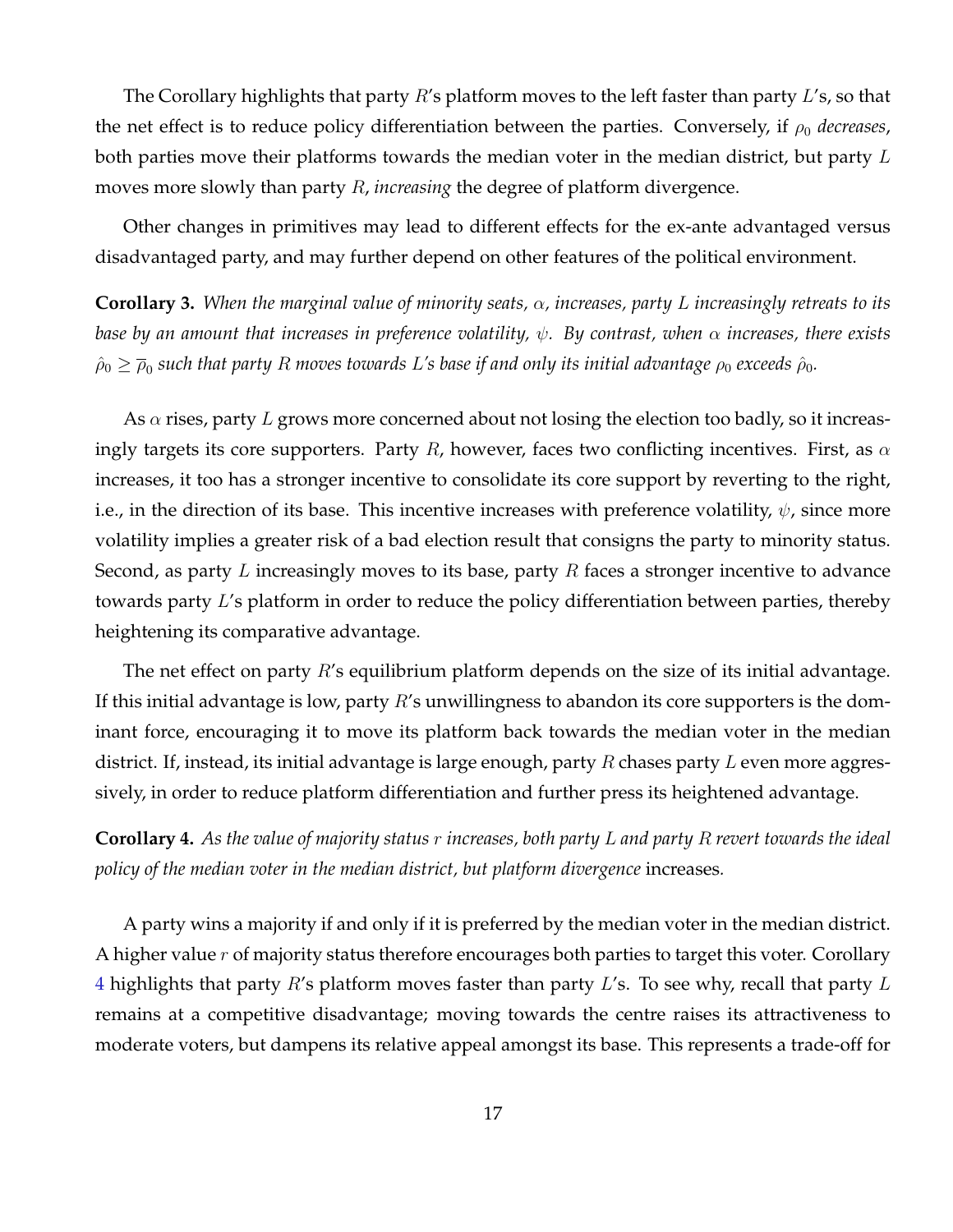The Corollary highlights that party  $R$ 's platform moves to the left faster than party  $L$ 's, so that the net effect is to reduce policy differentiation between the parties. Conversely, if  $\rho_0$  *decreases*, both parties move their platforms towards the median voter in the median district, but party  $L$ moves more slowly than party R, *increasing* the degree of platform divergence.

Other changes in primitives may lead to different effects for the ex-ante advantaged versus disadvantaged party, and may further depend on other features of the political environment.

<span id="page-17-1"></span>**Corollary 3.** *When the marginal value of minority seats,* α*, increases, party* L *increasingly retreats to its base by an amount that increases in preference volatility,* ψ*. By contrast, when* α *increases, there exists*  $\hat{\rho}_0 \ge \overline{\rho}_0$  such that party  $R$  moves towards  $L$ 's base if and only its initial advantage  $\rho_0$  exceeds  $\hat{\rho}_0$ .

As  $\alpha$  rises, party L grows more concerned about not losing the election too badly, so it increasingly targets its core supporters. Party R, however, faces two conflicting incentives. First, as  $\alpha$ increases, it too has a stronger incentive to consolidate its core support by reverting to the right, i.e., in the direction of its base. This incentive increases with preference volatility,  $\psi$ , since more volatility implies a greater risk of a bad election result that consigns the party to minority status. Second, as party L increasingly moves to its base, party R faces a stronger incentive to advance towards party L's platform in order to reduce the policy differentiation between parties, thereby heightening its comparative advantage.

The net effect on party  $R$ 's equilibrium platform depends on the size of its initial advantage. If this initial advantage is low, party  $R'$ s unwillingness to abandon its core supporters is the dominant force, encouraging it to move its platform back towards the median voter in the median district. If, instead, its initial advantage is large enough, party  $R$  chases party  $L$  even more aggressively, in order to reduce platform differentiation and further press its heightened advantage.

<span id="page-17-0"></span>**Corollary 4.** *As the value of majority status* r *increases, both party* L *and party* R *revert towards the ideal policy of the median voter in the median district, but platform divergence* increases*.*

A party wins a majority if and only if it is preferred by the median voter in the median district. A higher value  $r$  of majority status therefore encourages both parties to target this voter. Corollary [4](#page-17-0) highlights that party R's platform moves faster than party L's. To see why, recall that party L remains at a competitive disadvantage; moving towards the centre raises its attractiveness to moderate voters, but dampens its relative appeal amongst its base. This represents a trade-off for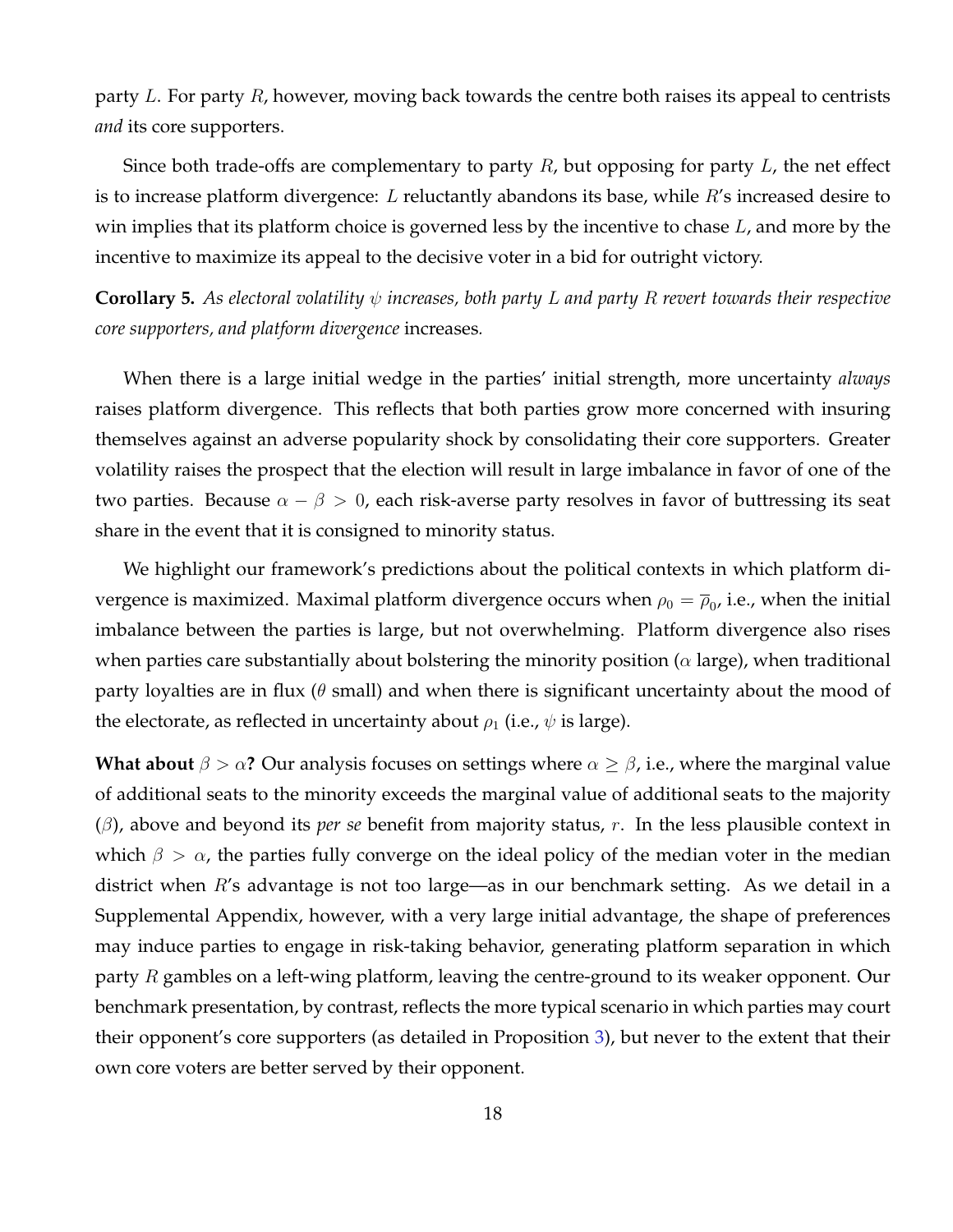party L. For party  $R$ , however, moving back towards the centre both raises its appeal to centrists *and* its core supporters.

Since both trade-offs are complementary to party  $R$ , but opposing for party  $L$ , the net effect is to increase platform divergence: L reluctantly abandons its base, while  $R$ 's increased desire to win implies that its platform choice is governed less by the incentive to chase  $L$ , and more by the incentive to maximize its appeal to the decisive voter in a bid for outright victory.

<span id="page-18-0"></span>**Corollary 5.** *As electoral volatility* ψ *increases, both party* L *and party* R *revert towards their respective core supporters, and platform divergence* increases*.*

When there is a large initial wedge in the parties' initial strength, more uncertainty *always* raises platform divergence. This reflects that both parties grow more concerned with insuring themselves against an adverse popularity shock by consolidating their core supporters. Greater volatility raises the prospect that the election will result in large imbalance in favor of one of the two parties. Because  $\alpha - \beta > 0$ , each risk-averse party resolves in favor of buttressing its seat share in the event that it is consigned to minority status.

We highlight our framework's predictions about the political contexts in which platform divergence is maximized. Maximal platform divergence occurs when  $\rho_0 = \overline{\rho}_0$ , i.e., when the initial imbalance between the parties is large, but not overwhelming. Platform divergence also rises when parties care substantially about bolstering the minority position ( $\alpha$  large), when traditional party loyalties are in flux ( $\theta$  small) and when there is significant uncertainty about the mood of the electorate, as reflected in uncertainty about  $\rho_1$  (i.e.,  $\psi$  is large).

**What about**  $\beta > \alpha$ ? Our analysis focuses on settings where  $\alpha \geq \beta$ , i.e., where the marginal value of additional seats to the minority exceeds the marginal value of additional seats to the majority (β), above and beyond its *per se* benefit from majority status, r. In the less plausible context in which  $\beta > \alpha$ , the parties fully converge on the ideal policy of the median voter in the median district when R's advantage is not too large—as in our benchmark setting. As we detail in a Supplemental Appendix, however, with a very large initial advantage, the shape of preferences may induce parties to engage in risk-taking behavior, generating platform separation in which party  $R$  gambles on a left-wing platform, leaving the centre-ground to its weaker opponent. Our benchmark presentation, by contrast, reflects the more typical scenario in which parties may court their opponent's core supporters (as detailed in Proposition [3\)](#page-16-1), but never to the extent that their own core voters are better served by their opponent.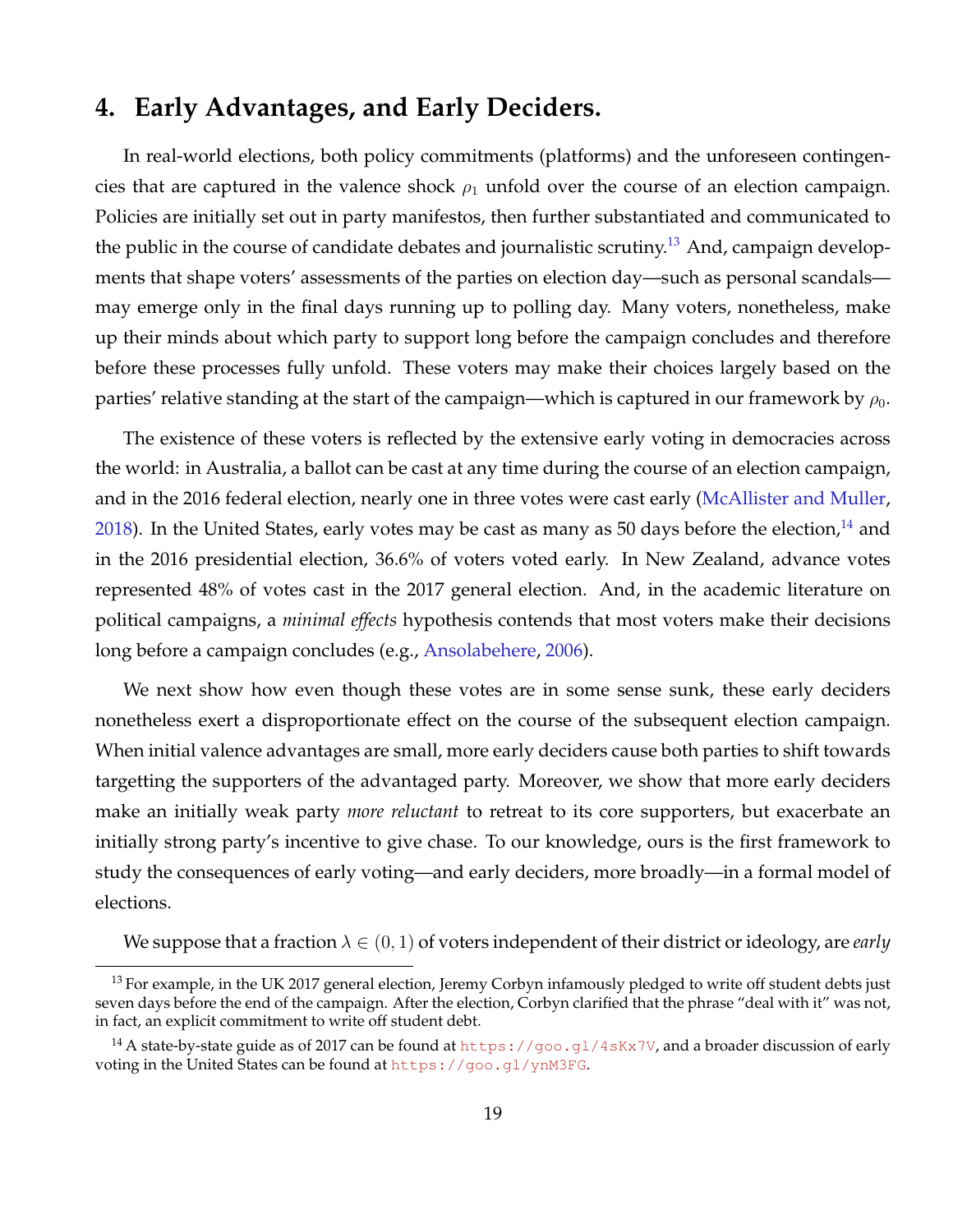## **4. Early Advantages, and Early Deciders.**

In real-world elections, both policy commitments (platforms) and the unforeseen contingencies that are captured in the valence shock  $\rho_1$  unfold over the course of an election campaign. Policies are initially set out in party manifestos, then further substantiated and communicated to the public in the course of candidate debates and journalistic scrutiny.<sup>[13](#page-19-0)</sup> And, campaign developments that shape voters' assessments of the parties on election day—such as personal scandals may emerge only in the final days running up to polling day. Many voters, nonetheless, make up their minds about which party to support long before the campaign concludes and therefore before these processes fully unfold. These voters may make their choices largely based on the parties' relative standing at the start of the campaign—which is captured in our framework by  $\rho_0$ .

The existence of these voters is reflected by the extensive early voting in democracies across the world: in Australia, a ballot can be cast at any time during the course of an election campaign, and in the 2016 federal election, nearly one in three votes were cast early [\(McAllister and Muller,](#page-24-11) [2018\)](#page-24-11). In the United States, early votes may be cast as many as 50 days before the election,  $^{14}$  $^{14}$  $^{14}$  and in the 2016 presidential election, 36.6% of voters voted early. In New Zealand, advance votes represented 48% of votes cast in the 2017 general election. And, in the academic literature on political campaigns, a *minimal effects* hypothesis contends that most voters make their decisions long before a campaign concludes (e.g., [Ansolabehere,](#page-23-2) [2006\)](#page-23-2).

We next show how even though these votes are in some sense sunk, these early deciders nonetheless exert a disproportionate effect on the course of the subsequent election campaign. When initial valence advantages are small, more early deciders cause both parties to shift towards targetting the supporters of the advantaged party. Moreover, we show that more early deciders make an initially weak party *more reluctant* to retreat to its core supporters, but exacerbate an initially strong party's incentive to give chase. To our knowledge, ours is the first framework to study the consequences of early voting—and early deciders, more broadly—in a formal model of elections.

We suppose that a fraction  $\lambda \in (0,1)$  of voters independent of their district or ideology, are *early* 

<span id="page-19-0"></span> $13$  For example, in the UK 2017 general election, Jeremy Corbyn infamously pledged to write off student debts just seven days before the end of the campaign. After the election, Corbyn clarified that the phrase "deal with it" was not, in fact, an explicit commitment to write off student debt.

<span id="page-19-1"></span><sup>&</sup>lt;sup>14</sup> A state-by-state guide as of 2017 can be found at  $https://good.g1/4sKx7V$ , and a broader discussion of early voting in the United States can be found at <https://goo.gl/ynM3FG>.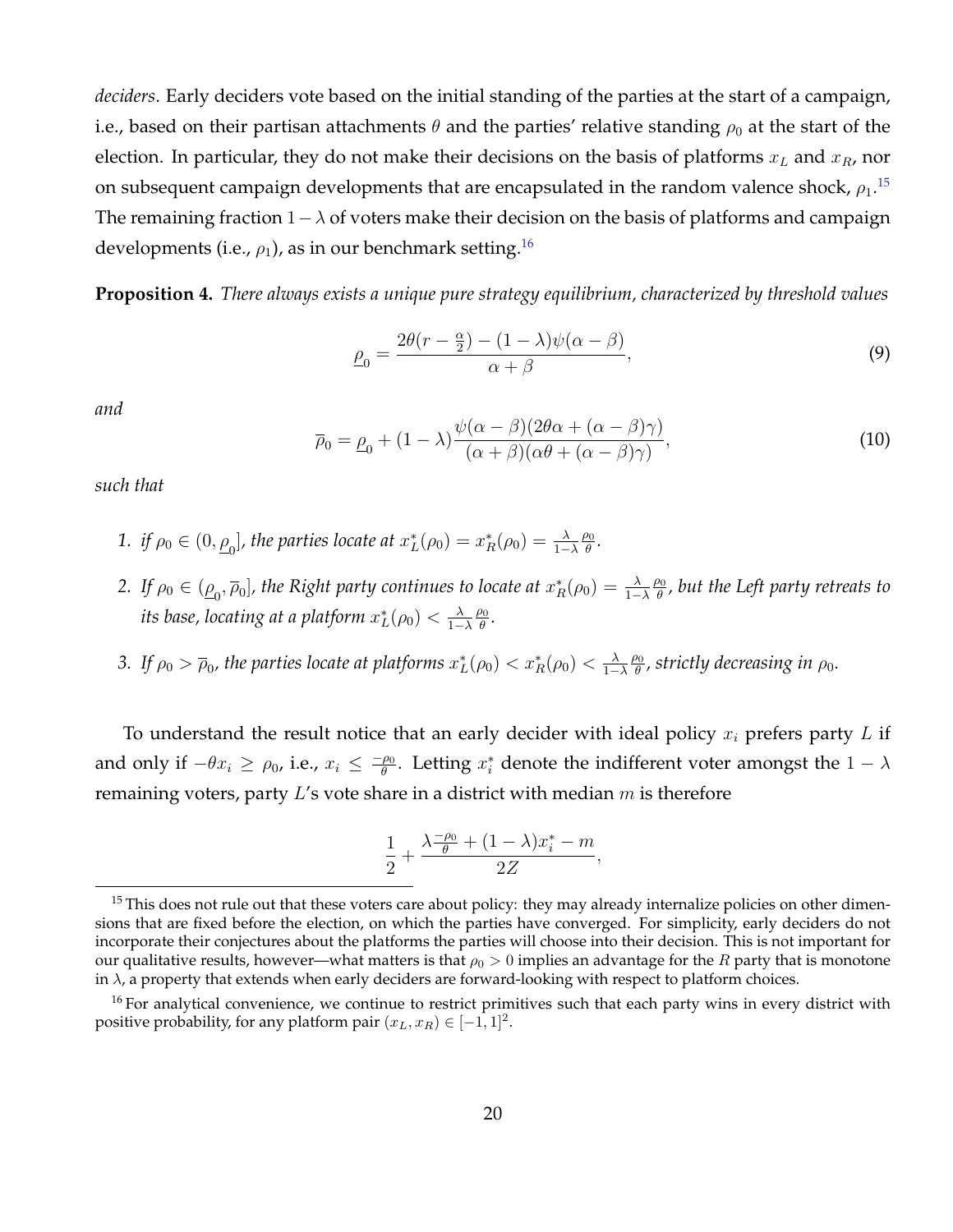*deciders*. Early deciders vote based on the initial standing of the parties at the start of a campaign, i.e., based on their partisan attachments  $\theta$  and the parties' relative standing  $\rho_0$  at the start of the election. In particular, they do not make their decisions on the basis of platforms  $x_L$  and  $x_R$ , nor on subsequent campaign developments that are encapsulated in the random valence shock,  $\rho_1.^{15}$  $\rho_1.^{15}$  $\rho_1.^{15}$ The remaining fraction  $1-\lambda$  of voters make their decision on the basis of platforms and campaign developments (i.e.,  $\rho_1$ ), as in our benchmark setting.<sup>[16](#page-20-1)</sup>

**Proposition 4.** *There always exists a unique pure strategy equilibrium, characterized by threshold values*

$$
\underline{\rho}_0 = \frac{2\theta(r - \frac{\alpha}{2}) - (1 - \lambda)\psi(\alpha - \beta)}{\alpha + \beta},\tag{9}
$$

*and*

<span id="page-20-2"></span>
$$
\overline{\rho}_0 = \underline{\rho}_0 + (1 - \lambda) \frac{\psi(\alpha - \beta)(2\theta\alpha + (\alpha - \beta)\gamma)}{(\alpha + \beta)(\alpha\theta + (\alpha - \beta)\gamma)},
$$
\n(10)

*such that*

- 1. *if*  $\rho_0 \in (0, \underline{\rho}_0]$ , the parties locate at  $x_L^*(\rho_0) = x_R^*(\rho_0) = \frac{\lambda}{1-\lambda}$  $\rho_0$  $\frac{p_0}{\theta}$ .
- 2. If  $\rho_0 \in (\underline{\rho}_0, \overline{\rho}_0]$ , the Right party continues to locate at  $x_R^*(\rho_0) = \frac{\lambda}{1-\lambda}$  $\rho_0$  $\frac{\partial \mathbf{0}}{\partial t}$ , but the Left party retreats to its base, locating at a platform  $x^*_L(\rho_0)<\frac{\lambda}{1-1}$  $1-\lambda$  $\rho_0$ θ *.*
- 3. If  $\rho_0 > \overline{\rho}_0$ , the parties locate at platforms  $x_L^*(\rho_0) < x_R^*(\rho_0) < \frac{\lambda}{1-\lambda}$  $1-\lambda$  $\rho_0$  $\frac{\partial 0}{\partial \theta}$ , strictly decreasing in  $\rho_0$ .

To understand the result notice that an early decider with ideal policy  $x_i$  prefers party L if and only if  $-\theta x_i \ge \rho_0$ , i.e.,  $x_i \le \frac{-\rho_0}{\theta}$  $\frac{\rho_0}{\theta}$ . Letting  $x_i^*$  denote the indifferent voter amongst the  $1 - \lambda$ remaining voters, party  $L$ 's vote share in a district with median  $m$  is therefore

$$
\frac{1}{2}+\frac{\lambda\frac{-\rho_0}{\theta}+(1-\lambda)x^*_i-m}{2Z},
$$

<span id="page-20-0"></span><sup>&</sup>lt;sup>15</sup> This does not rule out that these voters care about policy: they may already internalize policies on other dimensions that are fixed before the election, on which the parties have converged. For simplicity, early deciders do not incorporate their conjectures about the platforms the parties will choose into their decision. This is not important for our qualitative results, however—what matters is that  $\rho_0 > 0$  implies an advantage for the R party that is monotone in  $\lambda$ , a property that extends when early deciders are forward-looking with respect to platform choices.

<span id="page-20-1"></span> $16$  For analytical convenience, we continue to restrict primitives such that each party wins in every district with positive probability, for any platform pair  $(x_L, x_R) \in [-1,1]^2$ .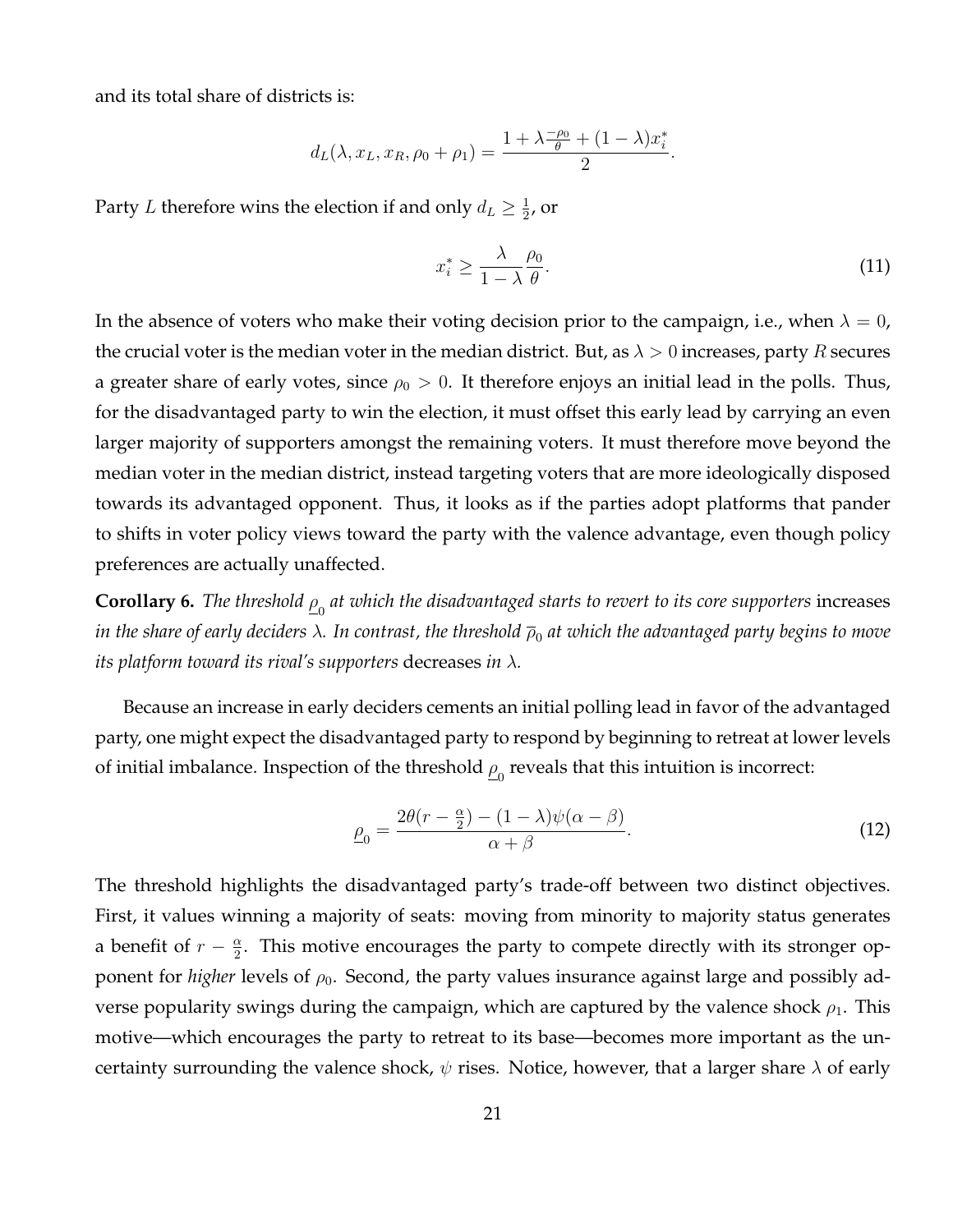and its total share of districts is:

$$
d_L(\lambda, x_L, x_R, \rho_0 + \rho_1) = \frac{1 + \lambda \frac{-\rho_0}{\theta} + (1 - \lambda)x_i^*}{2}
$$

Party L therefore wins the election if and only  $d_L \geq \frac{1}{2}$  $\frac{1}{2}$ , or

$$
x_i^* \ge \frac{\lambda}{1-\lambda} \frac{\rho_0}{\theta}.\tag{11}
$$

.

In the absence of voters who make their voting decision prior to the campaign, i.e., when  $\lambda = 0$ , the crucial voter is the median voter in the median district. But, as  $\lambda > 0$  increases, party R secures a greater share of early votes, since  $\rho_0 > 0$ . It therefore enjoys an initial lead in the polls. Thus, for the disadvantaged party to win the election, it must offset this early lead by carrying an even larger majority of supporters amongst the remaining voters. It must therefore move beyond the median voter in the median district, instead targeting voters that are more ideologically disposed towards its advantaged opponent. Thus, it looks as if the parties adopt platforms that pander to shifts in voter policy views toward the party with the valence advantage, even though policy preferences are actually unaffected.

<span id="page-21-0"></span> $\bf{Corollary 6.}$  The threshold  $\overline{\rho}_0$  at which the disadvantaged starts to revert to its core supporters increases in the share of early deciders  $\lambda$ . In contrast, the threshold  $\overline{\rho}_0$  at which the advantaged party begins to move *its platform toward its rival's supporters* decreases *in* λ*.*

Because an increase in early deciders cements an initial polling lead in favor of the advantaged party, one might expect the disadvantaged party to respond by beginning to retreat at lower levels of initial imbalance. Inspection of the threshold  $\overline{\rho}_0$  reveals that this intuition is incorrect:

$$
\underline{\rho}_0 = \frac{2\theta(r - \frac{\alpha}{2}) - (1 - \lambda)\psi(\alpha - \beta)}{\alpha + \beta}.
$$
\n(12)

The threshold highlights the disadvantaged party's trade-off between two distinct objectives. First, it values winning a majority of seats: moving from minority to majority status generates a benefit of  $r - \frac{\alpha}{2}$  $\frac{\alpha}{2}$ . This motive encourages the party to compete directly with its stronger opponent for *higher* levels of  $\rho_0$ . Second, the party values insurance against large and possibly adverse popularity swings during the campaign, which are captured by the valence shock  $\rho_1$ . This motive—which encourages the party to retreat to its base—becomes more important as the uncertainty surrounding the valence shock,  $\psi$  rises. Notice, however, that a larger share  $\lambda$  of early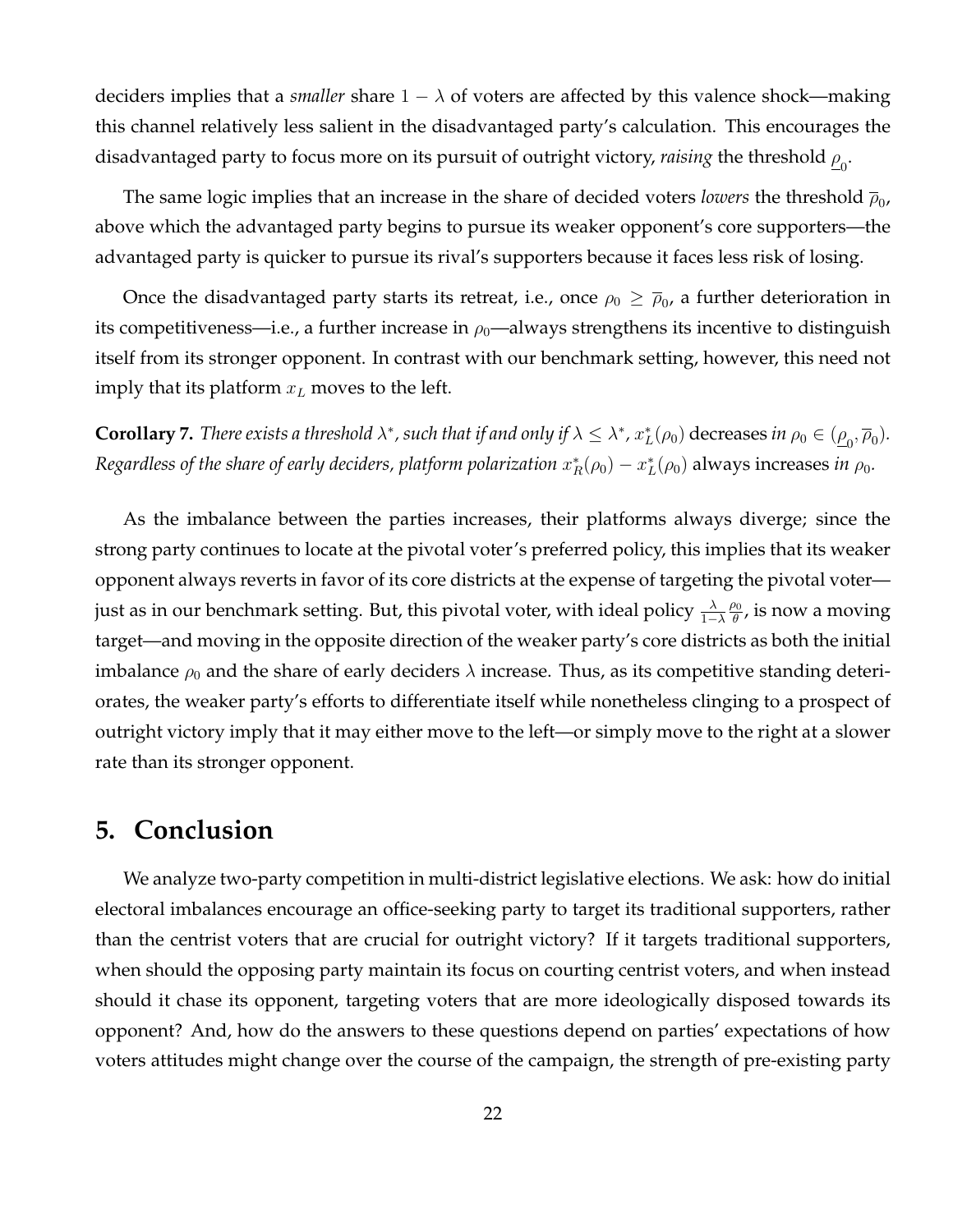deciders implies that a *smaller* share  $1 - \lambda$  of voters are affected by this valence shock—making this channel relatively less salient in the disadvantaged party's calculation. This encourages the disadvantaged party to focus more on its pursuit of outright victory, *raising* the threshold  $\underline{\rho}_0.$ 

The same logic implies that an increase in the share of decided voters *lowers* the threshold  $\overline{\rho}_0$ , above which the advantaged party begins to pursue its weaker opponent's core supporters—the advantaged party is quicker to pursue its rival's supporters because it faces less risk of losing.

Once the disadvantaged party starts its retreat, i.e., once  $\rho_0\geq\overline{\rho}_0$ , a further deterioration in its competitiveness—i.e., a further increase in  $\rho_0$ —always strengthens its incentive to distinguish itself from its stronger opponent. In contrast with our benchmark setting, however, this need not imply that its platform  $x_L$  moves to the left.

<span id="page-22-0"></span>**Corollary 7.** There exists a threshold  $\lambda^*$ , such that if and only if  $\lambda \leq \lambda^*$ ,  $x_L^*(\rho_0)$  decreases in  $\rho_0 \in (\underline{\rho}_0, \overline{\rho}_0)$ . *Regardless of the share of early deciders, platform polarization*  $x_R^*(\rho_0) - x_L^*(\rho_0)$  always increases *in*  $\rho_0$ .

As the imbalance between the parties increases, their platforms always diverge; since the strong party continues to locate at the pivotal voter's preferred policy, this implies that its weaker opponent always reverts in favor of its core districts at the expense of targeting the pivotal voter just as in our benchmark setting. But, this pivotal voter, with ideal policy  $\frac{\lambda}{1-\lambda}$  $\rho_0$  $\frac{p_0}{\theta}$ , is now a moving target—and moving in the opposite direction of the weaker party's core districts as both the initial imbalance  $\rho_0$  and the share of early deciders  $\lambda$  increase. Thus, as its competitive standing deteriorates, the weaker party's efforts to differentiate itself while nonetheless clinging to a prospect of outright victory imply that it may either move to the left—or simply move to the right at a slower rate than its stronger opponent.

#### **5. Conclusion**

We analyze two-party competition in multi-district legislative elections. We ask: how do initial electoral imbalances encourage an office-seeking party to target its traditional supporters, rather than the centrist voters that are crucial for outright victory? If it targets traditional supporters, when should the opposing party maintain its focus on courting centrist voters, and when instead should it chase its opponent, targeting voters that are more ideologically disposed towards its opponent? And, how do the answers to these questions depend on parties' expectations of how voters attitudes might change over the course of the campaign, the strength of pre-existing party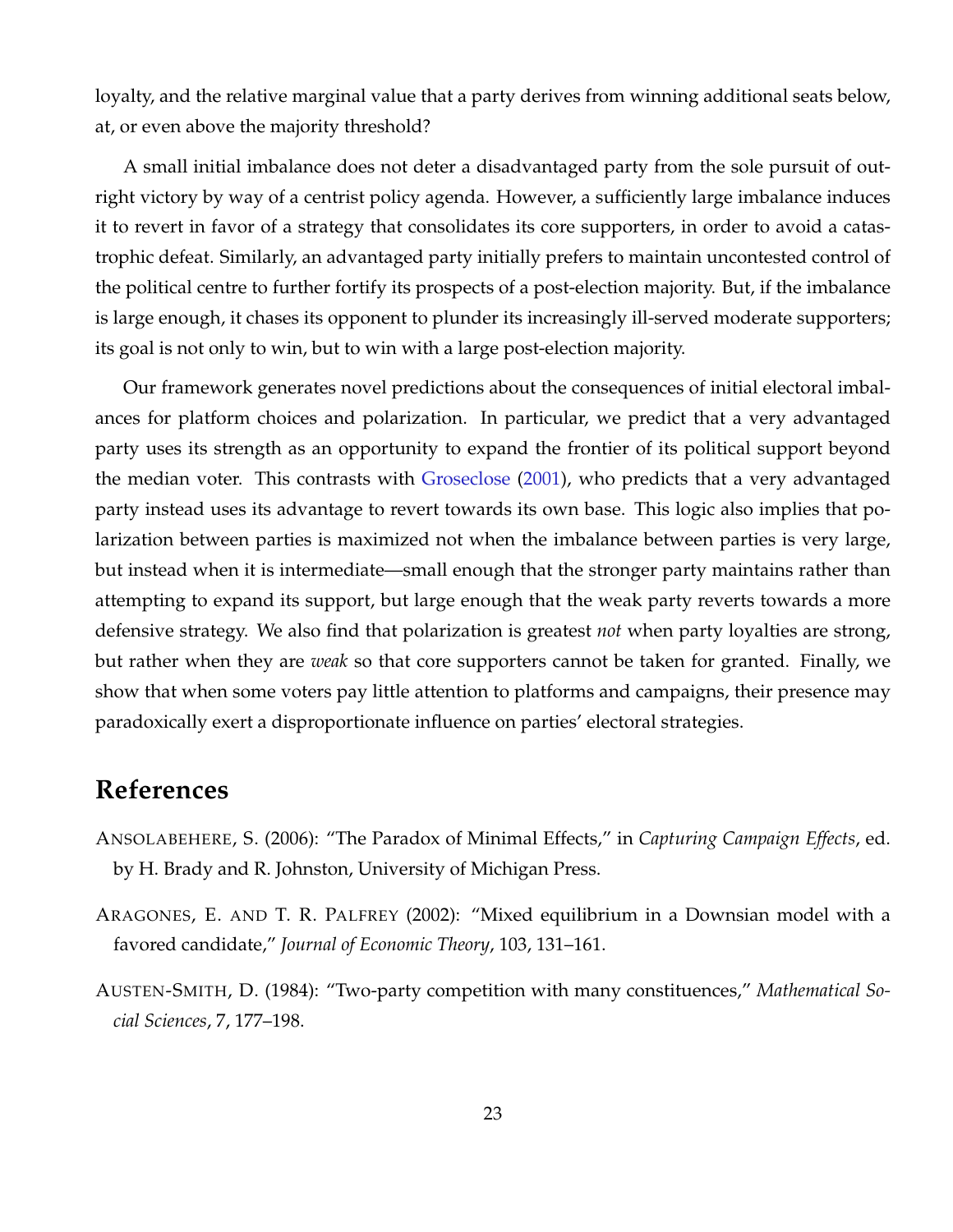loyalty, and the relative marginal value that a party derives from winning additional seats below, at, or even above the majority threshold?

A small initial imbalance does not deter a disadvantaged party from the sole pursuit of outright victory by way of a centrist policy agenda. However, a sufficiently large imbalance induces it to revert in favor of a strategy that consolidates its core supporters, in order to avoid a catastrophic defeat. Similarly, an advantaged party initially prefers to maintain uncontested control of the political centre to further fortify its prospects of a post-election majority. But, if the imbalance is large enough, it chases its opponent to plunder its increasingly ill-served moderate supporters; its goal is not only to win, but to win with a large post-election majority.

Our framework generates novel predictions about the consequences of initial electoral imbalances for platform choices and polarization. In particular, we predict that a very advantaged party uses its strength as an opportunity to expand the frontier of its political support beyond the median voter. This contrasts with [Groseclose](#page-24-4) [\(2001\)](#page-24-4), who predicts that a very advantaged party instead uses its advantage to revert towards its own base. This logic also implies that polarization between parties is maximized not when the imbalance between parties is very large, but instead when it is intermediate—small enough that the stronger party maintains rather than attempting to expand its support, but large enough that the weak party reverts towards a more defensive strategy. We also find that polarization is greatest *not* when party loyalties are strong, but rather when they are *weak* so that core supporters cannot be taken for granted. Finally, we show that when some voters pay little attention to platforms and campaigns, their presence may paradoxically exert a disproportionate influence on parties' electoral strategies.

# **References**

- <span id="page-23-2"></span>ANSOLABEHERE, S. (2006): "The Paradox of Minimal Effects," in *Capturing Campaign Effects*, ed. by H. Brady and R. Johnston, University of Michigan Press.
- <span id="page-23-0"></span>ARAGONES, E. AND T. R. PALFREY (2002): "Mixed equilibrium in a Downsian model with a favored candidate," *Journal of Economic Theory*, 103, 131–161.
- <span id="page-23-1"></span>AUSTEN-SMITH, D. (1984): "Two-party competition with many constituences," *Mathematical Social Sciences*, 7, 177–198.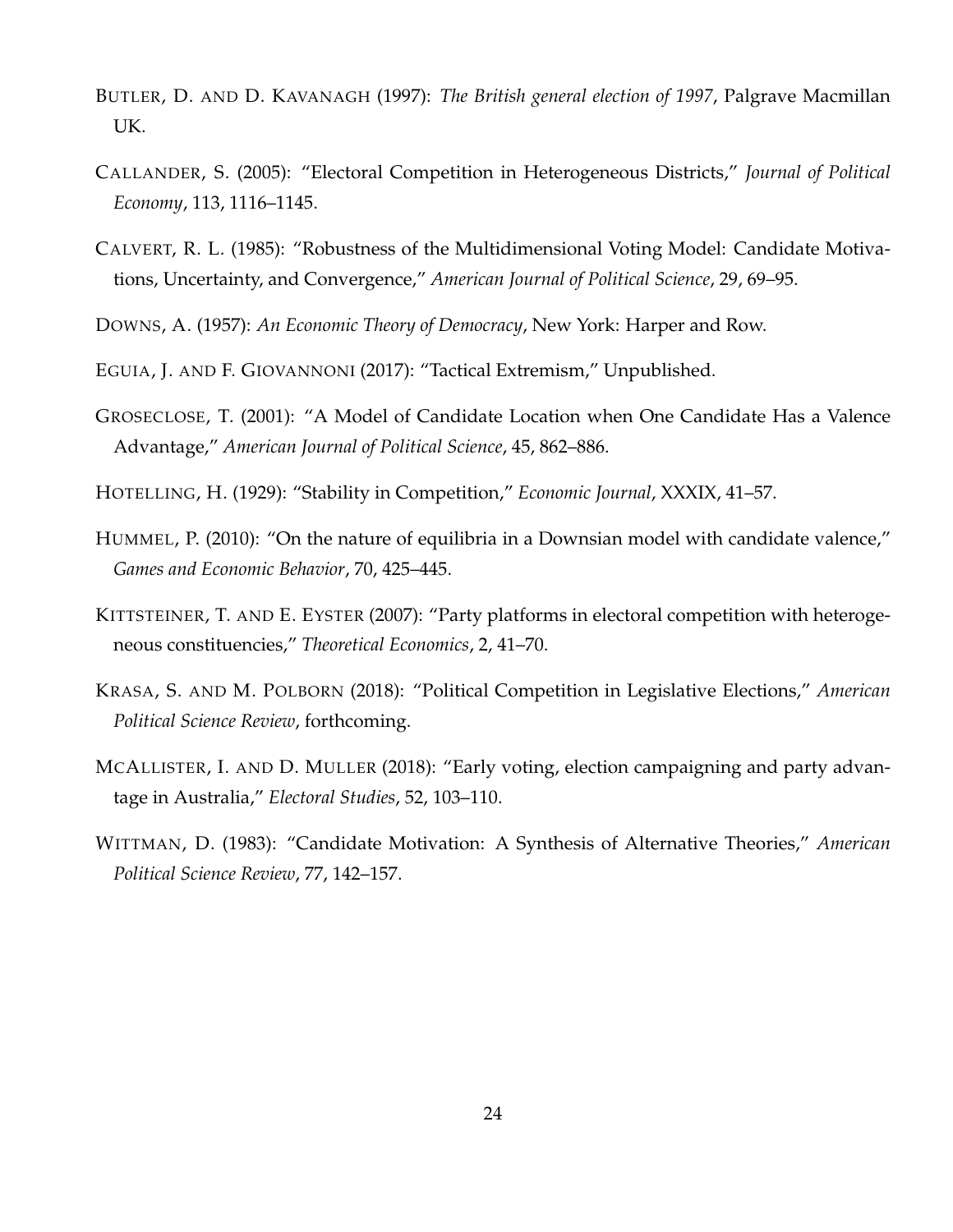- <span id="page-24-5"></span>BUTLER, D. AND D. KAVANAGH (1997): *The British general election of 1997*, Palgrave Macmillan UK.
- <span id="page-24-8"></span>CALLANDER, S. (2005): "Electoral Competition in Heterogeneous Districts," *Journal of Political Economy*, 113, 1116–1145.
- <span id="page-24-2"></span>CALVERT, R. L. (1985): "Robustness of the Multidimensional Voting Model: Candidate Motivations, Uncertainty, and Convergence," *American Journal of Political Science*, 29, 69–95.
- <span id="page-24-1"></span>DOWNS, A. (1957): *An Economic Theory of Democracy*, New York: Harper and Row.
- <span id="page-24-7"></span>EGUIA, J. AND F. GIOVANNONI (2017): "Tactical Extremism," Unpublished.
- <span id="page-24-4"></span>GROSECLOSE, T. (2001): "A Model of Candidate Location when One Candidate Has a Valence Advantage," *American Journal of Political Science*, 45, 862–886.
- <span id="page-24-0"></span>HOTELLING, H. (1929): "Stability in Competition," *Economic Journal*, XXXIX, 41–57.
- <span id="page-24-6"></span>HUMMEL, P. (2010): "On the nature of equilibria in a Downsian model with candidate valence," *Games and Economic Behavior*, 70, 425–445.
- <span id="page-24-9"></span>KITTSTEINER, T. AND E. EYSTER (2007): "Party platforms in electoral competition with heterogeneous constituencies," *Theoretical Economics*, 2, 41–70.
- <span id="page-24-10"></span>KRASA, S. AND M. POLBORN (2018): "Political Competition in Legislative Elections," *American Political Science Review*, forthcoming.
- <span id="page-24-11"></span>MCALLISTER, I. AND D. MULLER (2018): "Early voting, election campaigning and party advantage in Australia," *Electoral Studies*, 52, 103–110.
- <span id="page-24-3"></span>WITTMAN, D. (1983): "Candidate Motivation: A Synthesis of Alternative Theories," *American Political Science Review*, 77, 142–157.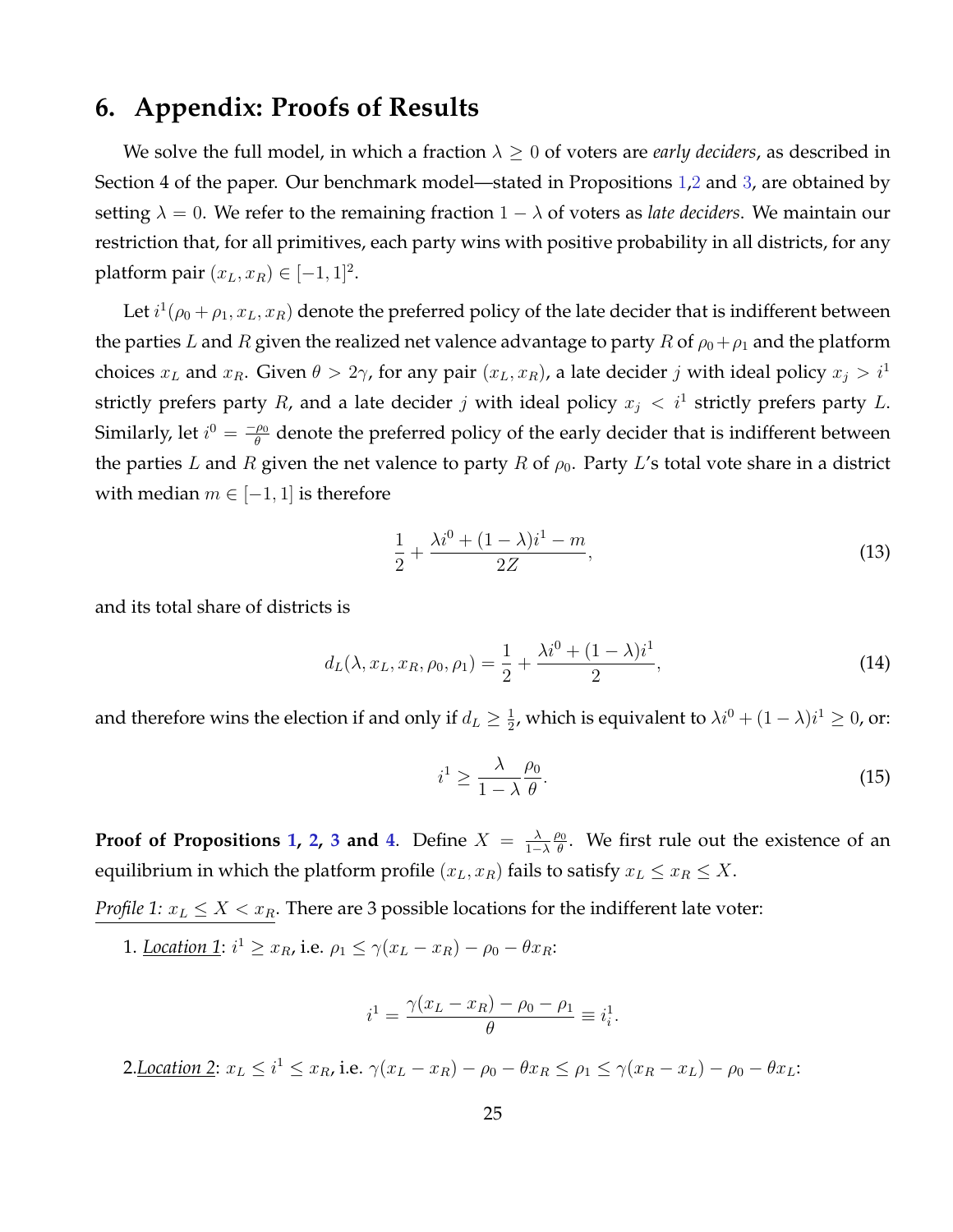# **6. Appendix: Proofs of Results**

We solve the full model, in which a fraction  $\lambda \geq 0$  of voters are *early deciders*, as described in Section 4 of the paper. Our benchmark model—stated in Propositions [1](#page-13-0),[2](#page-14-0) and [3](#page-16-1), are obtained by setting  $\lambda = 0$ . We refer to the remaining fraction  $1 - \lambda$  of voters as *late deciders*. We maintain our restriction that, for all primitives, each party wins with positive probability in all districts, for any platform pair  $(x_L, x_R) \in [-1, 1]^2$ .

Let  $i^1(\rho_0 + \rho_1, x_L, x_R)$  denote the preferred policy of the late decider that is indifferent between the parties L and R given the realized net valence advantage to party R of  $\rho_0 + \rho_1$  and the platform choices  $x_L$  and  $x_R$ . Given  $\theta > 2\gamma$ , for any pair  $(x_L, x_R)$ , a late decider j with ideal policy  $x_j > i^1$ strictly prefers party R, and a late decider j with ideal policy  $x_j < i^1$  strictly prefers party L. Similarly, let  $i^0 = \frac{-\rho_0}{\theta}$  $\frac{\rho_0}{\theta}$  denote the preferred policy of the early decider that is indifferent between the parties L and R given the net valence to party R of  $\rho_0$ . Party L's total vote share in a district with median  $m \in [-1, 1]$  is therefore

$$
\frac{1}{2} + \frac{\lambda i^0 + (1 - \lambda)i^1 - m}{2Z},
$$
\n(13)

and its total share of districts is

$$
d_L(\lambda, x_L, x_R, \rho_0, \rho_1) = \frac{1}{2} + \frac{\lambda i^0 + (1 - \lambda)i^1}{2},\tag{14}
$$

and therefore wins the election if and only if  $d_L \geq \frac{1}{2}$  $\frac{1}{2}$ , which is equivalent to  $\lambda i^0 + (1 - \lambda) i^1 \geq 0$ , or:

$$
i^1 \ge \frac{\lambda}{1-\lambda} \frac{\rho_0}{\theta}.\tag{15}
$$

**Proof of Propositions [1,](#page-13-0) [2,](#page-14-0) [3](#page-16-1) and [4](#page-20-2).** Define  $X = \frac{\lambda}{1-\lambda}$  $1-\lambda$  $\rho_0$  $\frac{\partial \Theta}{\partial \theta}$ . We first rule out the existence of an equilibrium in which the platform profile  $(x_L, x_R)$  fails to satisfy  $x_L \le x_R \le X$ .

*Profile 1:*  $x_L \leq X < x_R$ . There are 3 possible locations for the indifferent late voter:

1. Location 1:  $i^1 \ge x_R$ , i.e.  $\rho_1 \le \gamma(x_L - x_R) - \rho_0 - \theta x_R$ :

$$
i^{1} = \frac{\gamma (x_L - x_R) - \rho_0 - \rho_1}{\theta} \equiv i_i^{1}.
$$

2.<u>Location 2</u>:  $x_L \leq i^1 \leq x_R$ , i.e.  $\gamma(x_L - x_R) - \rho_0 - \theta x_R \leq \rho_1 \leq \gamma(x_R - x_L) - \rho_0 - \theta x_L$ :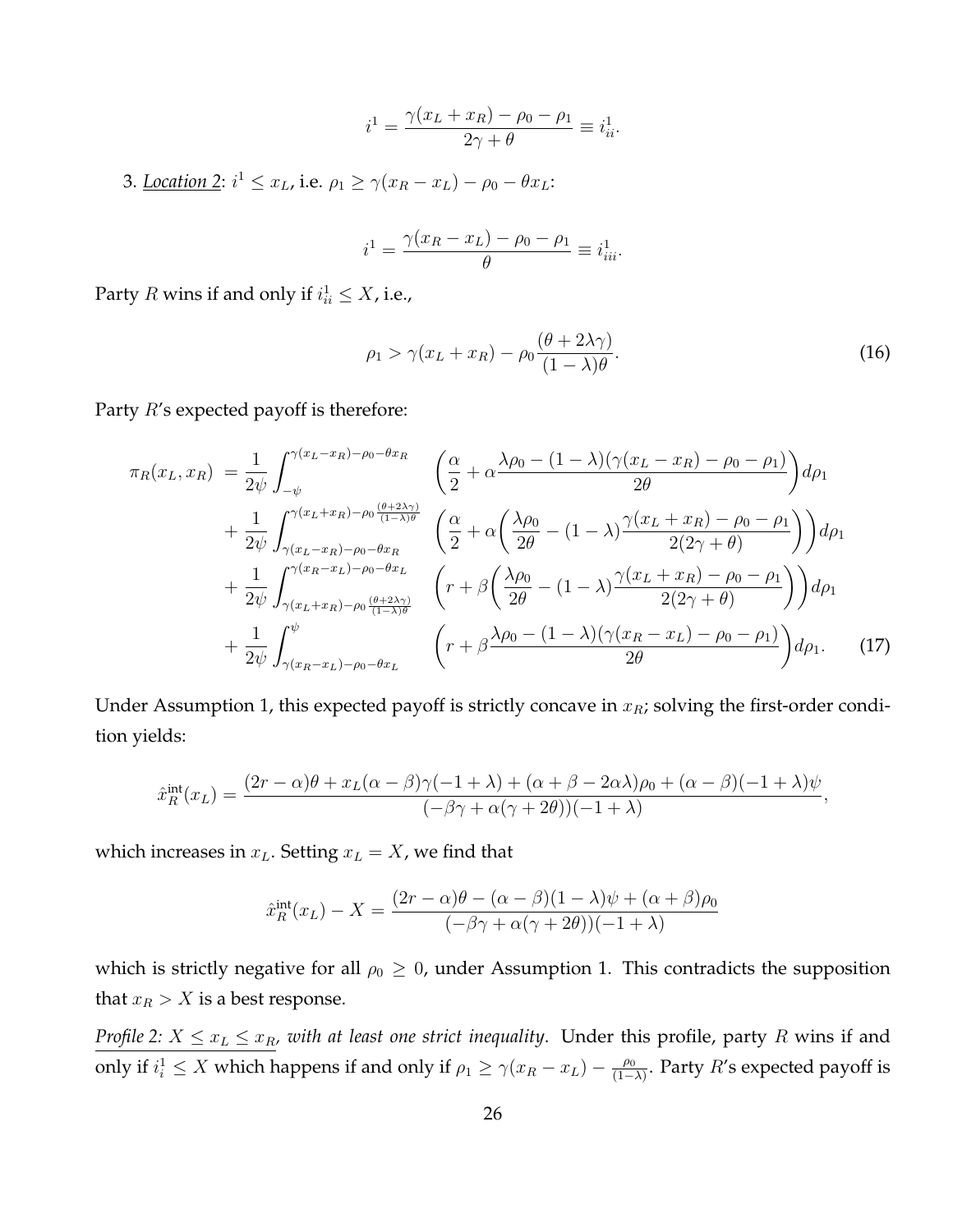$$
i^{1} = \frac{\gamma(x_{L} + x_{R}) - \rho_{0} - \rho_{1}}{2\gamma + \theta} \equiv i_{ii}^{1}.
$$

3. Location 2:  $i^1 \le x_L$ , i.e.  $\rho_1 \ge \gamma(x_R - x_L) - \rho_0 - \theta x_L$ :

$$
i^{1} = \frac{\gamma(x_{R} - x_{L}) - \rho_{0} - \rho_{1}}{\theta} \equiv i_{iii}^{1}.
$$

Party  $R$  wins if and only if  $i_{ii}^1 \leq X$ , i.e.,

$$
\rho_1 > \gamma(x_L + x_R) - \rho_0 \frac{(\theta + 2\lambda \gamma)}{(1 - \lambda)\theta}.
$$
\n(16)

Party  $R$ 's expected payoff is therefore:

$$
\pi_R(x_L, x_R) = \frac{1}{2\psi} \int_{-\psi}^{\gamma(x_L - x_R) - \rho_0 - \theta x_R} \left( \frac{\alpha}{2} + \alpha \frac{\lambda \rho_0 - (1 - \lambda)(\gamma(x_L - x_R) - \rho_0 - \rho_1)}{2\theta} \right) d\rho_1
$$
  
+ 
$$
\frac{1}{2\psi} \int_{\gamma(x_L - x_R) - \rho_0 - \theta x_R}^{\gamma(x_L + x_R) - \rho_0 \frac{(\theta + 2\lambda \gamma)}{(1 - \lambda)\theta}} \left( \frac{\alpha}{2} + \alpha \left( \frac{\lambda \rho_0}{2\theta} - (1 - \lambda) \frac{\gamma(x_L + x_R) - \rho_0 - \rho_1}{2(2\gamma + \theta)} \right) \right) d\rho_1
$$
  
+ 
$$
\frac{1}{2\psi} \int_{\gamma(x_L + x_R) - \rho_0 \frac{(\theta + 2\lambda \gamma)}{(1 - \lambda)\theta}}^{\gamma(x_R - x_L) - \rho_0 - \theta x_L} \left( r + \beta \left( \frac{\lambda \rho_0}{2\theta} - (1 - \lambda) \frac{\gamma(x_L + x_R) - \rho_0 - \rho_1}{2(2\gamma + \theta)} \right) \right) d\rho_1
$$
  
+ 
$$
\frac{1}{2\psi} \int_{\gamma(x_R - x_L) - \rho_0 - \theta x_L}^{\psi} \left( r + \beta \frac{\lambda \rho_0 - (1 - \lambda)(\gamma(x_R - x_L) - \rho_0 - \rho_1)}{2\theta} \right) d\rho_1.
$$
 (17)

Under Assumption 1, this expected payoff is strictly concave in  $x_R$ ; solving the first-order condition yields:

$$
\hat{x}_R^{\text{int}}(x_L) = \frac{(2r - \alpha)\theta + x_L(\alpha - \beta)\gamma(-1 + \lambda) + (\alpha + \beta - 2\alpha\lambda)\rho_0 + (\alpha - \beta)(-1 + \lambda)\psi}{(-\beta\gamma + \alpha(\gamma + 2\theta))(-1 + \lambda)},
$$

which increases in  $x_L$ . Setting  $x_L = X$ , we find that

$$
\hat{x}_R^{\text{int}}(x_L) - X = \frac{(2r - \alpha)\theta - (\alpha - \beta)(1 - \lambda)\psi + (\alpha + \beta)\rho_0}{(-\beta\gamma + \alpha(\gamma + 2\theta))(-1 + \lambda)}
$$

which is strictly negative for all  $\rho_0 \geq 0$ , under Assumption 1. This contradicts the supposition that  $x_R > X$  is a best response.

*Profile 2:*  $X \le x_L \le x_R$ , with at least one strict inequality. Under this profile, party R wins if and only if  $i_i^1 \leq X$  which happens if and only if  $\rho_1 \geq \gamma(x_R - x_L) - \frac{\rho_0}{(1 - x_L)}$  $\frac{\rho_0}{(1-\lambda)}$ . Party  $R'$ s expected payoff is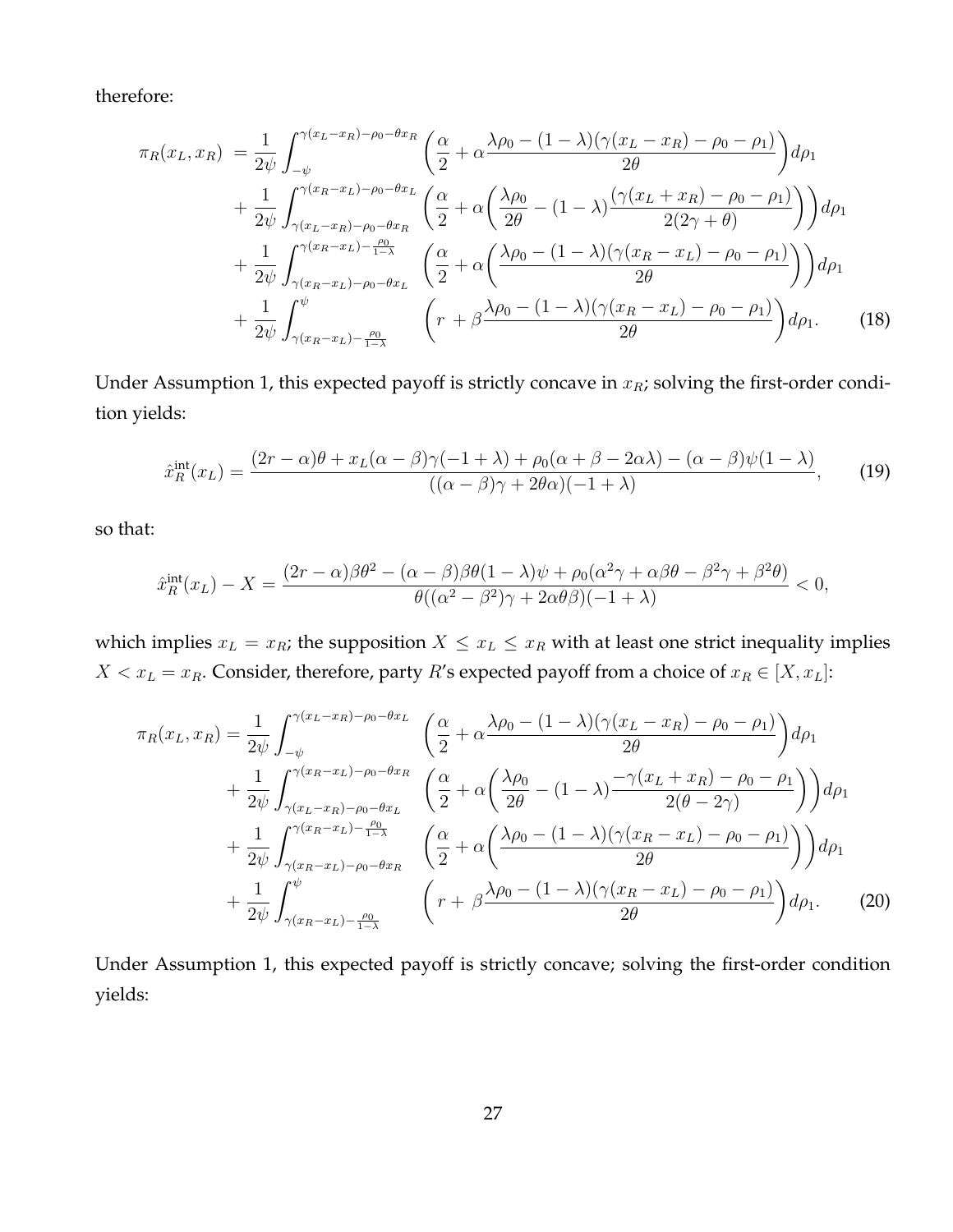therefore:

$$
\pi_R(x_L, x_R) = \frac{1}{2\psi} \int_{-\psi}^{\gamma(x_L - x_R) - \rho_0 - \theta x_R} \left( \frac{\alpha}{2} + \alpha \frac{\lambda \rho_0 - (1 - \lambda)(\gamma(x_L - x_R) - \rho_0 - \rho_1)}{2\theta} \right) d\rho_1
$$
  
+ 
$$
\frac{1}{2\psi} \int_{\gamma(x_L - x_R) - \rho_0 - \theta x_R}^{\gamma(x_R - x_L) - \rho_0 - \theta x_L} \left( \frac{\alpha}{2} + \alpha \left( \frac{\lambda \rho_0}{2\theta} - (1 - \lambda) \frac{(\gamma(x_L + x_R) - \rho_0 - \rho_1)}{2(2\gamma + \theta)} \right) \right) d\rho_1
$$
  
+ 
$$
\frac{1}{2\psi} \int_{\gamma(x_R - x_L) - \rho_0 - \theta x_L}^{\gamma(x_R - x_L) - \frac{\rho_0}{1 - \lambda}} \left( \frac{\alpha}{2} + \alpha \left( \frac{\lambda \rho_0 - (1 - \lambda)(\gamma(x_R - x_L) - \rho_0 - \rho_1)}{2\theta} \right) \right) d\rho_1
$$
  
+ 
$$
\frac{1}{2\psi} \int_{\gamma(x_R - x_L) - \frac{\rho_0}{1 - \lambda}}^{\psi} \left( r + \beta \frac{\lambda \rho_0 - (1 - \lambda)(\gamma(x_R - x_L) - \rho_0 - \rho_1)}{2\theta} \right) d\rho_1.
$$
 (18)

Under Assumption 1, this expected payoff is strictly concave in  $x_R$ ; solving the first-order condition yields:

<span id="page-27-0"></span>
$$
\hat{x}_R^{\text{int}}(x_L) = \frac{(2r - \alpha)\theta + x_L(\alpha - \beta)\gamma(-1 + \lambda) + \rho_0(\alpha + \beta - 2\alpha\lambda) - (\alpha - \beta)\psi(1 - \lambda)}{((\alpha - \beta)\gamma + 2\theta\alpha)(-1 + \lambda)},\tag{19}
$$

so that:

$$
\hat{x}_R^{\text{int}}(x_L) - X = \frac{(2r - \alpha)\beta\theta^2 - (\alpha - \beta)\beta\theta(1 - \lambda)\psi + \rho_0(\alpha^2\gamma + \alpha\beta\theta - \beta^2\gamma + \beta^2\theta)}{\theta((\alpha^2 - \beta^2)\gamma + 2\alpha\theta\beta)(-1 + \lambda)} < 0,
$$

which implies  $x_L = x_R$ ; the supposition  $X \le x_L \le x_R$  with at least one strict inequality implies  $X < x_L = x_R$ . Consider, therefore, party R's expected payoff from a choice of  $x_R \in [X, x_L]$ :

$$
\pi_R(x_L, x_R) = \frac{1}{2\psi} \int_{-\psi}^{\gamma(x_L - x_R) - \rho_0 - \theta x_L} \left( \frac{\alpha}{2} + \alpha \frac{\lambda \rho_0 - (1 - \lambda)(\gamma(x_L - x_R) - \rho_0 - \rho_1)}{2\theta} \right) d\rho_1
$$
  
+ 
$$
\frac{1}{2\psi} \int_{\gamma(x_L - x_R) - \rho_0 - \theta x_L}^{\gamma(x_R - x_L) - \rho_0 - \theta x_R} \left( \frac{\alpha}{2} + \alpha \left( \frac{\lambda \rho_0}{2\theta} - (1 - \lambda) \frac{-\gamma(x_L + x_R) - \rho_0 - \rho_1}{2(\theta - 2\gamma)} \right) \right) d\rho_1
$$
  
+ 
$$
\frac{1}{2\psi} \int_{\gamma(x_R - x_L) - \rho_0 - \theta x_R}^{\gamma(x_R - x_L) - \frac{\rho_0}{1 - \lambda}} \left( \frac{\alpha}{2} + \alpha \left( \frac{\lambda \rho_0 - (1 - \lambda)(\gamma(x_R - x_L) - \rho_0 - \rho_1)}{2\theta} \right) \right) d\rho_1
$$
  
+ 
$$
\frac{1}{2\psi} \int_{\gamma(x_R - x_L) - \frac{\rho_0}{1 - \lambda}}^{\psi} \left( r + \beta \frac{\lambda \rho_0 - (1 - \lambda)(\gamma(x_R - x_L) - \rho_0 - \rho_1)}{2\theta} \right) d\rho_1.
$$
 (20)

Under Assumption 1, this expected payoff is strictly concave; solving the first-order condition yields: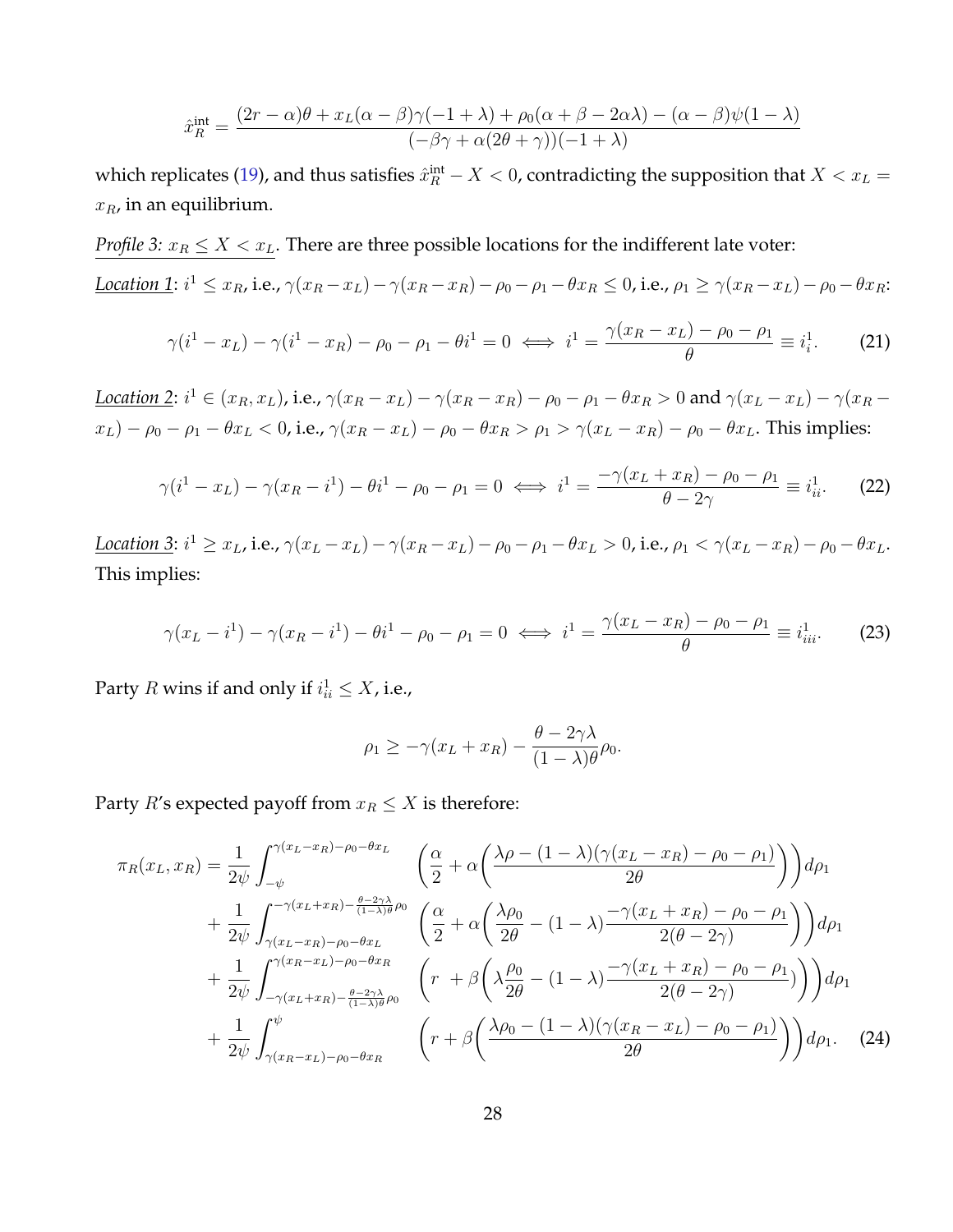$$
\hat{x}_R^{\text{int}} = \frac{(2r - \alpha)\theta + x_L(\alpha - \beta)\gamma(-1 + \lambda) + \rho_0(\alpha + \beta - 2\alpha\lambda) - (\alpha - \beta)\psi(1 - \lambda)}{(-\beta\gamma + \alpha(2\theta + \gamma))(-1 + \lambda)}
$$

which replicates [\(19\)](#page-27-0), and thus satisfies  $\hat{x}^\text{int}_R - X < 0$ , contradicting the supposition that  $X < x_L =$  $x_R$ , in an equilibrium.

*Profile 3:*  $x_R \leq X < x_L$ . There are three possible locations for the indifferent late voter: Location 1:  $i^1 \le x_R$ , i.e.,  $\gamma(x_R - x_L) - \gamma(x_R - x_R) - \rho_0 - \rho_1 - \theta x_R \le 0$ , i.e.,  $\rho_1 \ge \gamma(x_R - x_L) - \rho_0 - \theta x_R$ :  $\gamma(i^1 - x_L) - \gamma(i^1 - x_R) - \rho_0 - \rho_1 - \theta i^1 = 0 \iff i^1 = \frac{\gamma(x_R - x_L) - \rho_0 - \rho_1}{\rho_0}$  $\equiv i_i^1$  $(21)$ 

<span id="page-28-0"></span>Location 2:  $i^1 \in (x_R, x_L)$ , i.e.,  $\gamma(x_R - x_L) - \gamma(x_R - x_R) - \rho_0 - \rho_1 - \theta x_R > 0$  and  $\gamma(x_L - x_L) - \gamma(x_R - x_R)$  $x_L$ ) –  $\rho_0 - \rho_1 - \theta x_L < 0$ , i.e.,  $\gamma(x_R - x_L) - \rho_0 - \theta x_R > \rho_1 > \gamma(x_L - x_R) - \rho_0 - \theta x_L$ . This implies:

$$
\gamma(i^1 - x_L) - \gamma(x_R - i^1) - \theta i^1 - \rho_0 - \rho_1 = 0 \iff i^1 = \frac{-\gamma(x_L + x_R) - \rho_0 - \rho_1}{\theta - 2\gamma} \equiv i_{ii}^1. \tag{22}
$$

θ

Location 3:  $i^1 \ge x_L$ , i.e.,  $\gamma(x_L - x_L) - \gamma(x_R - x_L) - \rho_0 - \rho_1 - \theta x_L > 0$ , i.e.,  $\rho_1 < \gamma(x_L - x_R) - \rho_0 - \theta x_L$ . This implies:

<span id="page-28-1"></span>
$$
\gamma(x_L - i^1) - \gamma(x_R - i^1) - \theta i^1 - \rho_0 - \rho_1 = 0 \iff i^1 = \frac{\gamma(x_L - x_R) - \rho_0 - \rho_1}{\theta} \equiv i^1_{iii}.
$$
 (23)

Party  $R$  wins if and only if  $i_{ii}^1 \leq X$ , i.e.,

$$
\rho_1 \ge -\gamma (x_L + x_R) - \frac{\theta - 2\gamma \lambda}{(1 - \lambda)\theta} \rho_0.
$$

Party *R*'s expected payoff from  $x_R \leq X$  is therefore:

$$
\pi_R(x_L, x_R) = \frac{1}{2\psi} \int_{-\psi}^{\gamma(x_L - x_R) - \rho_0 - \theta x_L} \left( \frac{\alpha}{2} + \alpha \left( \frac{\lambda \rho - (1 - \lambda)(\gamma(x_L - x_R) - \rho_0 - \rho_1)}{2\theta} \right) \right) d\rho_1
$$
  
+ 
$$
\frac{1}{2\psi} \int_{\gamma(x_L - x_R) - \rho_0 - \theta x_L}^{\gamma(x_L + x_R) - \frac{\theta - 2\gamma\lambda}{(1 - \lambda)\theta} \rho_0} \left( \frac{\alpha}{2} + \alpha \left( \frac{\lambda \rho_0}{2\theta} - (1 - \lambda) \frac{-\gamma(x_L + x_R) - \rho_0 - \rho_1}{2(\theta - 2\gamma)} \right) \right) d\rho_1
$$
  
+ 
$$
\frac{1}{2\psi} \int_{-\gamma(x_L + x_R) - \frac{\theta - 2\gamma\lambda}{(1 - \lambda)\theta} \rho_0}^{\gamma(x_R - x_L) - \rho_0 - \theta x_R} \left( r + \beta \left( \lambda \frac{\rho_0}{2\theta} - (1 - \lambda) \frac{-\gamma(x_L + x_R) - \rho_0 - \rho_1}{2(\theta - 2\gamma)} \right) \right) d\rho_1
$$
  
+ 
$$
\frac{1}{2\psi} \int_{\gamma(x_R - x_L) - \rho_0 - \theta x_R}^{\psi} \left( r + \beta \left( \frac{\lambda \rho_0 - (1 - \lambda)(\gamma(x_R - x_L) - \rho_0 - \rho_1)}{2\theta} \right) \right) d\rho_1.
$$
 (24)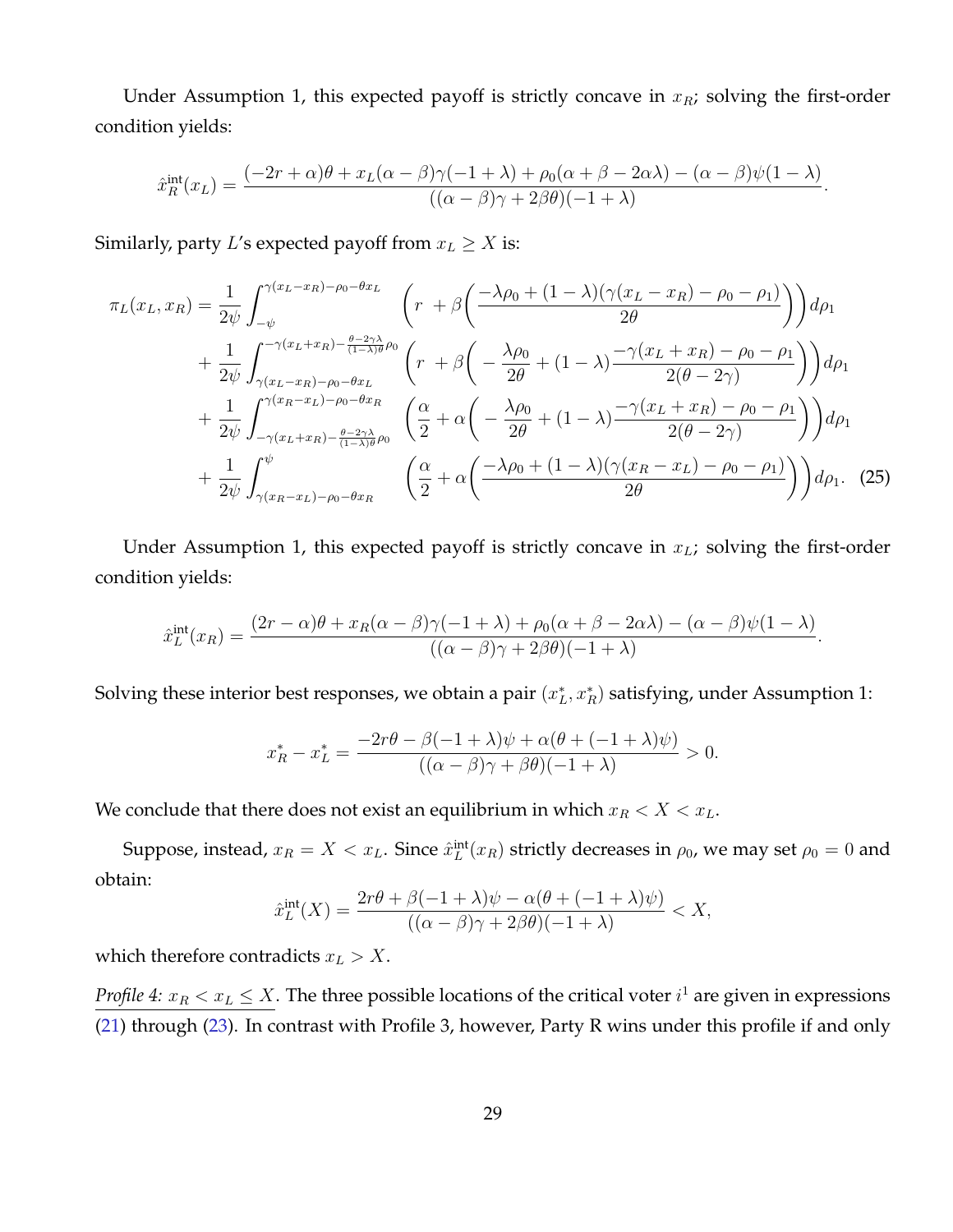Under Assumption 1, this expected payoff is strictly concave in  $x<sub>R</sub>$ ; solving the first-order condition yields:

$$
\hat{x}_R^{\text{int}}(x_L) = \frac{(-2r+\alpha)\theta + x_L(\alpha-\beta)\gamma(-1+\lambda) + \rho_0(\alpha+\beta-2\alpha\lambda) - (\alpha-\beta)\psi(1-\lambda)}{((\alpha-\beta)\gamma + 2\beta\theta)(-1+\lambda)}.
$$

Similarly, party L's expected payoff from  $x_L \geq X$  is:

$$
\pi_L(x_L, x_R) = \frac{1}{2\psi} \int_{-\psi}^{\gamma(x_L - x_R) - \rho_0 - \theta x_L} \left( r + \beta \left( \frac{-\lambda \rho_0 + (1 - \lambda)(\gamma(x_L - x_R) - \rho_0 - \rho_1)}{2\theta} \right) \right) d\rho_1
$$
  
+ 
$$
\frac{1}{2\psi} \int_{\gamma(x_L - x_R) - \rho_0 - \theta x_L}^{\gamma(x_L + x_R) - \frac{\theta - 2\gamma\lambda}{(1 - \lambda)\theta} \rho_0} \left( r + \beta \left( -\frac{\lambda \rho_0}{2\theta} + (1 - \lambda) \frac{-\gamma(x_L + x_R) - \rho_0 - \rho_1}{2(\theta - 2\gamma)} \right) \right) d\rho_1
$$
  
+ 
$$
\frac{1}{2\psi} \int_{-\gamma(x_L + x_R) - \frac{\theta - 2\gamma\lambda}{(1 - \lambda)\theta} \rho_0}^{\gamma(x_R - x_L) - \rho_0 - \theta x_R} \left( \frac{\alpha}{2} + \alpha \left( -\frac{\lambda \rho_0}{2\theta} + (1 - \lambda) \frac{-\gamma(x_L + x_R) - \rho_0 - \rho_1}{2(\theta - 2\gamma)} \right) \right) d\rho_1
$$
  
+ 
$$
\frac{1}{2\psi} \int_{\gamma(x_R - x_L) - \rho_0 - \theta x_R}^{\psi} \left( \frac{\alpha}{2} + \alpha \left( \frac{-\lambda \rho_0 + (1 - \lambda)(\gamma(x_R - x_L) - \rho_0 - \rho_1)}{2\theta} \right) \right) d\rho_1.
$$
 (25)

Under Assumption 1, this expected payoff is strictly concave in  $x_L$ ; solving the first-order condition yields:

$$
\hat{x}_L^{\text{int}}(x_R) = \frac{(2r-\alpha)\theta + x_R(\alpha-\beta)\gamma(-1+\lambda) + \rho_0(\alpha+\beta-2\alpha\lambda) - (\alpha-\beta)\psi(1-\lambda)}{((\alpha-\beta)\gamma + 2\beta\theta)(-1+\lambda)}.
$$

Solving these interior best responses, we obtain a pair  $(x_L^*, x_R^*)$  satisfying, under Assumption 1:

$$
x_R^* - x_L^* = \frac{-2r\theta - \beta(-1+\lambda)\psi + \alpha(\theta + (-1+\lambda)\psi)}{((\alpha - \beta)\gamma + \beta\theta)(-1+\lambda)} > 0.
$$

We conclude that there does not exist an equilibrium in which  $x_R < X < x_L$ .

Suppose, instead,  $x_R = X < x_L$ . Since  $\hat{x}_L^{\rm int}(x_R)$  strictly decreases in  $\rho_0$ , we may set  $\rho_0 = 0$  and obtain:

$$
\hat{x}_L^{\text{int}}(X) = \frac{2r\theta + \beta(-1+\lambda)\psi - \alpha(\theta + (-1+\lambda)\psi)}{((\alpha-\beta)\gamma + 2\beta\theta)(-1+\lambda)} < X,
$$

which therefore contradicts  $x_L > X$ .

*Profile 4:*  $x_R < x_L \leq X$ . The three possible locations of the critical voter  $i^1$  are given in expressions [\(21\)](#page-28-0) through [\(23\)](#page-28-1). In contrast with Profile 3, however, Party R wins under this profile if and only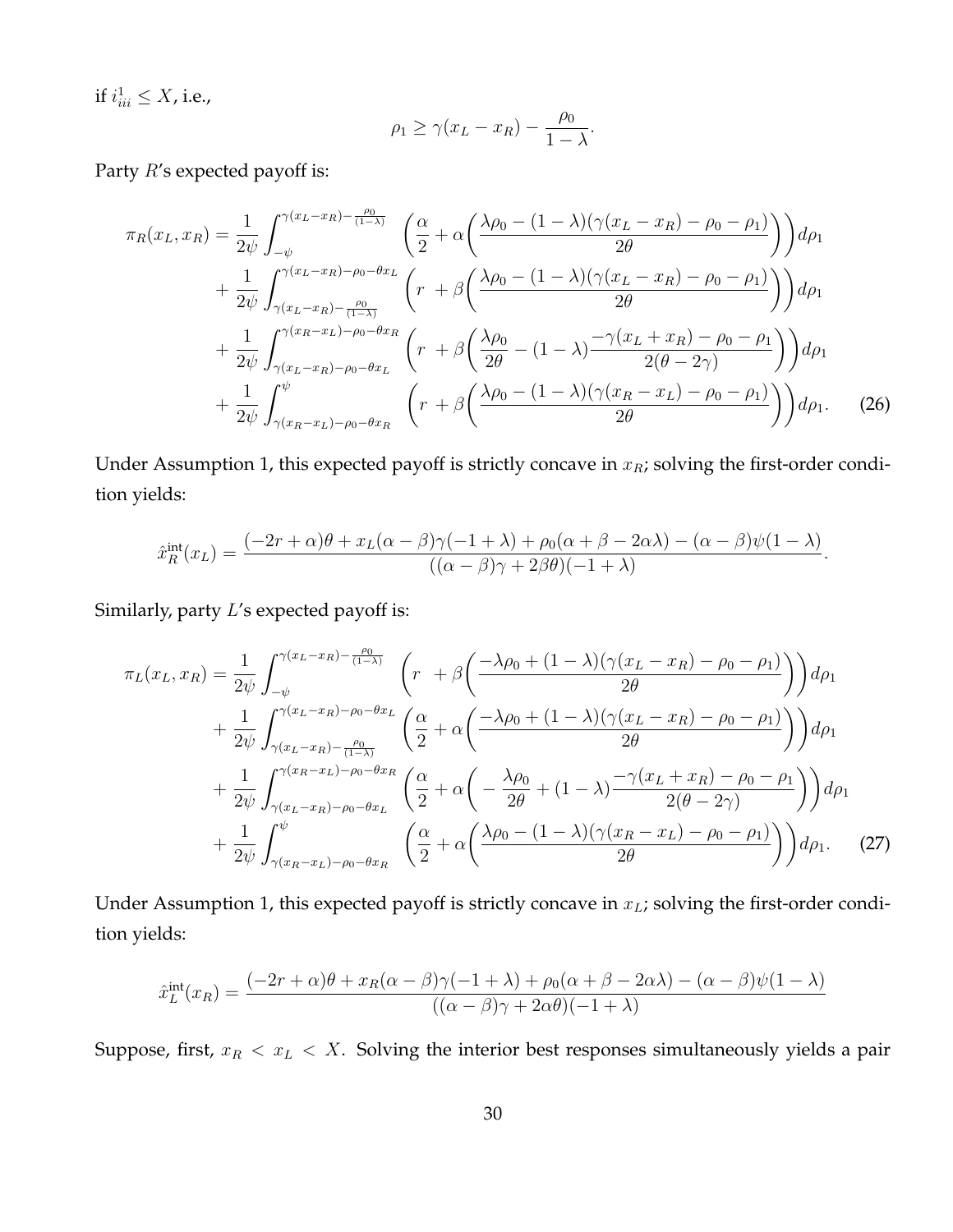if  $i_{iii}^1 \leq X$ , i.e.,

$$
\rho_1 \ge \gamma (x_L - x_R) - \frac{\rho_0}{1 - \lambda}.
$$

Party R's expected payoff is:

$$
\pi_R(x_L, x_R) = \frac{1}{2\psi} \int_{-\psi}^{\gamma(x_L - x_R) - \frac{\rho_0}{(1 - \lambda)}} \left( \frac{\alpha}{2} + \alpha \left( \frac{\lambda \rho_0 - (1 - \lambda)(\gamma(x_L - x_R) - \rho_0 - \rho_1)}{2\theta} \right) \right) d\rho_1
$$
  
+ 
$$
\frac{1}{2\psi} \int_{\gamma(x_L - x_R) - \frac{\rho_0}{(1 - \lambda)}}^{\gamma(x_L - x_R) - \rho_0 - \theta x_L} \left( r + \beta \left( \frac{\lambda \rho_0 - (1 - \lambda)(\gamma(x_L - x_R) - \rho_0 - \rho_1)}{2\theta} \right) \right) d\rho_1
$$
  
+ 
$$
\frac{1}{2\psi} \int_{\gamma(x_L - x_R) - \rho_0 - \theta x_L}^{\gamma(x_R - x_L) - \rho_0 - \theta x_R} \left( r + \beta \left( \frac{\lambda \rho_0}{2\theta} - (1 - \lambda) \frac{-\gamma(x_L + x_R) - \rho_0 - \rho_1}{2(\theta - 2\gamma)} \right) \right) d\rho_1
$$
  
+ 
$$
\frac{1}{2\psi} \int_{\gamma(x_R - x_L) - \rho_0 - \theta x_R}^{\psi} \left( r + \beta \left( \frac{\lambda \rho_0 - (1 - \lambda)(\gamma(x_R - x_L) - \rho_0 - \rho_1)}{2\theta} \right) \right) d\rho_1.
$$
 (26)

Under Assumption 1, this expected payoff is strictly concave in  $x_R$ ; solving the first-order condition yields:

$$
\hat{x}_R^{\text{int}}(x_L) = \frac{(-2r+\alpha)\theta + x_L(\alpha-\beta)\gamma(-1+\lambda) + \rho_0(\alpha+\beta-2\alpha\lambda) - (\alpha-\beta)\psi(1-\lambda)}{((\alpha-\beta)\gamma+2\beta\theta)(-1+\lambda)}.
$$

Similarly, party L's expected payoff is:

$$
\pi_L(x_L, x_R) = \frac{1}{2\psi} \int_{-\psi}^{\gamma(x_L - x_R) - \frac{\rho_0}{(1 - \lambda)}} \left( r + \beta \left( \frac{-\lambda \rho_0 + (1 - \lambda)(\gamma(x_L - x_R) - \rho_0 - \rho_1)}{2\theta} \right) \right) d\rho_1 \n+ \frac{1}{2\psi} \int_{\gamma(x_L - x_R) - \frac{\rho_0}{(1 - \lambda)}}^{\gamma(x_L - x_R) - \rho_0 - \theta x_L} \left( \frac{\alpha}{2} + \alpha \left( \frac{-\lambda \rho_0 + (1 - \lambda)(\gamma(x_L - x_R) - \rho_0 - \rho_1)}{2\theta} \right) \right) d\rho_1 \n+ \frac{1}{2\psi} \int_{\gamma(x_L - x_R) - \rho_0 - \theta x_L}^{\gamma(x_R - x_L) - \rho_0 - \theta x_R} \left( \frac{\alpha}{2} + \alpha \left( -\frac{\lambda \rho_0}{2\theta} + (1 - \lambda) \frac{-\gamma(x_L + x_R) - \rho_0 - \rho_1}{2(\theta - 2\gamma)} \right) \right) d\rho_1 \n+ \frac{1}{2\psi} \int_{\gamma(x_R - x_L) - \rho_0 - \theta x_R}^{\psi} \left( \frac{\alpha}{2} + \alpha \left( \frac{\lambda \rho_0 - (1 - \lambda)(\gamma(x_R - x_L) - \rho_0 - \rho_1)}{2\theta} \right) \right) d\rho_1.
$$
\n(27)

Under Assumption 1, this expected payoff is strictly concave in  $x_L$ ; solving the first-order condition yields:

$$
\hat{x}_L^{\text{int}}(x_R) = \frac{(-2r+\alpha)\theta + x_R(\alpha-\beta)\gamma(-1+\lambda) + \rho_0(\alpha+\beta-2\alpha\lambda) - (\alpha-\beta)\psi(1-\lambda)}{((\alpha-\beta)\gamma + 2\alpha\theta)(-1+\lambda)}
$$

Suppose, first,  $x_R < x_L < X$ . Solving the interior best responses simultaneously yields a pair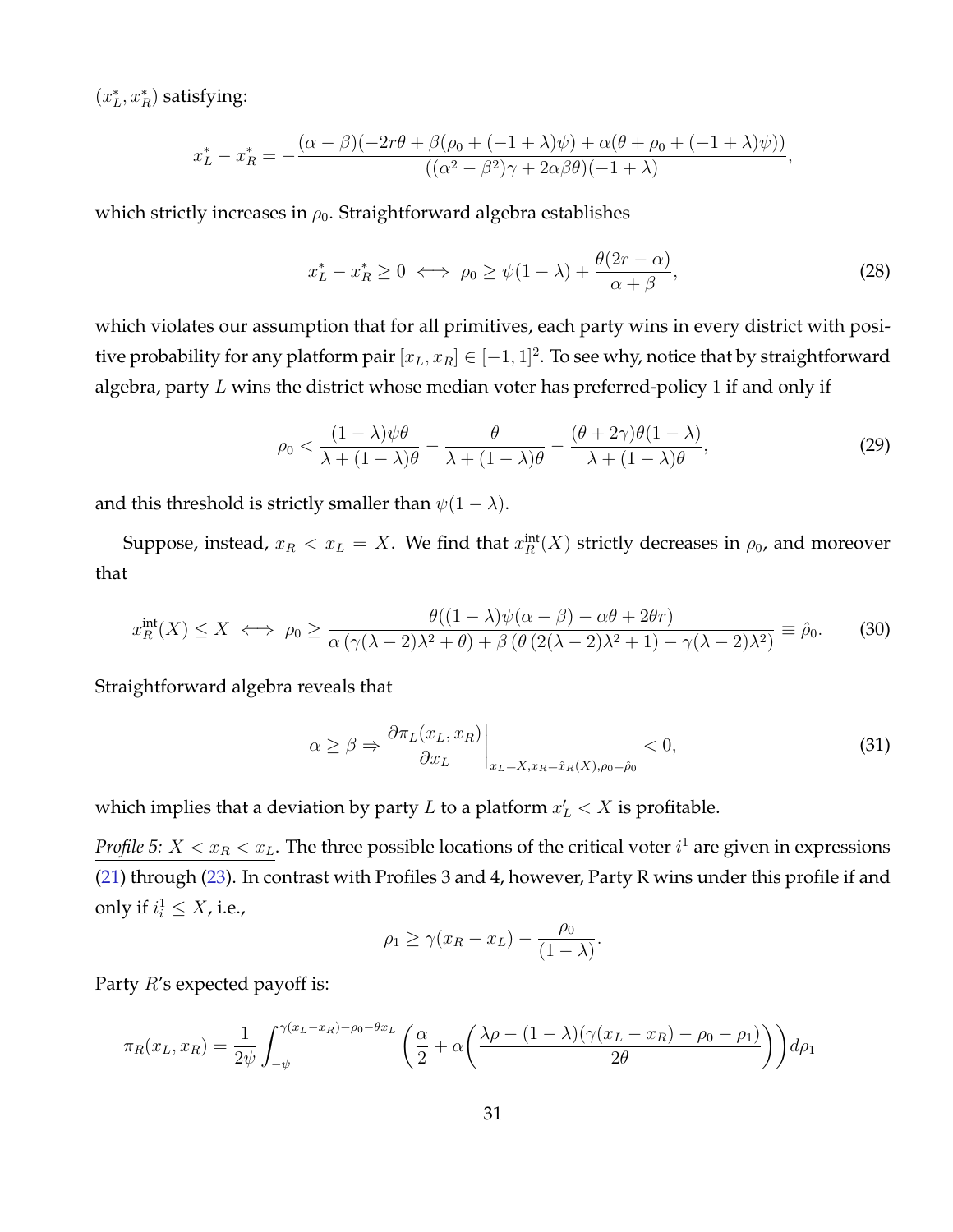$(x_L^\ast,x_R^\ast)$  satisfying:

$$
x_L^* - x_R^* = -\frac{(\alpha - \beta)(-2r\theta + \beta(\rho_0 + (-1+\lambda)\psi) + \alpha(\theta + \rho_0 + (-1+\lambda)\psi))}{((\alpha^2 - \beta^2)\gamma + 2\alpha\beta\theta)(-1+\lambda)},
$$

which strictly increases in  $\rho_0$ . Straightforward algebra establishes

$$
x_L^* - x_R^* \ge 0 \iff \rho_0 \ge \psi(1 - \lambda) + \frac{\theta(2r - \alpha)}{\alpha + \beta},\tag{28}
$$

which violates our assumption that for all primitives, each party wins in every district with positive probability for any platform pair  $[x_L, x_R] \in [-1,1]^2.$  To see why, notice that by straightforward algebra, party  $L$  wins the district whose median voter has preferred-policy 1 if and only if

$$
\rho_0 < \frac{(1-\lambda)\psi\theta}{\lambda + (1-\lambda)\theta} - \frac{\theta}{\lambda + (1-\lambda)\theta} - \frac{(\theta+2\gamma)\theta(1-\lambda)}{\lambda + (1-\lambda)\theta},\tag{29}
$$

and this threshold is strictly smaller than  $\psi(1 - \lambda)$ .

Suppose, instead,  $x_R < x_L = X$ . We find that  $x_R^{\text{int}}(X)$  strictly decreases in  $\rho_0$ , and moreover that

$$
x_R^{\text{int}}(X) \le X \iff \rho_0 \ge \frac{\theta((1-\lambda)\psi(\alpha-\beta) - \alpha\theta + 2\theta r)}{\alpha\left(\gamma(\lambda-2)\lambda^2 + \theta\right) + \beta\left(\theta\left(2(\lambda-2)\lambda^2 + 1\right) - \gamma(\lambda-2)\lambda^2\right)} \equiv \hat{\rho}_0. \tag{30}
$$

Straightforward algebra reveals that

$$
\alpha \ge \beta \Rightarrow \frac{\partial \pi_L(x_L, x_R)}{\partial x_L}\bigg|_{x_L = X, x_R = \hat{x}_R(X), \rho_0 = \hat{\rho}_0} < 0,\tag{31}
$$

which implies that a deviation by party L to a platform  $x'_L < X$  is profitable.

*Profile 5:*  $X < x_R < x_L$ *.* The three possible locations of the critical voter  $i^1$  are given in expressions [\(21\)](#page-28-0) through [\(23\)](#page-28-1). In contrast with Profiles 3 and 4, however, Party R wins under this profile if and only if  $i_i^1 \leq X$ , i.e.,

$$
\rho_1 \ge \gamma (x_R - x_L) - \frac{\rho_0}{(1 - \lambda)}.
$$

Party  $R$ 's expected payoff is:

$$
\pi_R(x_L, x_R) = \frac{1}{2\psi} \int_{-\psi}^{\gamma(x_L - x_R) - \rho_0 - \theta x_L} \left( \frac{\alpha}{2} + \alpha \left( \frac{\lambda \rho - (1 - \lambda)(\gamma(x_L - x_R) - \rho_0 - \rho_1)}{2\theta} \right) \right) d\rho_1
$$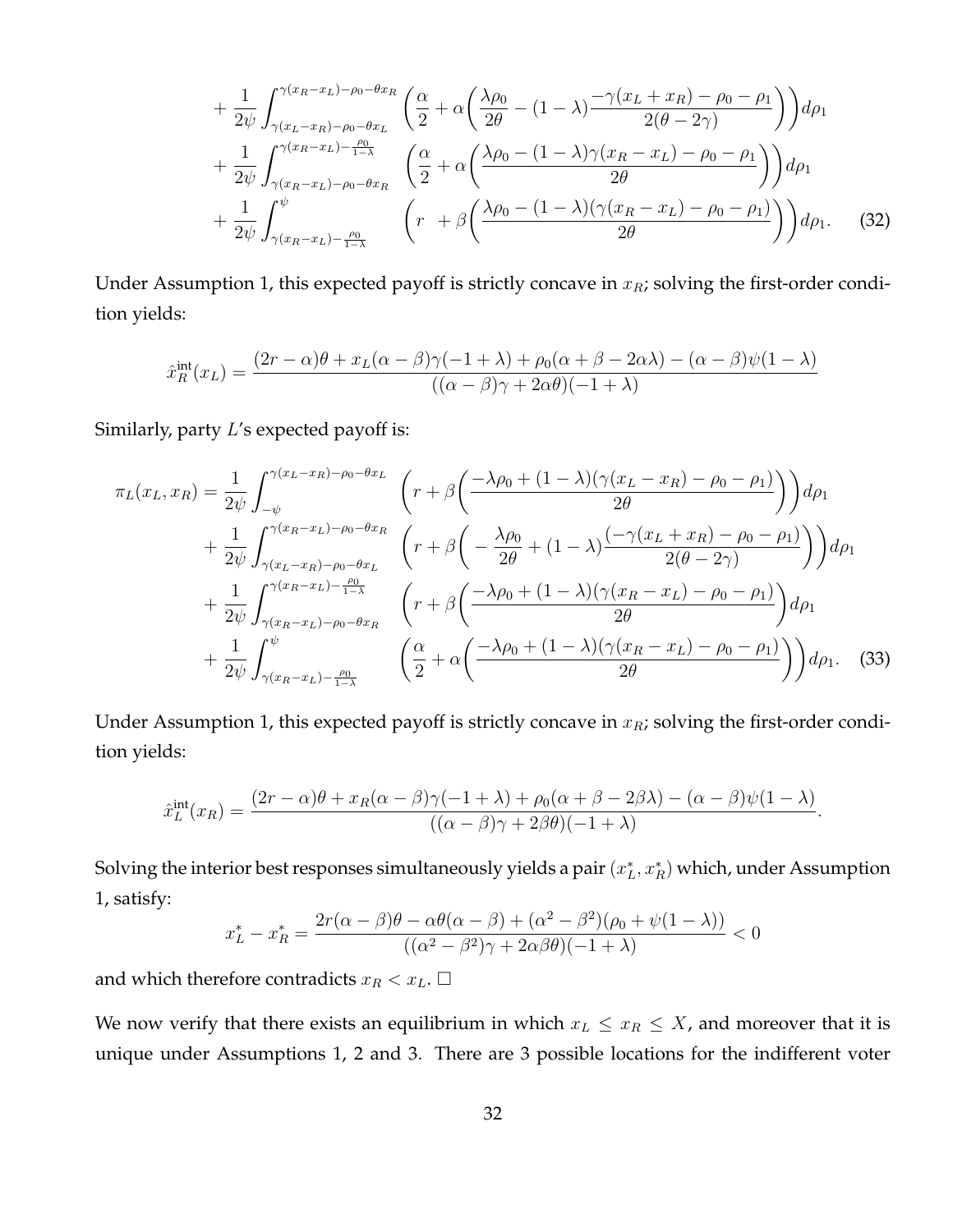$$
+\frac{1}{2\psi} \int_{\gamma(x_L-x_R)-\rho_0-\theta x_R}^{\gamma(x_R-x_L)-\rho_0-\theta x_R} \left( \frac{\alpha}{2} + \alpha \left( \frac{\lambda \rho_0}{2\theta} - (1-\lambda) \frac{-\gamma(x_L+x_R)-\rho_0-\rho_1}{2(\theta-2\gamma)} \right) \right) d\rho_1
$$
  
+ 
$$
\frac{1}{2\psi} \int_{\gamma(x_R-x_L)-\rho_0-\theta x_R}^{\gamma(x_R-x_L)-\rho_0-\theta x_R} \left( \frac{\alpha}{2} + \alpha \left( \frac{\lambda \rho_0 - (1-\lambda)\gamma(x_R-x_L)-\rho_0-\rho_1}{2\theta} \right) \right) d\rho_1
$$
  
+ 
$$
\frac{1}{2\psi} \int_{\gamma(x_R-x_L)-\frac{\rho_0}{1-\lambda}}^{\psi} \left( r + \beta \left( \frac{\lambda \rho_0 - (1-\lambda)(\gamma(x_R-x_L)-\rho_0-\rho_1)}{2\theta} \right) \right) d\rho_1.
$$
 (32)

Under Assumption 1, this expected payoff is strictly concave in  $x_R$ ; solving the first-order condition yields:

$$
\hat{x}_R^{\text{int}}(x_L) = \frac{(2r - \alpha)\theta + x_L(\alpha - \beta)\gamma(-1 + \lambda) + \rho_0(\alpha + \beta - 2\alpha\lambda) - (\alpha - \beta)\psi(1 - \lambda)}{((\alpha - \beta)\gamma + 2\alpha\theta)(-1 + \lambda)}
$$

Similarly, party L's expected payoff is:

$$
\pi_L(x_L, x_R) = \frac{1}{2\psi} \int_{-\psi}^{\gamma(x_L - x_R) - \rho_0 - \theta x_L} \left( r + \beta \left( \frac{-\lambda \rho_0 + (1 - \lambda)(\gamma(x_L - x_R) - \rho_0 - \rho_1)}{2\theta} \right) \right) d\rho_1
$$
  
+ 
$$
\frac{1}{2\psi} \int_{\gamma(x_L - x_R) - \rho_0 - \theta x_L}^{\gamma(x_R - x_L) - \rho_0 - \theta x_R} \left( r + \beta \left( -\frac{\lambda \rho_0}{2\theta} + (1 - \lambda) \frac{(-\gamma(x_L + x_R) - \rho_0 - \rho_1)}{2(\theta - 2\gamma)} \right) \right) d\rho_1
$$
  
+ 
$$
\frac{1}{2\psi} \int_{\gamma(x_R - x_L) - \rho_0 - \theta x_R}^{\gamma(x_R - x_L) - \rho_0 - \theta x_R} \left( r + \beta \left( \frac{-\lambda \rho_0 + (1 - \lambda)(\gamma(x_R - x_L) - \rho_0 - \rho_1)}{2\theta} \right) d\rho_1
$$
  
+ 
$$
\frac{1}{2\psi} \int_{\gamma(x_R - x_L) - \frac{\rho_0}{1 - \lambda}}^{\psi} \left( \frac{\alpha}{2} + \alpha \left( \frac{-\lambda \rho_0 + (1 - \lambda)(\gamma(x_R - x_L) - \rho_0 - \rho_1)}{2\theta} \right) \right) d\rho_1.
$$
 (33)

Under Assumption 1, this expected payoff is strictly concave in  $x_R$ ; solving the first-order condition yields:

$$
\hat{x}_L^{\text{int}}(x_R) = \frac{(2r-\alpha)\theta + x_R(\alpha-\beta)\gamma(-1+\lambda) + \rho_0(\alpha+\beta-2\beta\lambda) - (\alpha-\beta)\psi(1-\lambda)}{((\alpha-\beta)\gamma + 2\beta\theta)(-1+\lambda)}.
$$

Solving the interior best responses simultaneously yields a pair  $(x_L^*,x_R^*)$  which, under Assumption 1, satisfy:

$$
x_L^* - x_R^* = \frac{2r(\alpha - \beta)\theta - \alpha\theta(\alpha - \beta) + (\alpha^2 - \beta^2)(\rho_0 + \psi(1 - \lambda))}{((\alpha^2 - \beta^2)\gamma + 2\alpha\beta\theta)(-1 + \lambda)} < 0
$$

and which therefore contradicts  $x_R < x_L.$   $\Box$ 

We now verify that there exists an equilibrium in which  $x_L \leq x_R \leq X$ , and moreover that it is unique under Assumptions 1, 2 and 3. There are 3 possible locations for the indifferent voter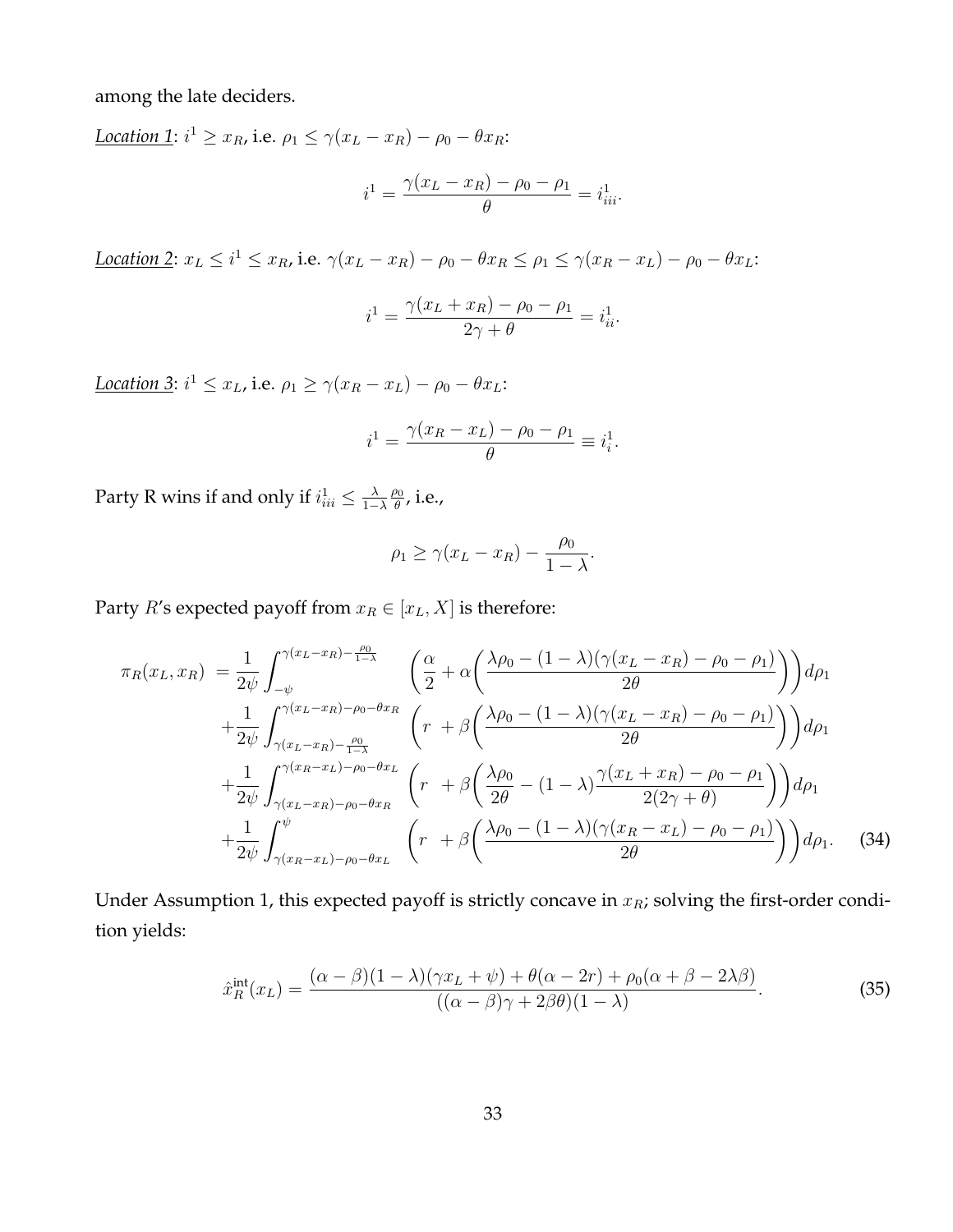among the late deciders.

<u>*Location* 1</u>:  $i^1 \ge x_R$ , i.e.  $\rho_1 \le \gamma(x_L - x_R) - \rho_0 - \theta x_R$ :  $i^1 = \frac{\gamma (x_L - x_R) - \rho_0 - \rho_1}{\rho}$ θ  $=i_{iii}^1$ .

*<u>Location 2</u>*:  $x_L \le i^1 \le x_R$ , i.e.  $\gamma(x_L - x_R) - \rho_0 - \theta x_R \le \rho_1 \le \gamma(x_R - x_L) - \rho_0 - \theta x_L$ .

$$
i^{1} = \frac{\gamma(x_{L} + x_{R}) - \rho_{0} - \rho_{1}}{2\gamma + \theta} = i_{ii}^{1}.
$$

Location 3:  $i^1 \le x_L$ , i.e.  $\rho_1 \ge \gamma(x_R - x_L) - \rho_0 - \theta x_L$ :

$$
i^{1} = \frac{\gamma(x_{R} - x_{L}) - \rho_{0} - \rho_{1}}{\theta} \equiv i_{i}^{1}.
$$

Party R wins if and only if  $i^1_{ii}\leq\frac{\lambda}{1-1}$  $1-\lambda$  $\rho_0$  $\frac{\partial 0}{\partial}$ , i.e.,

$$
\rho_1 \ge \gamma (x_L - x_R) - \frac{\rho_0}{1 - \lambda}.
$$

Party *R*'s expected payoff from  $x_R \in [x_L, X]$  is therefore:

$$
\pi_R(x_L, x_R) = \frac{1}{2\psi} \int_{-\psi}^{\gamma(x_L - x_R) - \frac{\rho_0}{1 - \lambda}} \left( \frac{\alpha}{2} + \alpha \left( \frac{\lambda \rho_0 - (1 - \lambda)(\gamma(x_L - x_R) - \rho_0 - \rho_1)}{2\theta} \right) \right) d\rho_1
$$
  
+ 
$$
\frac{1}{2\psi} \int_{\gamma(x_L - x_R) - \frac{\rho_0}{1 - \lambda}}^{\gamma(x_L - x_R) - \rho_0 - \theta x_R} \left( r + \beta \left( \frac{\lambda \rho_0 - (1 - \lambda)(\gamma(x_L - x_R) - \rho_0 - \rho_1)}{2\theta} \right) \right) d\rho_1
$$
  
+ 
$$
\frac{1}{2\psi} \int_{\gamma(x_L - x_R) - \rho_0 - \theta x_R}^{\gamma(x_R - x_L) - \rho_0 - \theta x_L} \left( r + \beta \left( \frac{\lambda \rho_0}{2\theta} - (1 - \lambda) \frac{\gamma(x_L + x_R) - \rho_0 - \rho_1}{2(2\gamma + \theta)} \right) \right) d\rho_1
$$
  
+ 
$$
\frac{1}{2\psi} \int_{\gamma(x_R - x_L) - \rho_0 - \theta x_L}^{\psi} \left( r + \beta \left( \frac{\lambda \rho_0 - (1 - \lambda)(\gamma(x_R - x_L) - \rho_0 - \rho_1)}{2\theta} \right) \right) d\rho_1.
$$
 (34)

Under Assumption 1, this expected payoff is strictly concave in  $x_R$ ; solving the first-order condition yields:

<span id="page-33-0"></span>
$$
\hat{x}_R^{\text{int}}(x_L) = \frac{(\alpha - \beta)(1 - \lambda)(\gamma x_L + \psi) + \theta(\alpha - 2r) + \rho_0(\alpha + \beta - 2\lambda\beta)}{((\alpha - \beta)\gamma + 2\beta\theta)(1 - \lambda)}.
$$
\n(35)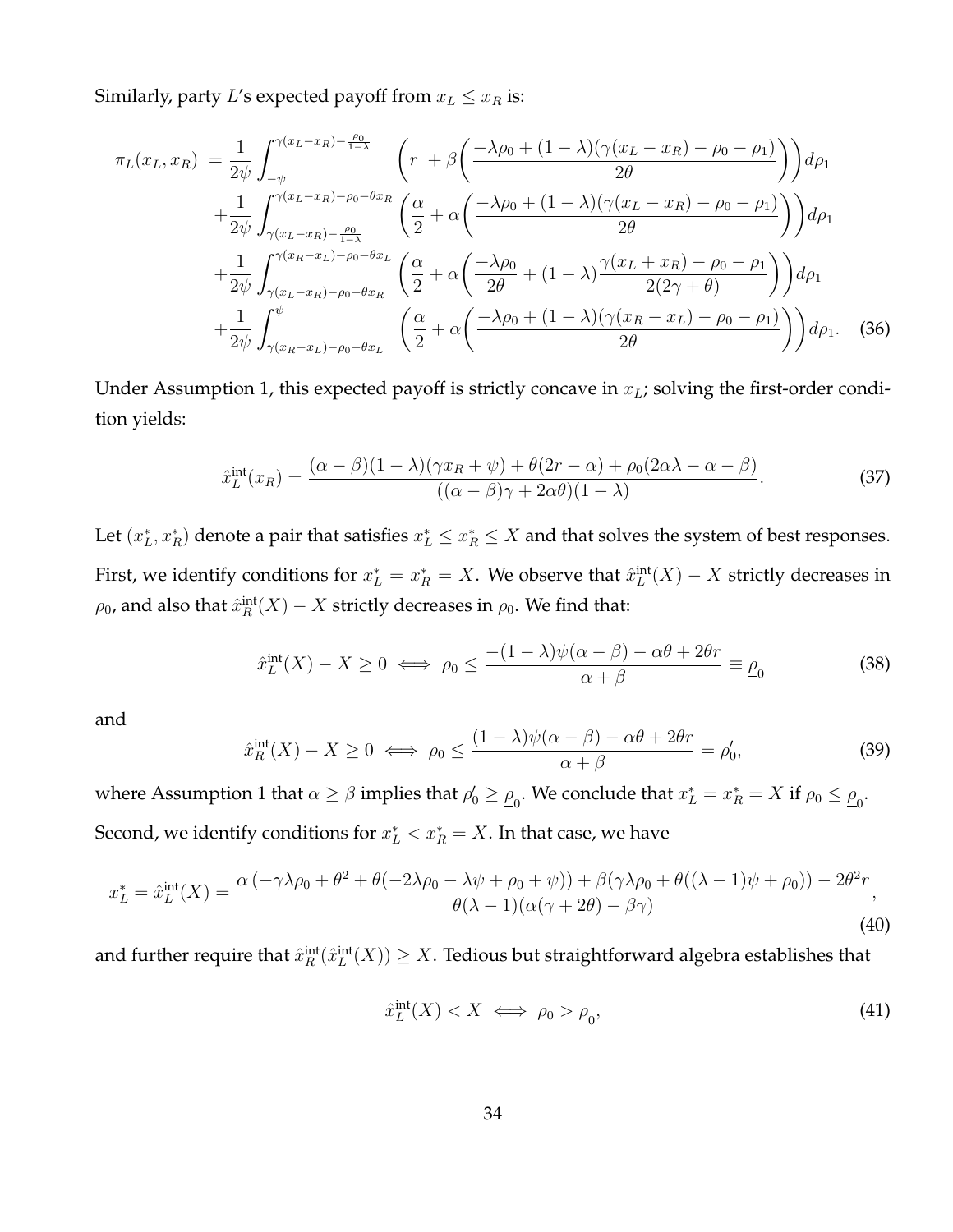Similarly, party L's expected payoff from  $x_L \leq x_R$  is:

$$
\pi_L(x_L, x_R) = \frac{1}{2\psi} \int_{-\psi}^{\gamma(x_L - x_R) - \frac{\rho_0}{1 - \lambda}} \left( r + \beta \left( \frac{-\lambda \rho_0 + (1 - \lambda)(\gamma(x_L - x_R) - \rho_0 - \rho_1)}{2\theta} \right) \right) d\rho_1
$$
  
+ 
$$
\frac{1}{2\psi} \int_{\gamma(x_L - x_R) - \frac{\rho_0}{1 - \lambda}}^{\gamma(x_L - x_R) - \rho_0 - \theta x_R} \left( \frac{\alpha}{2} + \alpha \left( \frac{-\lambda \rho_0 + (1 - \lambda)(\gamma(x_L - x_R) - \rho_0 - \rho_1)}{2\theta} \right) \right) d\rho_1
$$
  
+ 
$$
\frac{1}{2\psi} \int_{\gamma(x_L - x_R) - \rho_0 - \theta x_R}^{\gamma(x_R - x_L) - \rho_0 - \theta x_L} \left( \frac{\alpha}{2} + \alpha \left( \frac{-\lambda \rho_0}{2\theta} + (1 - \lambda) \frac{\gamma(x_L + x_R) - \rho_0 - \rho_1}{2(2\gamma + \theta)} \right) \right) d\rho_1
$$
  
+ 
$$
\frac{1}{2\psi} \int_{\gamma(x_R - x_L) - \rho_0 - \theta x_L}^{\psi} \left( \frac{\alpha}{2} + \alpha \left( \frac{-\lambda \rho_0 + (1 - \lambda)(\gamma(x_R - x_L) - \rho_0 - \rho_1)}{2\theta} \right) \right) d\rho_1.
$$
 (36)

Under Assumption 1, this expected payoff is strictly concave in  $x_L$ ; solving the first-order condition yields:

$$
\hat{x}_L^{\text{int}}(x_R) = \frac{(\alpha - \beta)(1 - \lambda)(\gamma x_R + \psi) + \theta(2r - \alpha) + \rho_0(2\alpha\lambda - \alpha - \beta)}{((\alpha - \beta)\gamma + 2\alpha\theta)(1 - \lambda)}.
$$
\n(37)

Let  $(x_L^*, x_R^*)$  denote a pair that satisfies  $x_L^* \le x_R^* \le X$  and that solves the system of best responses. First, we identify conditions for  $x_L^* = x_R^* = X$ . We observe that  $\hat{x}_L^{\text{int}}(X) - X$  strictly decreases in  $\rho_0$ , and also that  $\hat x_R^{\mathrm{int}}(X)-X$  strictly decreases in  $\rho_0.$  We find that:

$$
\hat{x}_L^{\text{int}}(X) - X \ge 0 \iff \rho_0 \le \frac{-(1-\lambda)\psi(\alpha-\beta) - \alpha\theta + 2\theta r}{\alpha+\beta} \equiv \underline{\rho}_0 \tag{38}
$$

and

$$
\hat{x}_R^{\text{int}}(X) - X \ge 0 \iff \rho_0 \le \frac{(1 - \lambda)\psi(\alpha - \beta) - \alpha\theta + 2\theta r}{\alpha + \beta} = \rho'_0,\tag{39}
$$

where Assumption 1 that  $\alpha \ge \beta$  implies that  $\rho'_0 \ge \underline{\rho}_0$ . We conclude that  $x_L^* = x_R^* = X$  if  $\rho_0 \le \underline{\rho}_0$ . Second, we identify conditions for  $x_L^* < x_R^* = X$ . In that case, we have

$$
x_L^* = \hat{x}_L^{\text{int}}(X) = \frac{\alpha \left( -\gamma \lambda \rho_0 + \theta^2 + \theta(-2\lambda \rho_0 - \lambda \psi + \rho_0 + \psi) \right) + \beta(\gamma \lambda \rho_0 + \theta((\lambda - 1)\psi + \rho_0)) - 2\theta^2 r}{\theta(\lambda - 1)(\alpha(\gamma + 2\theta) - \beta \gamma)},
$$
\n(40)

and further require that  $\hat x_R^{\rm int}(\hat x_L^{\rm int}(X))\geq X.$  Tedious but straightforward algebra establishes that

$$
\hat{x}_L^{\text{int}}(X) < X \iff \rho_0 > \underline{\rho}_0,\tag{41}
$$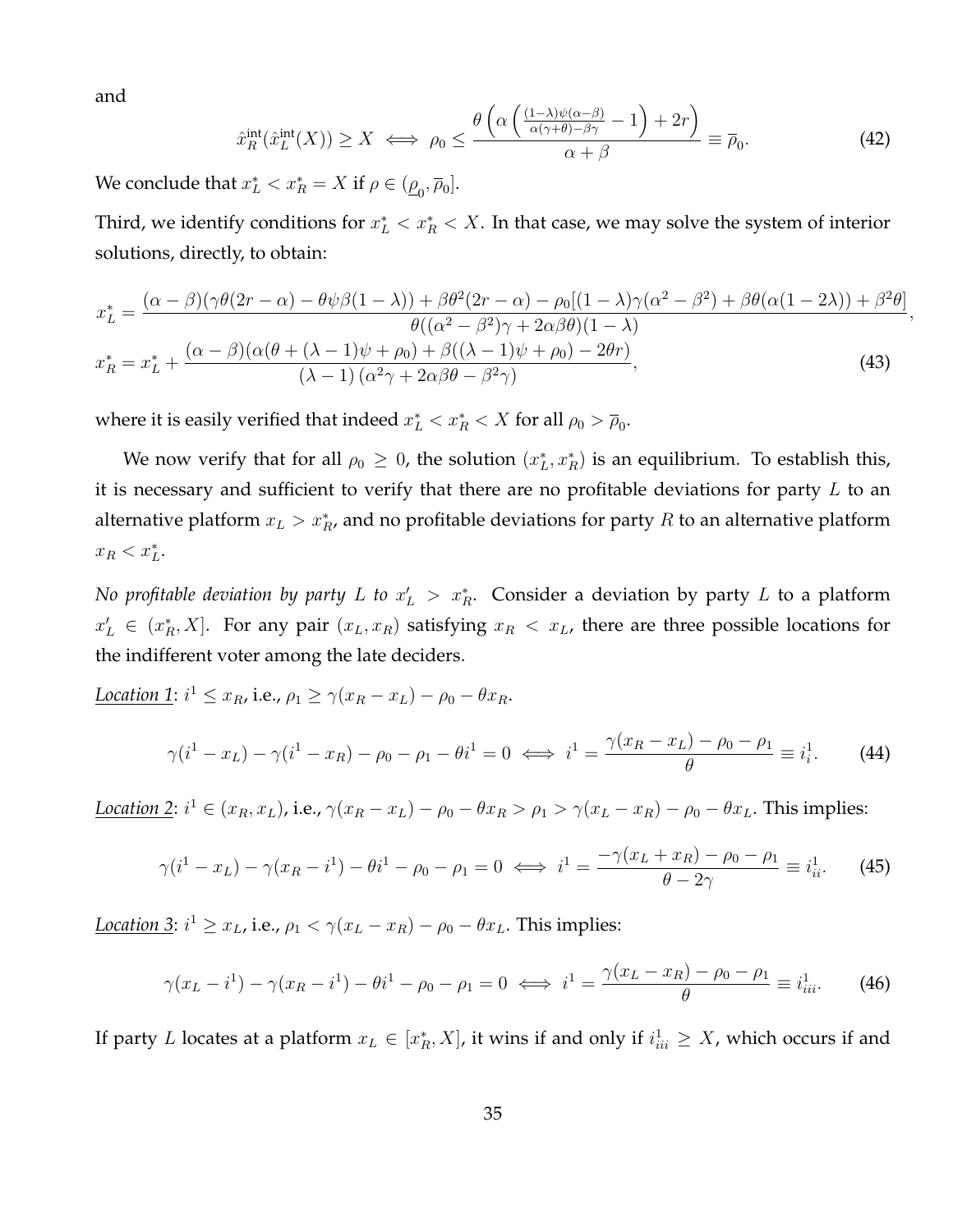and

$$
\hat{x}_R^{\text{int}}(\hat{x}_L^{\text{int}}(X)) \ge X \iff \rho_0 \le \frac{\theta\left(\alpha\left(\frac{(1-\lambda)\psi(\alpha-\beta)}{\alpha(\gamma+\theta)-\beta\gamma} - 1\right) + 2r\right)}{\alpha+\beta} \equiv \overline{\rho}_0. \tag{42}
$$

We conclude that  $x_L^* < x_R^* = X$  if  $\rho \in (\underline{\rho}_0, \overline{\rho}_0]$ .

Third, we identify conditions for  $x^*_L < x^*_R < X$ . In that case, we may solve the system of interior solutions, directly, to obtain:

$$
x_L^* = \frac{(\alpha - \beta)(\gamma\theta(2r - \alpha) - \theta\psi\beta(1 - \lambda)) + \beta\theta^2(2r - \alpha) - \rho_0[(1 - \lambda)\gamma(\alpha^2 - \beta^2) + \beta\theta(\alpha(1 - 2\lambda)) + \beta^2\theta]}{\theta((\alpha^2 - \beta^2)\gamma + 2\alpha\beta\theta)(1 - \lambda)},
$$
  

$$
x_R^* = x_L^* + \frac{(\alpha - \beta)(\alpha(\theta + (\lambda - 1)\psi + \rho_0) + \beta((\lambda - 1)\psi + \rho_0) - 2\theta r)}{(\lambda - 1)(\alpha^2\gamma + 2\alpha\beta\theta - \beta^2\gamma)},
$$
(43)

where it is easily verified that indeed  $x_L^* < x_R^* < X$  for all  $\rho_0 > \overline{\rho}_0$ .

We now verify that for all  $\rho_0 \geq 0$ , the solution  $(x_L^*, x_R^*)$  is an equilibrium. To establish this, it is necessary and sufficient to verify that there are no profitable deviations for party  $L$  to an alternative platform  $x_L > x_R^*$ , and no profitable deviations for party  $R$  to an alternative platform  $x_R < x_L^*$ .

*No profitable deviation by party L to*  $x'_L > x_R^*$ . Consider a deviation by party L to a platform  $x'_{L} \in (x_R^*, X]$ . For any pair  $(x_L, x_R)$  satisfying  $x_R < x_L$ , there are three possible locations for the indifferent voter among the late deciders.

<span id="page-35-0"></span>
$$
\begin{aligned}\n\text{Location 1: } i^1 \le x_R, \text{i.e., } \rho_1 \ge \gamma(x_R - x_L) - \rho_0 - \theta x_R. \\
\gamma(i^1 - x_L) - \gamma(i^1 - x_R) - \rho_0 - \rho_1 - \theta i^1 &= 0 \iff i^1 = \frac{\gamma(x_R - x_L) - \rho_0 - \rho_1}{\theta} \equiv i_i^1. \end{aligned} \tag{44}
$$

*Location* 2:  $i^1 \in (x_R, x_L)$ , i.e.,  $\gamma(x_R - x_L) - \rho_0 - \theta x_R > \rho_1 > \gamma(x_L - x_R) - \rho_0 - \theta x_L$ . This implies:

$$
\gamma(i^{1} - x_{L}) - \gamma(x_{R} - i^{1}) - \theta i^{1} - \rho_{0} - \rho_{1} = 0 \iff i^{1} = \frac{-\gamma(x_{L} + x_{R}) - \rho_{0} - \rho_{1}}{\theta - 2\gamma} \equiv i_{ii}^{1}.
$$
 (45)

*Location 3*:  $i^1 \ge x_L$ , i.e.,  $\rho_1 < \gamma(x_L - x_R) - \rho_0 - \theta x_L$ . This implies:

<span id="page-35-1"></span>
$$
\gamma(x_L - i^1) - \gamma(x_R - i^1) - \theta i^1 - \rho_0 - \rho_1 = 0 \iff i^1 = \frac{\gamma(x_L - x_R) - \rho_0 - \rho_1}{\theta} \equiv i^1_{iii}.
$$
 (46)

If party L locates at a platform  $x_L \in [x_R^*, X]$ , it wins if and only if  $i^1_{ii} \geq X$ , which occurs if and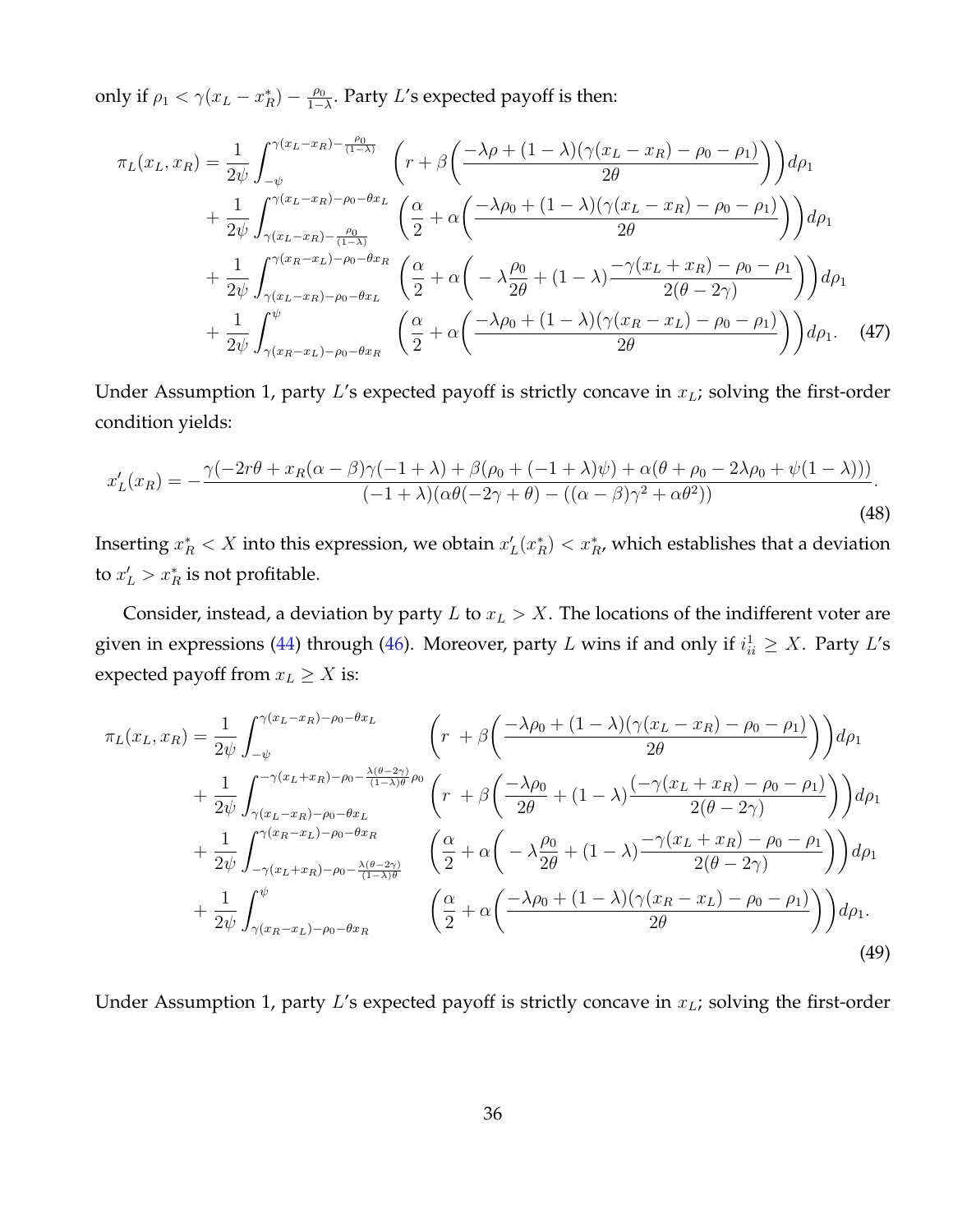only if  $\rho_1 < \gamma (x_L - x_R^*) - \frac{\rho_0}{1 - x_R^*}$  $\frac{\rho_0}{1-\lambda}$ . Party L's expected payoff is then:

$$
\pi_L(x_L, x_R) = \frac{1}{2\psi} \int_{-\psi}^{\gamma(x_L - x_R) - \frac{\rho_0}{(1 - \lambda)}} \left( r + \beta \left( \frac{-\lambda \rho + (1 - \lambda)(\gamma(x_L - x_R) - \rho_0 - \rho_1)}{2\theta} \right) \right) d\rho_1
$$
  
+ 
$$
\frac{1}{2\psi} \int_{\gamma(x_L - x_R) - \frac{\rho_0}{(1 - \lambda)}}^{\gamma(x_L - x_R) - \rho_0 - \theta x_L} \left( \frac{\alpha}{2} + \alpha \left( \frac{-\lambda \rho_0 + (1 - \lambda)(\gamma(x_L - x_R) - \rho_0 - \rho_1)}{2\theta} \right) \right) d\rho_1
$$
  
+ 
$$
\frac{1}{2\psi} \int_{\gamma(x_L - x_R) - \rho_0 - \theta x_L}^{\gamma(x_R - x_L) - \rho_0 - \theta x_R} \left( \frac{\alpha}{2} + \alpha \left( -\lambda \frac{\rho_0}{2\theta} + (1 - \lambda) \frac{-\gamma(x_L + x_R) - \rho_0 - \rho_1}{2(\theta - 2\gamma)} \right) \right) d\rho_1
$$
  
+ 
$$
\frac{1}{2\psi} \int_{\gamma(x_R - x_L) - \rho_0 - \theta x_R}^{\psi} \left( \frac{\alpha}{2} + \alpha \left( \frac{-\lambda \rho_0 + (1 - \lambda)(\gamma(x_R - x_L) - \rho_0 - \rho_1)}{2\theta} \right) \right) d\rho_1.
$$
 (47)

Under Assumption 1, party  $L$ 's expected payoff is strictly concave in  $x_L$ ; solving the first-order condition yields:

$$
x'_L(x_R) = -\frac{\gamma(-2r\theta + x_R(\alpha - \beta)\gamma(-1 + \lambda) + \beta(\rho_0 + (-1 + \lambda)\psi) + \alpha(\theta + \rho_0 - 2\lambda\rho_0 + \psi(1 - \lambda)))}{(-1 + \lambda)(\alpha\theta(-2\gamma + \theta) - ((\alpha - \beta)\gamma^2 + \alpha\theta^2))}.
$$
\n(48)

Inserting  $x_R^* < X$  into this expression, we obtain  $x_L'(x_R^*) < x_R^*$ , which establishes that a deviation to  $x'_L > x_R^*$  is not profitable.

Consider, instead, a deviation by party  $L$  to  $x_L > X$ . The locations of the indifferent voter are given in expressions [\(44\)](#page-35-0) through [\(46\)](#page-35-1). Moreover, party L wins if and only if  $i_{ii}^1 \geq X$ . Party L's expected payoff from  $x_L \geq X$  is:

$$
\pi_L(x_L, x_R) = \frac{1}{2\psi} \int_{-\psi}^{\gamma(x_L - x_R) - \rho_0 - \theta x_L} \left( r + \beta \left( \frac{-\lambda \rho_0 + (1 - \lambda)(\gamma(x_L - x_R) - \rho_0 - \rho_1)}{2\theta} \right) \right) d\rho_1
$$
  
+ 
$$
\frac{1}{2\psi} \int_{\gamma(x_L - x_R) - \rho_0 - \theta x_L}^{\gamma(x_L + x_R) - \rho_0 - \frac{\lambda(\theta - 2\gamma)}{(1 - \lambda)\theta} \rho_0} \left( r + \beta \left( \frac{-\lambda \rho_0}{2\theta} + (1 - \lambda) \frac{(-\gamma(x_L + x_R) - \rho_0 - \rho_1)}{2(\theta - 2\gamma)} \right) \right) d\rho_1
$$
  
+ 
$$
\frac{1}{2\psi} \int_{-\gamma(x_L + x_R) - \rho_0 - \frac{\lambda(\theta - 2\gamma)}{(1 - \lambda)\theta}}^{\gamma(x_R - x_L) - \rho_0 - \theta x_L} \left( \frac{\alpha}{2} + \alpha \left( -\lambda \frac{\rho_0}{2\theta} + (1 - \lambda) \frac{-\gamma(x_L + x_R) - \rho_0 - \rho_1}{2(\theta - 2\gamma)} \right) \right) d\rho_1
$$
  
+ 
$$
\frac{1}{2\psi} \int_{\gamma(x_R - x_L) - \rho_0 - \theta x_R}^{\psi} \left( \frac{\alpha}{2} + \alpha \left( \frac{-\lambda \rho_0 + (1 - \lambda)(\gamma(x_R - x_L) - \rho_0 - \rho_1)}{2\theta} \right) \right) d\rho_1.
$$
  
(49)

Under Assumption 1, party  $L$ 's expected payoff is strictly concave in  $x_L$ ; solving the first-order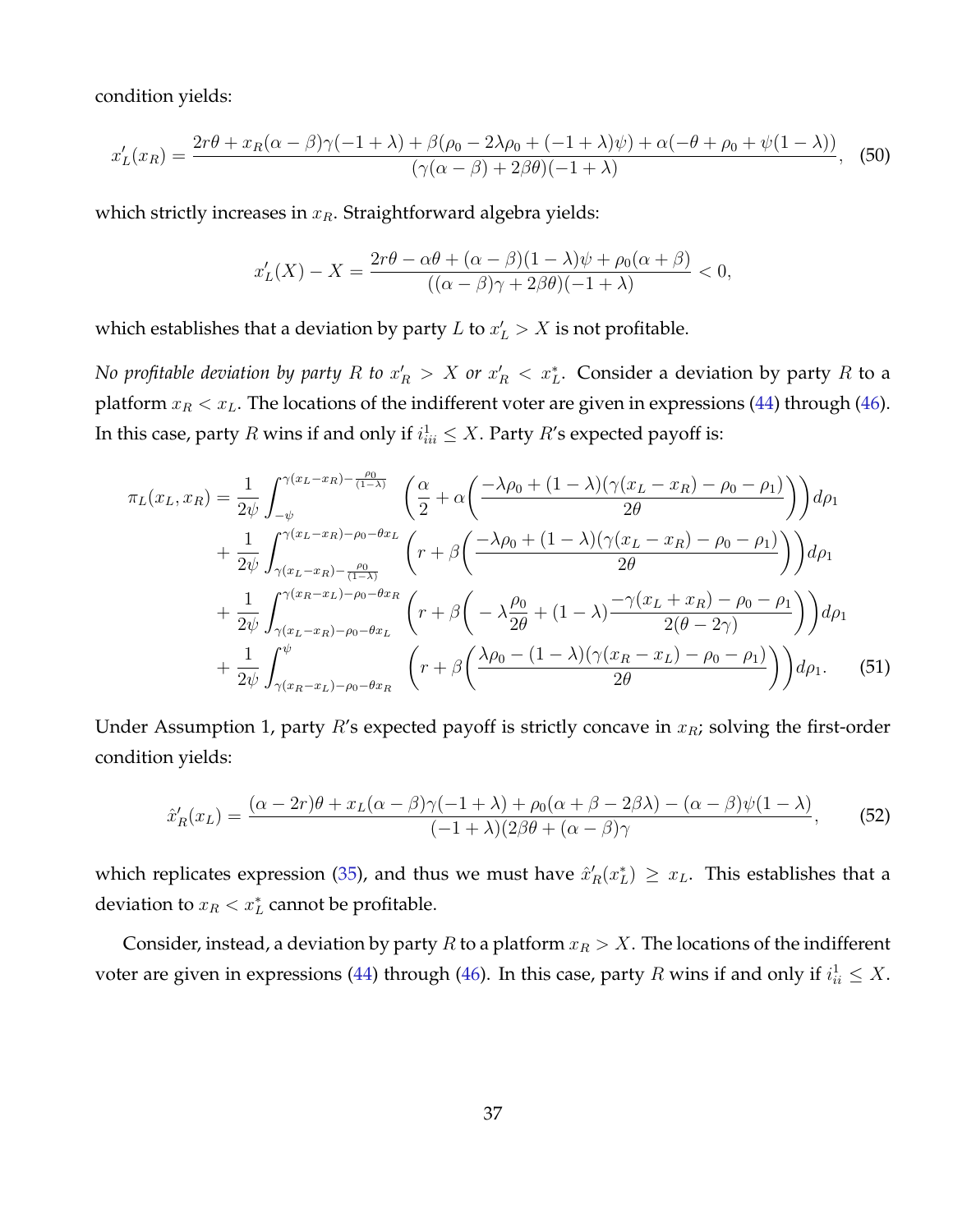condition yields:

$$
x_L'(x_R) = \frac{2r\theta + x_R(\alpha - \beta)\gamma(-1 + \lambda) + \beta(\rho_0 - 2\lambda\rho_0 + (-1 + \lambda)\psi) + \alpha(-\theta + \rho_0 + \psi(1 - \lambda))}{(\gamma(\alpha - \beta) + 2\beta\theta)(-1 + \lambda)},
$$
(50)

which strictly increases in  $x_R$ . Straightforward algebra yields:

$$
x'_L(X) - X = \frac{2r\theta - \alpha\theta + (\alpha - \beta)(1 - \lambda)\psi + \rho_0(\alpha + \beta)}{((\alpha - \beta)\gamma + 2\beta\theta)(-1 + \lambda)} < 0,
$$

which establishes that a deviation by party  $L$  to  $x'_L > X$  is not profitable.

*No profitable deviation by party R to*  $x_R' > X$  *or*  $x_R' < x_L^*$ *. Consider a deviation by party R to a* platform  $x_R < x_L$ . The locations of the indifferent voter are given in expressions [\(44\)](#page-35-0) through [\(46\)](#page-35-1). In this case, party  $R$  wins if and only if  $i^1_{ii} \leq X$ . Party  $R'$ s expected payoff is:

$$
\pi_L(x_L, x_R) = \frac{1}{2\psi} \int_{-\psi}^{\gamma(x_L - x_R) - \frac{\rho_0}{(1 - \lambda)}} \left( \frac{\alpha}{2} + \alpha \left( \frac{-\lambda \rho_0 + (1 - \lambda)(\gamma(x_L - x_R) - \rho_0 - \rho_1)}{2\theta} \right) \right) d\rho_1
$$
  
+ 
$$
\frac{1}{2\psi} \int_{\gamma(x_L - x_R) - \frac{\rho_0}{(1 - \lambda)}}^{\gamma(x_L - x_R) - \rho_0 - \theta x_L} \left( r + \beta \left( \frac{-\lambda \rho_0 + (1 - \lambda)(\gamma(x_L - x_R) - \rho_0 - \rho_1)}{2\theta} \right) \right) d\rho_1
$$
  
+ 
$$
\frac{1}{2\psi} \int_{\gamma(x_L - x_R) - \rho_0 - \theta x_L}^{\gamma(x_R - x_L) - \rho_0 - \theta x_R} \left( r + \beta \left( -\lambda \frac{\rho_0}{2\theta} + (1 - \lambda) \frac{-\gamma(x_L + x_R) - \rho_0 - \rho_1}{2(\theta - 2\gamma)} \right) \right) d\rho_1
$$
  
+ 
$$
\frac{1}{2\psi} \int_{\gamma(x_R - x_L) - \rho_0 - \theta x_R}^{\psi} \left( r + \beta \left( \frac{\lambda \rho_0 - (1 - \lambda)(\gamma(x_R - x_L) - \rho_0 - \rho_1)}{2\theta} \right) \right) d\rho_1.
$$
 (51)

Under Assumption 1, party  $R$ 's expected payoff is strictly concave in  $x_R$ ; solving the first-order condition yields:

$$
\hat{x}'_R(x_L) = \frac{(\alpha - 2r)\theta + x_L(\alpha - \beta)\gamma(-1 + \lambda) + \rho_0(\alpha + \beta - 2\beta\lambda) - (\alpha - \beta)\psi(1 - \lambda)}{(-1 + \lambda)(2\beta + (\alpha - \beta)\gamma)},\tag{52}
$$

which replicates expression [\(35\)](#page-33-0), and thus we must have  $\hat{x}'_R(x^*_L) \geq x_L$ . This establishes that a deviation to  $x_R < x_L^*$  cannot be profitable.

Consider, instead, a deviation by party R to a platform  $x_R > X$ . The locations of the indifferent voter are given in expressions [\(44\)](#page-35-0) through [\(46\)](#page-35-1). In this case, party  $R$  wins if and only if  $i_{ii}^1 \leq X$ .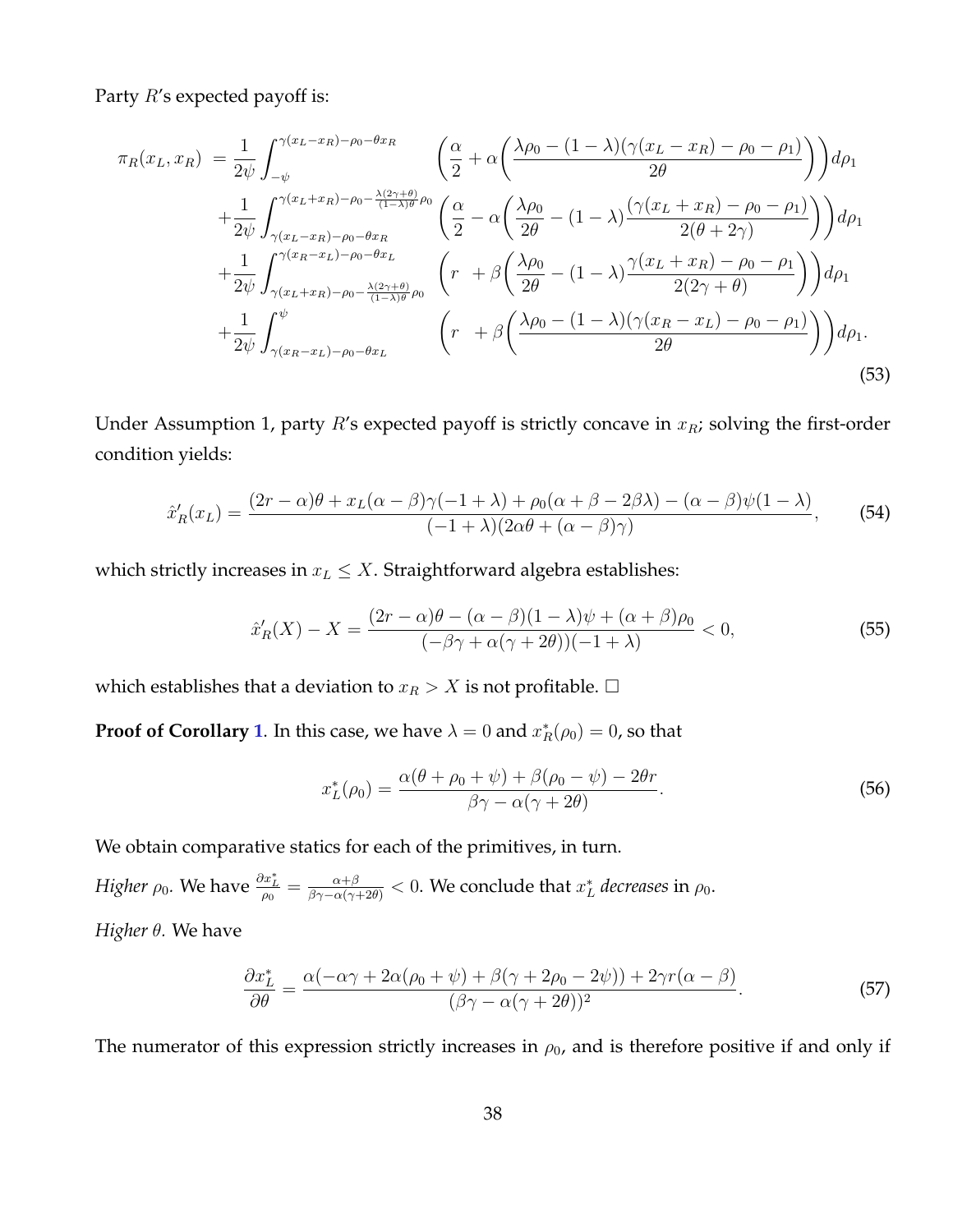Party  $R$ 's expected payoff is:

$$
\pi_R(x_L, x_R) = \frac{1}{2\psi} \int_{-\psi}^{\gamma(x_L - x_R) - \rho_0 - \theta x_R} \left( \frac{\alpha}{2} + \alpha \left( \frac{\lambda \rho_0 - (1 - \lambda)(\gamma(x_L - x_R) - \rho_0 - \rho_1)}{2\theta} \right) \right) d\rho_1
$$
  
+ 
$$
\frac{1}{2\psi} \int_{\gamma(x_L - x_R) - \rho_0 - \theta x_R}^{\gamma(x_L + x_R) - \rho_0 - \frac{\lambda(2\gamma + \theta)}{(1 - \lambda)\theta} \rho_0} \left( \frac{\alpha}{2} - \alpha \left( \frac{\lambda \rho_0}{2\theta} - (1 - \lambda) \frac{(\gamma(x_L + x_R) - \rho_0 - \rho_1)}{2(\theta + 2\gamma)} \right) \right) d\rho_1
$$
  
+ 
$$
\frac{1}{2\psi} \int_{\gamma(x_L + x_R) - \rho_0 - \frac{\lambda(2\gamma + \theta)}{(1 - \lambda)\theta} \rho_0}^{\gamma(x_R - x_L) - \rho_0 - \theta x_L} \left( r + \beta \left( \frac{\lambda \rho_0}{2\theta} - (1 - \lambda) \frac{\gamma(x_L + x_R) - \rho_0 - \rho_1}{2(2\gamma + \theta)} \right) \right) d\rho_1
$$
  
+ 
$$
\frac{1}{2\psi} \int_{\gamma(x_R - x_L) - \rho_0 - \theta x_L}^{\psi} \left( r + \beta \left( \frac{\lambda \rho_0 - (1 - \lambda)(\gamma(x_R - x_L) - \rho_0 - \rho_1)}{2\theta} \right) \right) d\rho_1.
$$
  
(53)

Under Assumption 1, party  $R$ 's expected payoff is strictly concave in  $x_R$ ; solving the first-order condition yields:

$$
\hat{x}'_R(x_L) = \frac{(2r - \alpha)\theta + x_L(\alpha - \beta)\gamma(-1 + \lambda) + \rho_0(\alpha + \beta - 2\beta\lambda) - (\alpha - \beta)\psi(1 - \lambda)}{(-1 + \lambda)(2\alpha\theta + (\alpha - \beta)\gamma)},\tag{54}
$$

which strictly increases in  $x_L \leq X$ . Straightforward algebra establishes:

$$
\hat{x}'_R(X) - X = \frac{(2r - \alpha)\theta - (\alpha - \beta)(1 - \lambda)\psi + (\alpha + \beta)\rho_0}{(-\beta\gamma + \alpha(\gamma + 2\theta))(-1 + \lambda)} < 0,\tag{55}
$$

which establishes that a deviation to  $x_R>X$  is not profitable.  $\Box$ 

**Proof of Corollary [1](#page-15-0).** In this case, we have  $\lambda = 0$  and  $x_R^*(\rho_0) = 0$ , so that

$$
x_L^*(\rho_0) = \frac{\alpha(\theta + \rho_0 + \psi) + \beta(\rho_0 - \psi) - 2\theta r}{\beta\gamma - \alpha(\gamma + 2\theta)}.
$$
\n(56)

We obtain comparative statics for each of the primitives, in turn.

*Higher*  $\rho_0$ *.* We have  $\frac{\partial x^*_L}{\rho_0} = \frac{\alpha+\beta}{\beta\gamma-\alpha(\gamma+2\theta)} < 0$ . We conclude that  $x^*_L$  *decreases* in  $\rho_0$ .

*Higher* θ*.* We have

$$
\frac{\partial x_L^*}{\partial \theta} = \frac{\alpha(-\alpha\gamma + 2\alpha(\rho_0 + \psi) + \beta(\gamma + 2\rho_0 - 2\psi)) + 2\gamma r(\alpha - \beta)}{(\beta\gamma - \alpha(\gamma + 2\theta))^2}.
$$
\n(57)

The numerator of this expression strictly increases in  $\rho_0$ , and is therefore positive if and only if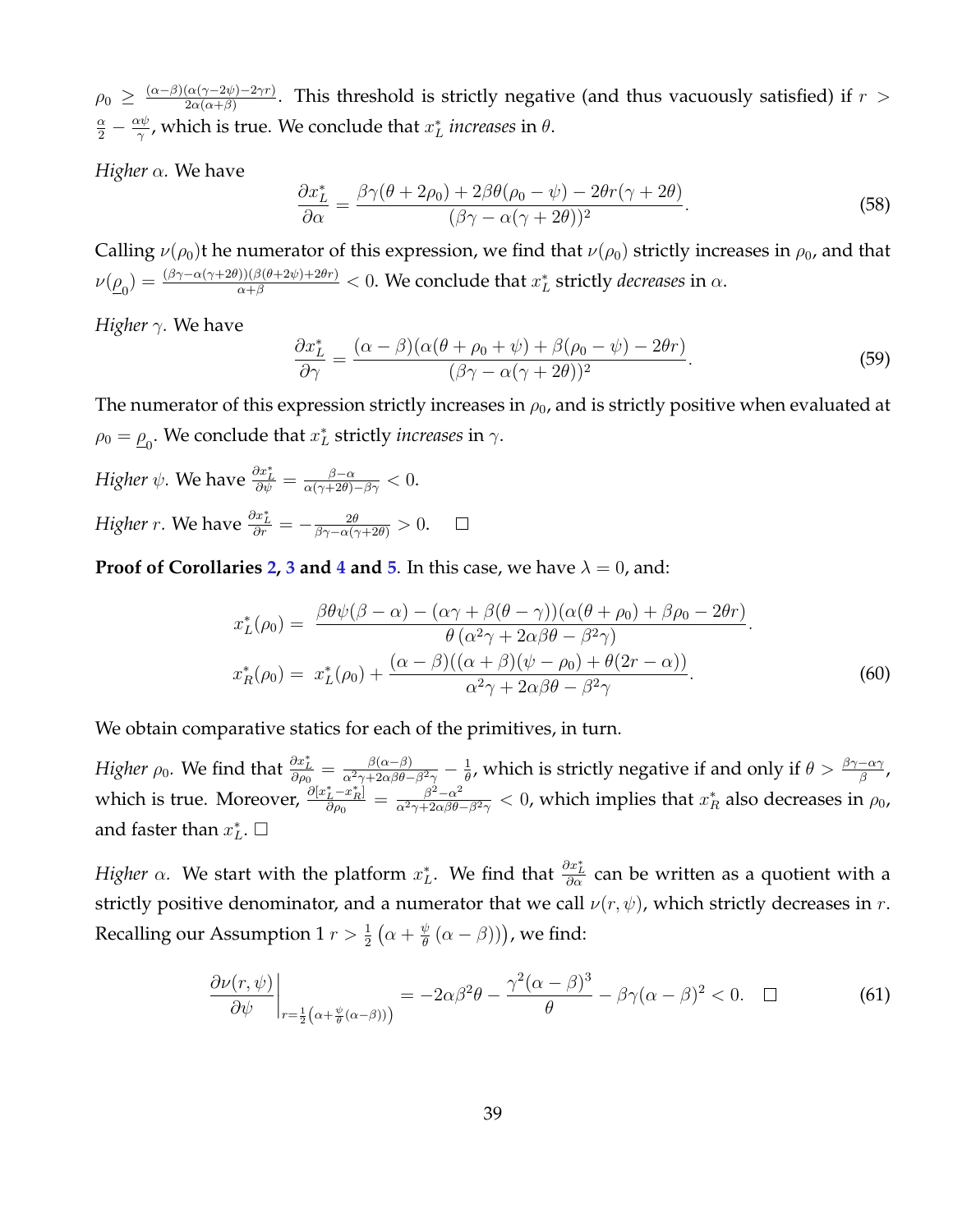$\rho_0 \geq \frac{(\alpha-\beta)(\alpha(\gamma-2\psi)-2\gamma r)}{2\alpha(\alpha+\beta)}$  $\frac{(\alpha(\gamma-2\psi)-2\gamma r)}{2\alpha(\alpha+\beta)}$ . This threshold is strictly negative (and thus vacuously satisfied) if  $r>0$  $\frac{\alpha}{2}-\frac{\alpha\psi}{\gamma}$  $\frac{x\psi}{\gamma}$ , which is true. We conclude that  $x^*_L$  *increases* in  $\theta$ .

*Higher* α*.* We have

$$
\frac{\partial x_L^*}{\partial \alpha} = \frac{\beta \gamma (\theta + 2\rho_0) + 2\beta \theta (\rho_0 - \psi) - 2\theta r (\gamma + 2\theta)}{(\beta \gamma - \alpha (\gamma + 2\theta))^2}.
$$
\n(58)

Calling  $\nu(\rho_0)$ t he numerator of this expression, we find that  $\nu(\rho_0)$  strictly increases in  $\rho_0$ , and that  $\nu(\underline{\rho}_0)=\frac{(\beta\gamma-\alpha(\gamma+2\theta))(\beta(\theta+2\psi)+2\theta r)}{\alpha+\beta}< 0.$  We conclude that  $x^*_L$  strictly *decreases* in  $\alpha.$ 

*Higher* γ*.* We have

$$
\frac{\partial x_L^*}{\partial \gamma} = \frac{(\alpha - \beta)(\alpha(\theta + \rho_0 + \psi) + \beta(\rho_0 - \psi) - 2\theta r)}{(\beta\gamma - \alpha(\gamma + 2\theta))^2}.
$$
\n(59)

The numerator of this expression strictly increases in  $\rho_0$ , and is strictly positive when evaluated at  $\rho_0 = \underline{\rho}_0$ . We conclude that  $x_L^*$  strictly *increases* in  $\gamma$ .

Higher 
$$
\psi
$$
. We have  $\frac{\partial x_L^*}{\partial \psi} = \frac{\beta - \alpha}{\alpha(\gamma + 2\theta) - \beta \gamma} < 0$ .  
Higher  $r$ . We have  $\frac{\partial x_L^*}{\partial r} = -\frac{2\theta}{\beta\gamma - \alpha(\gamma + 2\theta)} > 0$ .  $\square$ 

**Proof of Corollaries [2,](#page-16-2) [3](#page-17-1) and [4](#page-17-0) and [5](#page-18-0).** In this case, we have  $\lambda = 0$ , and:

$$
x_L^*(\rho_0) = \frac{\beta \theta \psi(\beta - \alpha) - (\alpha \gamma + \beta(\theta - \gamma))(\alpha(\theta + \rho_0) + \beta \rho_0 - 2\theta r)}{\theta(\alpha^2 \gamma + 2\alpha \beta \theta - \beta^2 \gamma)}.
$$
  

$$
x_R^*(\rho_0) = x_L^*(\rho_0) + \frac{(\alpha - \beta)((\alpha + \beta)(\psi - \rho_0) + \theta(2r - \alpha))}{\alpha^2 \gamma + 2\alpha \beta \theta - \beta^2 \gamma}.
$$
 (60)

We obtain comparative statics for each of the primitives, in turn.

*Higher*  $\rho_0$ . We find that  $\frac{\partial x^*_L}{\partial \rho_0} = \frac{\beta(\alpha-\beta)}{\alpha^2\gamma + 2\alpha\beta\theta - \beta^2\gamma} - \frac{1}{\theta}$  $\frac{1}{\theta}$ , which is strictly negative if and only if  $\theta > \frac{\beta\gamma - \alpha\gamma}{\beta}$ , which is true. Moreover,  $\frac{\partial [x_L^*-x_R^*]}{\partial \omega_0}$  $\frac{\partial^2 L^{-x_R^*}}{\partial \rho_0} = \frac{\beta^2 - \alpha^2}{\alpha^2 \gamma + 2\alpha \beta \theta}$  $\frac{\beta^2-\alpha^2}{\alpha^2\gamma+2\alpha\beta\theta-\beta^2\gamma} < 0$ , which implies that  $x^*_R$  also decreases in  $\rho_0$ , and faster than  $x_L^*$ .  $\Box$ 

*Higher*  $\alpha$ *. We start with the platform*  $x^*_L$ *. We find that*  $\frac{\partial x^*_L}{\partial \alpha}$  *can be written as a quotient with a* strictly positive denominator, and a numerator that we call  $\nu(r, \psi)$ , which strictly decreases in r. Recalling our Assumption 1  $r > \frac{1}{2} \left( \alpha + \frac{\psi}{\theta} \right)$  $\frac{\psi}{\theta}\left(\alpha-\beta)\right)$ ), we find:

$$
\left. \frac{\partial \nu(r,\psi)}{\partial \psi} \right|_{r=\frac{1}{2}\left(\alpha+\frac{\psi}{\theta}(\alpha-\beta)\right)} = -2\alpha\beta^2\theta - \frac{\gamma^2(\alpha-\beta)^3}{\theta} - \beta\gamma(\alpha-\beta)^2 < 0. \quad \Box \tag{61}
$$